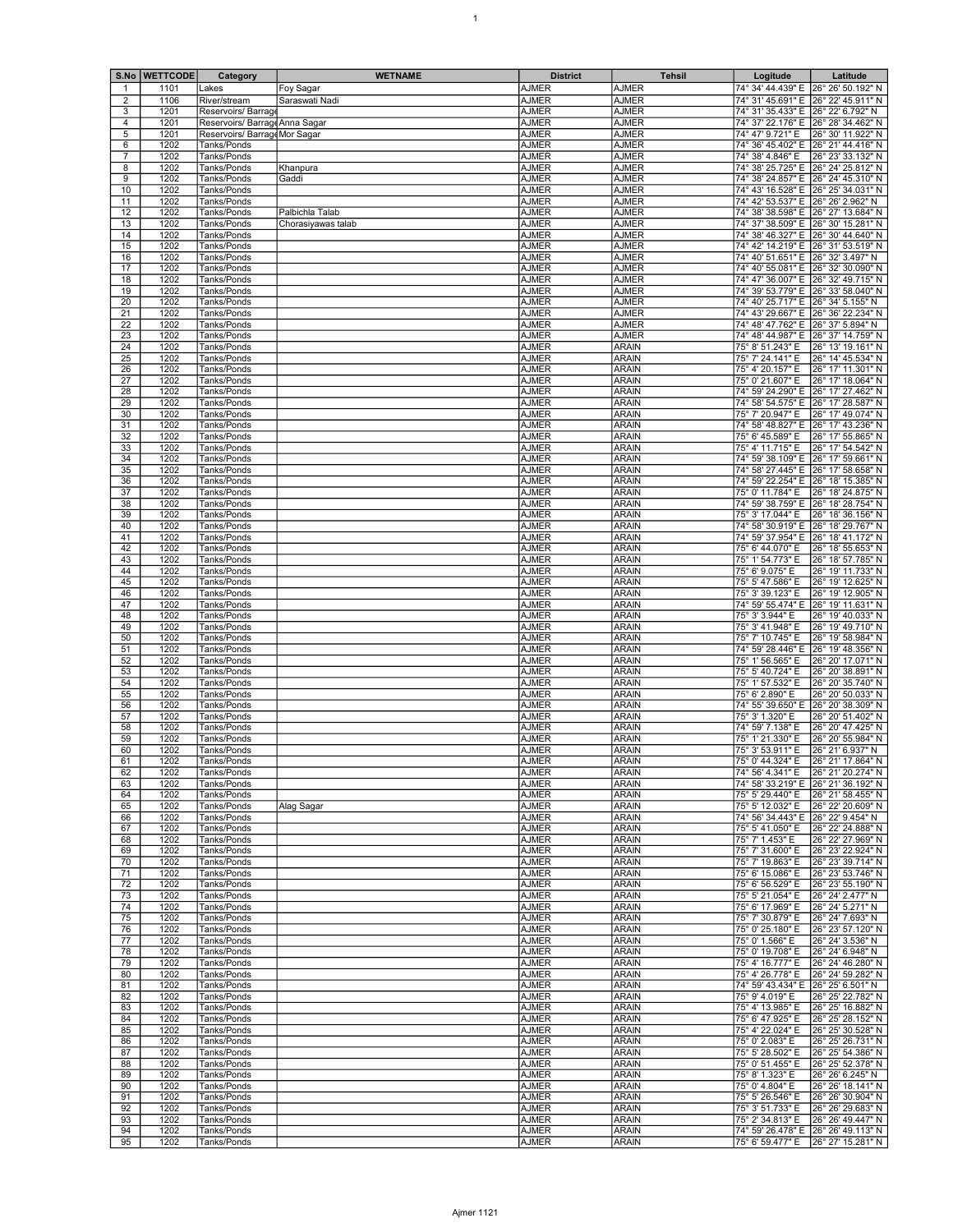|                     | S.No   WETTCODE | Category                                             | <b>WETNAME</b>     | <b>District</b>              | <b>Tehsil</b>                | Logitude                                                 | Latitude                               |
|---------------------|-----------------|------------------------------------------------------|--------------------|------------------------------|------------------------------|----------------------------------------------------------|----------------------------------------|
| 1                   | 1101            | Lakes                                                | Foy Sagar          | AJMER                        | <b>AJMER</b>                 | 74° 34' 44.439" E                                        | 26° 26' 50.192" N                      |
| 2                   | 1106            | River/stream                                         | Saraswati Nadi     | <b>AJMER</b><br><b>AJMER</b> | <b>AJMER</b>                 | 74° 31' 45.691" E 26° 22' 45.911" N                      |                                        |
| 3<br>$\overline{4}$ | 1201<br>1201    | Reservoirs/ Barrag<br>Reservoirs/ Barrage Anna Sagar |                    | <b>AJMER</b>                 | <b>AJMER</b><br><b>AJMER</b> | 74° 31' 35.433" E<br>74° 37' 22.176" E 26° 28' 34.462" N | 26° 22' 6.792" N                       |
| 5                   | 1201            | Reservoirs/ Barrage Mor Sagar                        |                    | <b>AJMER</b>                 | <b>AJMER</b>                 | 74° 47' 9.721" E                                         | 26° 30' 11.922" N                      |
| 6                   | 1202            | Tanks/Ponds                                          |                    | AJMER                        | AJMER                        | 74° 36' 45.402" E                                        | 26° 21' 44.416" N                      |
| $\overline{7}$<br>8 | 1202<br>1202    | Tanks/Ponds<br>Tanks/Ponds                           |                    | <b>AJMER</b><br><b>AJMER</b> | <b>AJMER</b><br><b>AJMER</b> | 74° 38' 4.846" E<br>74° 38' 25.725" E                    | 26° 23' 33.132" N<br>26° 24' 25.812" N |
| 9                   | 1202            | Tanks/Ponds                                          | Khanpura<br>Gaddi  | <b>AJMER</b>                 | <b>AJMER</b>                 | 74° 38' 24.857" E                                        | 26° 24' 45.310" N                      |
| 10                  | 1202            | Tanks/Ponds                                          |                    | <b>AJMER</b>                 | <b>AJMER</b>                 | 74° 43' 16.528" E 26° 25' 34.031" N                      |                                        |
| 11                  | 1202            | Tanks/Ponds                                          |                    | AJMER                        | AJMER                        | 74° 42' 53.537" E                                        | 26° 26' 2.962" N                       |
| 12<br>13            | 1202<br>1202    | Tanks/Ponds<br>Tanks/Ponds                           | Palbichla Talab    | <b>AJMER</b><br><b>AJMER</b> | <b>AJMER</b><br><b>AJMER</b> | 74° 38' 38.598" E                                        | 26° 27' 13.684" N                      |
| 14                  | 1202            | Tanks/Ponds                                          | Chorasiyawas talab | <b>AJMER</b>                 | <b>AJMER</b>                 | 74° 37' 38.509" E<br>74° 38' 46.327" E                   | 26° 30' 15.281" N<br>26° 30' 44.640" N |
| 15                  | 1202            | Tanks/Ponds                                          |                    | <b>AJMER</b>                 | <b>AJMER</b>                 | 74° 42' 14.219" E 26° 31' 53.519" N                      |                                        |
| 16                  | 1202            | Tanks/Ponds                                          |                    | <b>AJMER</b>                 | AJMER                        | 74° 40' 51.651" E                                        | 26° 32' 3.497" N                       |
| 17<br>18            | 1202<br>1202    | Tanks/Ponds<br>Tanks/Ponds                           |                    | <b>AJMER</b><br><b>AJMER</b> | <b>AJMER</b><br><b>AJMER</b> | 74° 40' 55.081" E<br>74° 47' 36.007" E                   | 26° 32' 30.090" N<br>26° 32' 49.715" N |
| 19                  | 1202            | Tanks/Ponds                                          |                    | <b>AJMER</b>                 | <b>AJMER</b>                 | 74° 39' 53.779" E                                        | 26° 33' 58.040" N                      |
| $\overline{20}$     | 1202            | Tanks/Ponds                                          |                    | <b>AJMER</b>                 | <b>AJMER</b>                 | 74° 40' 25.717" E 26° 34' 5.155" N                       |                                        |
| 21                  | 1202            | Tanks/Ponds                                          |                    | <b>AJMER</b>                 | AJMER                        | 74° 43' 29.667" E                                        | 26° 36' 22.234" N                      |
| 22<br>23            | 1202<br>1202    | Tanks/Ponds<br>Tanks/Ponds                           |                    | <b>AJMER</b><br><b>AJMER</b> | <b>AJMER</b><br><b>AJMER</b> | 74° 48' 47.762" E<br>74° 48' 44.987" E                   | 26° 37' 5.894" N<br>26° 37' 14.759" N  |
| 24                  | 1202            | Tanks/Ponds                                          |                    | <b>AJMER</b>                 | <b>ARAIN</b>                 | 75° 8' 51.243" E                                         | 26° 13′ 19.161" N                      |
| 25                  | 1202            | Tanks/Ponds                                          |                    | <b>AJMER</b>                 | <b>ARAIN</b>                 | 75° 7' 24.141" E                                         | 26° 14' 45.534" N                      |
| 26                  | 1202            | Tanks/Ponds                                          |                    | <b>AJMER</b>                 | <b>ARAIN</b>                 | 75° 4' 20.157" E                                         | 26° 17' 11.301" N                      |
| 27<br>28            | 1202<br>1202    | Tanks/Ponds<br>Tanks/Ponds                           |                    | <b>AJMER</b><br><b>AJMER</b> | <b>ARAIN</b><br><b>ARAIN</b> | 75° 0' 21.607" E<br>74° 59' 24.290" E                    | 26° 17' 18.064" N<br>26° 17' 27.462" N |
| 29                  | 1202            | Tanks/Ponds                                          |                    | <b>AJMER</b>                 | <b>ARAIN</b>                 | 74° 58' 54.575" E                                        | 26° 17' 28.587" N                      |
| 30                  | 1202            | Tanks/Ponds                                          |                    | <b>AJMER</b>                 | <b>ARAIN</b>                 | 75° 7' 20.947" E                                         | 26° 17' 49.074" N                      |
| 31                  | 1202            | Tanks/Ponds                                          |                    | AJMER                        | <b>ARAIN</b>                 | 74° 58' 48.827" E                                        | 26° 17' 43.236" N                      |
| 32<br>33            | 1202<br>1202    | Tanks/Ponds<br>Tanks/Ponds                           |                    | <b>AJMER</b><br><b>AJMER</b> | <b>ARAIN</b><br><b>ARAIN</b> | 75° 6' 45.589" E<br>75° 4' 11.715" E                     | 26° 17' 55.865" N<br>26° 17' 54.542" N |
| 34                  | 1202            | Tanks/Ponds                                          |                    | <b>AJMER</b>                 | <b>ARAIN</b>                 | 74° 59' 38.109" E                                        | 26° 17' 59.661" N                      |
| 35                  | 1202            | Tanks/Ponds                                          |                    | <b>AJMER</b>                 | <b>ARAIN</b>                 | 74° 58' 27.445" E 26° 17' 58.658" N                      |                                        |
| 36                  | 1202            | Tanks/Ponds                                          |                    | AJMER                        | <b>ARAIN</b>                 | 74° 59' 22.254" E                                        | 26° 18' 15.385" N                      |
| 37<br>38            | 1202<br>1202    | Tanks/Ponds<br>Tanks/Ponds                           |                    | <b>AJMER</b><br>AJMER        | <b>ARAIN</b><br><b>ARAIN</b> | 75° 0' 11.784" E<br>74° 59' 38.759" E                    | 26° 18′ 24.875″ N<br>26° 18' 28.754" N |
| 39                  | 1202            | Tanks/Ponds                                          |                    | <b>AJMER</b>                 | <b>ARAIN</b>                 | 75° 3' 17.044" E                                         | 26° 18′ 36.156″ N                      |
| 40                  | 1202            | Tanks/Ponds                                          |                    | <b>AJMER</b>                 | <b>ARAIN</b>                 | 74° 58' 30.919" E                                        | 26° 18' 29.767" N                      |
| 41                  | 1202            | Tanks/Ponds                                          |                    | AJMER                        | <b>ARAIN</b>                 | 74° 59' 37.954" E                                        | 26° 18' 41.172" N                      |
| 42<br>43            | 1202<br>1202    | Tanks/Ponds<br>Tanks/Ponds                           |                    | <b>AJMER</b><br>AJMER        | <b>ARAIN</b><br><b>ARAIN</b> | 75° 6' 44.070" E<br>75° 1' 54.773" E                     | 26° 18′ 55.653″ N<br>26° 18′ 57.785″ N |
| 44                  | 1202            | Tanks/Ponds                                          |                    | <b>AJMER</b>                 | <b>ARAIN</b>                 | 75° 6' 9.075" E                                          | 26° 19′ 11.733" N                      |
| 45                  | 1202            | Tanks/Ponds                                          |                    | <b>AJMER</b>                 | <b>ARAIN</b>                 | 75° 5' 47.586" E                                         | 26° 19' 12.625" N                      |
| 46                  | 1202            | Tanks/Ponds                                          |                    | <b>AJMER</b>                 | <b>ARAIN</b>                 | 75° 3' 39.123" E                                         | 26° 19' 12.905" N                      |
| 47<br>48            | 1202<br>1202    | Tanks/Ponds<br>Tanks/Ponds                           |                    | <b>AJMER</b><br><b>AJMER</b> | <b>ARAIN</b><br><b>ARAIN</b> | 74° 59' 55.474" E<br>75° 3' 3.944" E                     | 26° 19' 11.631" N<br>26° 19′ 40.033″ N |
| 49                  | 1202            | Tanks/Ponds                                          |                    | <b>AJMER</b>                 | <b>ARAIN</b>                 | 75° 3' 41.948" E                                         | 26° 19′ 49.710″ N                      |
| 50                  | 1202            | Tanks/Ponds                                          |                    | <b>AJMER</b>                 | <b>ARAIN</b>                 | 75° 7' 10.745" E                                         | 26° 19' 58.984" N                      |
| 51<br>52            | 1202<br>1202    | Tanks/Ponds<br>Tanks/Ponds                           |                    | <b>AJMER</b><br><b>AJMER</b> | <b>ARAIN</b><br><b>ARAIN</b> | 74° 59' 28.446" E<br>75° 1' 56.565" E                    | 26° 19' 48.356" N<br>26° 20′ 17.071" N |
| 53                  | 1202            | Tanks/Ponds                                          |                    | <b>AJMER</b>                 | <b>ARAIN</b>                 | 75° 5' 40.724" E                                         | 26° 20′ 38.891″ N                      |
| 54                  | 1202            | Tanks/Ponds                                          |                    | <b>AJMER</b>                 | <b>ARAIN</b>                 | 75° 1' 57.532" E                                         | 26° 20′ 35.740″ N                      |
| 55                  | 1202            | Tanks/Ponds                                          |                    | <b>AJMER</b>                 | <b>ARAIN</b>                 | 75° 6' 2.890" E                                          | 26° 20' 50.033" N                      |
| 56<br>57            | 1202<br>1202    | Tanks/Ponds<br>Tanks/Ponds                           |                    | <b>AJMER</b><br><b>AJMER</b> | <b>ARAIN</b><br><b>ARAIN</b> | 74° 55' 39.650" E<br>75° 3' 1.320" E                     | 26° 20' 38.309" N<br>26° 20' 51.402" N |
| 58                  | 1202            | Tanks/Ponds                                          |                    | AJMER                        | <b>ARAIN</b>                 | 74° 59' 7.138" E                                         | 26° 20' 47.425" N                      |
| 59                  | 1202            | Tanks/Ponds                                          |                    | AJMER                        | <b>ARAIN</b>                 | 75° 1' 21.330" E                                         | 26° 20' 55.984" N                      |
| 60                  | 1202            | Tanks/Ponds                                          |                    | <b>AJMER</b>                 | <b>ARAIN</b>                 | 75° 3' 53.911" E                                         | 26° 21' 6.937" N                       |
| 61<br>62            | 1202<br>1202    | Tanks/Ponds<br>Tanks/Ponds                           |                    | <b>AJMER</b><br><b>AJMER</b> | <b>ARAIN</b><br>ARAIN        | 75° 0' 44.324" E<br>74° 56' 4.341" E                     | 26° 21' 17.864" N<br>26° 21' 20.274" N |
| 63                  | 1202            | Tanks/Ponds                                          |                    | <b>AJMER</b>                 | <b>ARAIN</b>                 | 74° 58' 33.219" E                                        | 26° 21' 36.192" N                      |
| 64                  | 1202            | Tanks/Ponds                                          |                    | <b>AJMER</b>                 | <b>ARAIN</b>                 | 75° 5' 29.440" E                                         | 26° 21' 58.455" N                      |
| 65<br>66            | 1202<br>1202    | Tanks/Ponds                                          | Alag Sagar         | <b>AJMER</b>                 | <b>ARAIN</b><br><b>ARAIN</b> | 75° 5' 12.032" E<br>74° 56' 34.443" E                    | 26° 22' 20.609" N<br>26° 22' 9.454" N  |
| 67                  | 1202            | Tanks/Ponds<br>Tanks/Ponds                           |                    | AJMER<br><b>AJMER</b>        | <b>ARAIN</b>                 | 75° 5' 41.050" E                                         | 26° 22' 24.888" N                      |
| 68                  | 1202            | Tanks/Ponds                                          |                    | <b>AJMER</b>                 | <b>ARAIN</b>                 | 75° 7' 1.453" E                                          | 26° 22′ 27.969″ N                      |
| 69                  | 1202            | Tanks/Ponds                                          |                    | <b>AJMER</b>                 | <b>ARAIN</b>                 | 75° 7' 31.600" E                                         | 26° 23′ 22.924″ N                      |
| 70<br>71            | 1202<br>1202    | Tanks/Ponds<br>Tanks/Ponds                           |                    | <b>AJMER</b><br>AJMER        | <b>ARAIN</b><br><b>ARAIN</b> | 75° 7' 19.863" E<br>75° 6' 15.086" E                     | 26° 23' 39.714" N<br>26° 23′ 53.746" N |
| 72                  | 1202            | Tanks/Ponds                                          |                    | AJMER                        | <b>ARAIN</b>                 | 75° 6' 56.529" E                                         | 26° 23' 55.190" N                      |
| 73                  | 1202            | Tanks/Ponds                                          |                    | AJMER                        | <b>ARAIN</b>                 | 75° 5' 21.054" E                                         | 26° 24' 2.477" N                       |
| 74                  | 1202            | Tanks/Ponds                                          |                    | <b>AJMER</b>                 | <b>ARAIN</b>                 | 75° 6' 17.969" E                                         | 26° 24' 5.271" N                       |
| 75<br>76            | 1202<br>1202    | Tanks/Ponds<br>Tanks/Ponds                           |                    | <b>AJMER</b><br>AJMER        | <b>ARAIN</b><br><b>ARAIN</b> | 75° 7' 30.879" E<br>75° 0' 25.180" E                     | 26° 24' 7.693" N<br>26° 23' 57.120" N  |
| 77                  | 1202            | Tanks/Ponds                                          |                    | AJMER                        | <b>ARAIN</b>                 | 75° 0' 1.566" E                                          | 26° 24' 3.536" N                       |
| 78                  | 1202            | Tanks/Ponds                                          |                    | <b>AJMER</b>                 | <b>ARAIN</b>                 | 75° 0' 19.708" E                                         | 26° 24' 6.948" N                       |
| 79                  | 1202            | Tanks/Ponds                                          |                    | <b>AJMER</b><br><b>AJMER</b> | <b>ARAIN</b>                 | 75° 4' 16.777" E                                         | 26° 24′ 46.280″ N                      |
| 80<br>81            | 1202<br>1202    | Tanks/Ponds<br>Tanks/Ponds                           |                    | AJMER                        | <b>ARAIN</b><br><b>ARAIN</b> | 75° 4' 26.778" E<br>74° 59' 43.434" E                    | 26° 24' 59.282" N<br>26° 25' 6.501" N  |
| 82                  | 1202            | Tanks/Ponds                                          |                    | <b>AJMER</b>                 | <b>ARAIN</b>                 | 75° 9' 4.019" E                                          | 26° 25' 22.782" N                      |
| 83                  | 1202            | Tanks/Ponds                                          |                    | <b>AJMER</b>                 | <b>ARAIN</b>                 | 75° 4' 13.985" E                                         | 26° 25′ 16.882″ N                      |
| 84<br>85            | 1202<br>1202    | Tanks/Ponds<br>Tanks/Ponds                           |                    | <b>AJMER</b><br><b>AJMER</b> | <b>ARAIN</b><br><b>ARAIN</b> | 75° 6' 47.925" E<br>75° 4' 22.024" E                     | 26° 25′ 28.152″ N<br>26° 25' 30.528" N |
| 86                  | 1202            | Tanks/Ponds                                          |                    | AJMER                        | <b>ARAIN</b>                 | 75° 0' 2.083" E                                          | 26° 25' 26.731" N                      |
| 87                  | 1202            | Tanks/Ponds                                          |                    | <b>AJMER</b>                 | <b>ARAIN</b>                 | 75° 5' 28.502" E                                         | 26° 25' 54.386" N                      |
| 88                  | 1202            | Tanks/Ponds                                          |                    | <b>AJMER</b>                 | <b>ARAIN</b>                 | 75° 0' 51.455" E                                         | 26° 25′ 52.378″ N                      |
| 89<br>90            | 1202<br>1202    | Tanks/Ponds<br>Tanks/Ponds                           |                    | <b>AJMER</b><br><b>AJMER</b> | <b>ARAIN</b><br><b>ARAIN</b> | 75° 8' 1.323" E<br>75° 0' 4.804" E                       | 26° 26′ 6.245″ N<br>26° 26' 18.141" N  |
| 91                  | 1202            | Tanks/Ponds                                          |                    | AJMER                        | ARAIN                        | 75° 5' 26.546" E                                         | 26° 26′ 30.904″ N                      |
| 92                  | 1202            | Tanks/Ponds                                          |                    | <b>AJMER</b>                 | <b>ARAIN</b>                 | 75° 3' 51.733" E                                         | 26° 26' 29.683" N                      |
| 93<br>94            | 1202            | Tanks/Ponds                                          |                    | <b>AJMER</b>                 | <b>ARAIN</b>                 | 75° 2' 34.813" E<br>74° 59' 26.478" E 26° 26' 49.113" N  | 26° 26' 49.447" N                      |
| 95                  | 1202<br>1202    | Tanks/Ponds<br>Tanks/Ponds                           |                    | AJMER<br><b>AJMER</b>        | <b>ARAIN</b><br><b>ARAIN</b> |                                                          | 75° 6' 59.477" E 26° 27' 15.281" N     |

 $\overline{1}$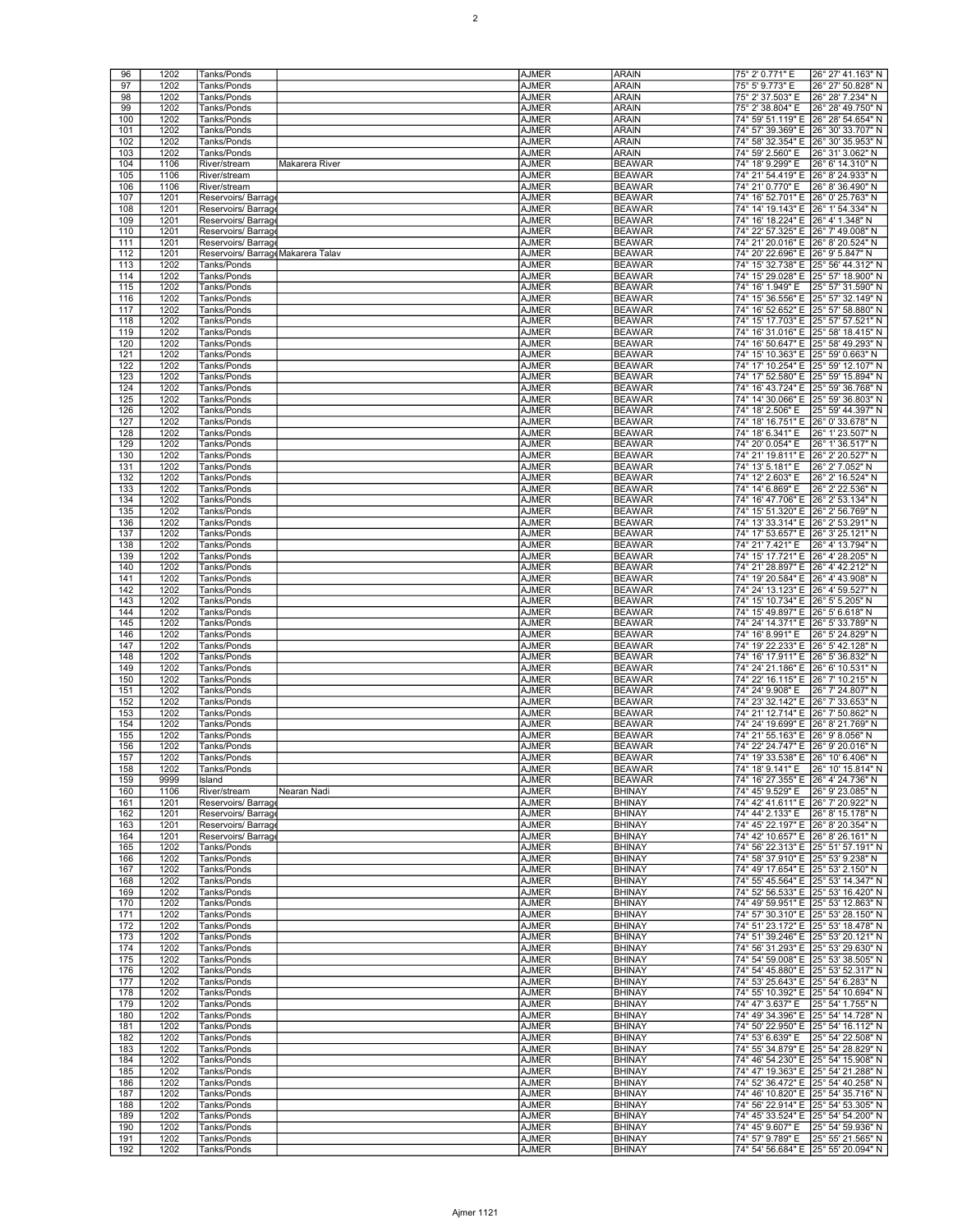| 96  | 1202 | Tanks/Ponds                        | AJMER        | <b>ARAIN</b>  | 75° 2' 0.771" E                      | 26° 27' 41.163" N                   |
|-----|------|------------------------------------|--------------|---------------|--------------------------------------|-------------------------------------|
| 97  | 1202 | Tanks/Ponds                        | AJMER        | <b>ARAIN</b>  | 75° 5' 9.773" E                      | 26° 27' 50.828" N                   |
|     |      |                                    |              |               |                                      |                                     |
| 98  | 1202 | Tanks/Ponds                        | AJMER        | <b>ARAIN</b>  | 75° 2' 37.503" E                     | 26° 28' 7.234" N                    |
| 99  | 1202 | Tanks/Ponds                        | AJMER        | <b>ARAIN</b>  | 75° 2' 38.804" E                     | 26° 28' 49.750" N                   |
| 100 | 1202 | Tanks/Ponds                        | <b>AJMER</b> | <b>ARAIN</b>  | 74° 59' 51.119" E                    | 26° 28' 54.654" N                   |
| 101 | 1202 | Tanks/Ponds                        | <b>AJMER</b> | <b>ARAIN</b>  | 74° 57' 39.369" E                    | 26° 30' 33.707" N                   |
| 102 | 1202 | Tanks/Ponds                        | <b>AJMER</b> | <b>ARAIN</b>  |                                      | 74° 58′ 32.354″ E 26° 30′ 35.953″ N |
| 103 | 1202 | Tanks/Ponds                        | AJMER        | <b>ARAIN</b>  | 74° 59' 2.560" E                     | 26° 31' 3.062" N                    |
| 104 | 1106 | River/stream<br>Makarera River     | AJMER        | <b>BEAWAR</b> | 74° 18' 9.299" E                     | 26° 6' 14.310" N                    |
| 105 | 1106 | River/stream                       | <b>AJMER</b> | <b>BEAWAR</b> | 74° 21' 54.419" E                    | 26° 8' 24.933" N                    |
| 106 | 1106 | River/stream                       | <b>AJMER</b> | <b>BEAWAR</b> | 74° 21' 0.770" E                     |                                     |
|     |      |                                    |              |               |                                      | 26° 8' 36.490" N                    |
| 107 | 1201 | Reservoirs/ Barrag                 | <b>AJMER</b> | <b>BEAWAR</b> | 74° 16′ 52.701″ E 26° 0′ 25.763″ N   |                                     |
| 108 | 1201 | Reservoirs/ Barrag                 | AJMER        | <b>BEAWAR</b> | 74° 14' 19.143" E 26° 1' 54.334" N   |                                     |
| 109 | 1201 | Reservoirs/ Barrage                | AJMER        | <b>BEAWAR</b> | 74° 16' 18.224" E 26° 4' 1.348" N    |                                     |
| 110 | 1201 | Reservoirs/ Barrag                 | <b>AJMER</b> | <b>BEAWAR</b> | 74° 22' 57.325" E 26° 7' 49.008" N   |                                     |
| 111 | 1201 | Reservoirs/Barrage                 | <b>AJMER</b> | <b>BEAWAR</b> | 74° 21' 20.016" E 26° 8' 20.524" N   |                                     |
| 112 | 1201 | Reservoirs/ Barrage Makarera Talav | AJMER        | <b>BEAWAR</b> | 74° 20' 22.696" E 26° 9' 5.847" N    |                                     |
| 113 | 1202 | Tanks/Ponds                        | AJMER        | <b>BEAWAR</b> |                                      | 74° 15' 32.738" E 25° 56' 44.312" N |
|     |      |                                    |              |               |                                      |                                     |
| 114 | 1202 | Tanks/Ponds                        | AJMER        | <b>BEAWAR</b> |                                      | 74° 15' 29.028" E 25° 57' 18.900" N |
| 115 | 1202 | Tanks/Ponds                        | <b>AJMER</b> | <b>BEAWAR</b> | 74° 16' 1.949" E                     | 25° 57' 31.590" N                   |
| 116 | 1202 | Tanks/Ponds                        | <b>AJMER</b> | <b>BEAWAR</b> |                                      | 74° 15' 36.556" E 25° 57' 32.149" N |
| 117 | 1202 | Tanks/Ponds                        | AJMER        | <b>BEAWAR</b> |                                      | 74° 16' 52.652" E 25° 57' 58.880" N |
| 118 | 1202 | Tanks/Ponds                        | AJMER        | <b>BEAWAR</b> |                                      | 74° 15' 17.703" E 25° 57' 57.521" N |
| 119 | 1202 | Tanks/Ponds                        | AJMER        | <b>BEAWAR</b> |                                      | 74° 16' 31.016" E 25° 58' 18.415" N |
| 120 | 1202 | Tanks/Ponds                        | <b>AJMER</b> | <b>BEAWAR</b> |                                      | 74° 16' 50.647" E 25° 58' 49.293" N |
| 121 | 1202 | Tanks/Ponds                        | <b>AJMER</b> | <b>BEAWAR</b> | 74° 15' 10.363" E 25° 59' 0.663" N   |                                     |
| 122 | 1202 |                                    |              | <b>BEAWAR</b> | 74° 17' 10.254" E 25° 59' 12.107" N  |                                     |
|     |      | Tanks/Ponds                        | AJMER        |               |                                      |                                     |
| 123 | 1202 | Tanks/Ponds                        | AJMER        | <b>BEAWAR</b> |                                      | 74° 17' 52.580" E 25° 59' 15.894" N |
| 124 | 1202 | Tanks/Ponds                        | AJMER        | <b>BEAWAR</b> | 74° 16' 43.724" E 25° 59' 36.768" N  |                                     |
| 125 | 1202 | Tanks/Ponds                        | <b>AJMER</b> | <b>BEAWAR</b> | 74° 14' 30.066" E                    | 25° 59' 36.803" N                   |
| 126 | 1202 | Tanks/Ponds                        | <b>AJMER</b> | <b>BEAWAR</b> | 74° 18' 2.506" E                     | 25° 59' 44.397" N                   |
| 127 | 1202 | Tanks/Ponds                        | <b>AJMER</b> | <b>BEAWAR</b> | 74° 18' 16.751" E 26° 0' 33.678" N   |                                     |
| 128 | 1202 | Tanks/Ponds                        | AJMER        | <b>BEAWAR</b> | 74° 18' 6.341" E                     | 26° 1' 23.507" N                    |
| 129 | 1202 | Tanks/Ponds                        | AJMER        | <b>BEAWAR</b> | 74° 20' 0.054" E                     | 26° 1' 36.517" N                    |
| 130 | 1202 | Tanks/Ponds                        | <b>AJMER</b> | <b>BEAWAR</b> | 74° 21' 19.811" E                    | 26° 2' 20.527" N                    |
|     |      |                                    |              |               |                                      |                                     |
| 131 | 1202 | Tanks/Ponds                        | <b>AJMER</b> | <b>BEAWAR</b> | 74° 13' 5.181" E                     | 26° 2' 7.052" N                     |
| 132 | 1202 | Tanks/Ponds                        | <b>AJMER</b> | <b>BEAWAR</b> | 74° 12' 2.603" E                     | 26° 2' 16.524" N                    |
| 133 | 1202 | Tanks/Ponds                        | AJMER        | <b>BEAWAR</b> | 74° 14' 6.869" E                     | 26° 2' 22.536" N                    |
| 134 | 1202 | Tanks/Ponds                        | AJMER        | <b>BEAWAR</b> | 74° 16' 47.706" E 26° 2' 53.134" N   |                                     |
| 135 | 1202 | Tanks/Ponds                        | <b>AJMER</b> | <b>BEAWAR</b> | 74° 15' 51.320" E 26° 2' 56.769" N   |                                     |
| 136 | 1202 | Tanks/Ponds                        | <b>AJMER</b> | <b>BEAWAR</b> | 74° 13' 33.314" E                    | 26° 2' 53.291" N                    |
| 137 | 1202 | Tanks/Ponds                        | <b>AJMER</b> | <b>BEAWAR</b> | 74° 17' 53.657" E 26° 3' 25.121" N   |                                     |
| 138 | 1202 | Tanks/Ponds                        | AJMER        | <b>BEAWAR</b> | 74° 21' 7.421" E                     | 26° 4' 13.794" N                    |
|     | 1202 |                                    |              | <b>BEAWAR</b> | 74° 15' 17.721" E 26° 4' 28.205" N   |                                     |
| 139 |      | Tanks/Ponds                        | AJMER        |               |                                      |                                     |
| 140 | 1202 | Tanks/Ponds                        | <b>AJMER</b> | <b>BEAWAR</b> | 74° 21' 28.897" E 26° 4' 42.212" N   |                                     |
| 141 | 1202 | Tanks/Ponds                        | <b>AJMER</b> | <b>BEAWAR</b> | 74° 19' 20.584" E 26° 4' 43.908" N   |                                     |
| 142 | 1202 | Tanks/Ponds                        | AJMER        | <b>BEAWAR</b> | 74° 24′ 13.123″ E 26° 4′ 59.527″ N   |                                     |
| 143 | 1202 | Tanks/Ponds                        | AJMER        | <b>BEAWAR</b> | 74° 15' 10.734" E 26° 5' 5.205" N    |                                     |
| 144 | 1202 | Tanks/Ponds                        | AJMER        | <b>BEAWAR</b> | 74° 15' 49.897" E 26° 5' 6.618" N    |                                     |
| 145 | 1202 | Tanks/Ponds                        | <b>AJMER</b> | <b>BEAWAR</b> | 74° 24' 14.371" E 26° 5' 33.789" N   |                                     |
| 146 | 1202 | Tanks/Ponds                        | <b>AJMER</b> | <b>BEAWAR</b> | 74° 16' 8.991" E                     | 26° 5' 24.829" N                    |
| 147 | 1202 | Tanks/Ponds                        | AJMER        | <b>BEAWAR</b> | 74° 19′ 22.233″ E 26° 5′ 42.128″ N   |                                     |
| 148 | 1202 | Tanks/Ponds                        | AJMER        | <b>BEAWAR</b> | 74° 16' 17.911" E 26° 5' 36.832" N   |                                     |
| 149 | 1202 |                                    |              | <b>BEAWAR</b> |                                      |                                     |
|     |      | Tanks/Ponds                        | AJMER        |               | 74° 24′ 21.186″ E 26° 6′ 10.531″ N   |                                     |
| 150 | 1202 | Tanks/Ponds                        | <b>AJMER</b> | <b>BEAWAR</b> | 74° 22' 16.115" E                    | 26° 7' 10.215" N                    |
| 151 | 1202 | Tanks/Ponds                        | <b>AJMER</b> | <b>BEAWAR</b> | 74° 24' 9.908" E                     | 26° 7' 24.807" N                    |
| 152 | 1202 | Tanks/Ponds                        | AJMER        | <b>BEAWAR</b> | 74° 23' 32.142" E                    | 26° 7' 33.653" N                    |
| 153 | 1202 | Tanks/Ponds                        | AJMER        | <b>BEAWAR</b> | 74° 21' 12.714" E 26° 7' 50.862" N   |                                     |
| 154 | 1202 | Tanks/Ponds                        | AJMER        | <b>BEAWAR</b> | 74° 24′ 19.699″ E 26° 8′ 21.769″ N   |                                     |
| 155 | 1202 | Tanks/Ponds                        | <b>AJMER</b> | <b>BEAWAR</b> | 74° 21' 55.163" E 26° 9' 8.056" N    |                                     |
| 156 | 1202 | Tanks/Ponds                        | AJMER        | <b>BEAWAR</b> | 74° 22′ 24.747″ E   26° 9′ 20.016″ N |                                     |
| 157 | 1202 | Tanks/Ponds                        | <b>AJMER</b> | <b>BEAWAR</b> | 74° 19' 33.538" E 26° 10' 6.406" N   |                                     |
| 158 | 1202 | Tanks/Ponds                        | AJMER        | <b>BEAWAR</b> | 74° 18' 9.141" E                     | 26° 10' 15.814" N                   |
| 159 | 9999 | Island                             | AJMER        | <b>BEAWAR</b> | 74° 16' 27.355" E 26° 4' 24.736" N   |                                     |
|     |      |                                    |              |               |                                      |                                     |
| 160 | 1106 | River/stream<br>Nearan Nadi        | <b>AJMER</b> | <b>BHINAY</b> | 74° 45' 9.529" E                     | 26° 9' 23.085" N                    |
| 161 | 1201 | Reservoirs/Barrage                 | <b>AJMER</b> | <b>BHINAY</b> | 74° 42′ 41.611″ E 26° 7′ 20.922″ N   |                                     |
| 162 | 1201 | Reservoirs/ Barrag                 | AJMER        | <b>BHINAY</b> | 74° 44' 2.133" E 26° 8' 15.178" N    |                                     |
| 163 | 1201 | Reservoirs/ Barrage                | AJMER        | <b>BHINAY</b> | 74° 45' 22.197" E 26° 8' 20.354" N   |                                     |
| 164 | 1201 | Reservoirs/ Barrage                | AJMER        | <b>BHINAY</b> | 74° 42′ 10.657″ E 26° 8′ 26.161″ N   |                                     |
| 165 | 1202 | Tanks/Ponds                        | <b>AJMER</b> | <b>BHINAY</b> | 74° 56' 22.313" E 25° 51' 57.191" N  |                                     |
| 166 | 1202 | Tanks/Ponds                        | <b>AJMER</b> | <b>BHINAY</b> | 74° 58' 37.910" E 25° 53' 9.238" N   |                                     |
| 167 | 1202 | Tanks/Ponds                        | AJMER        | <b>BHINAY</b> | 74° 49' 17.654" E 25° 53' 2.150" N   |                                     |
| 168 | 1202 | Tanks/Ponds                        | AJMER        | <b>BHINAY</b> |                                      | 74° 55' 45.564" E 25° 53' 14.347" N |
| 169 | 1202 | Tanks/Ponds                        | AJMER        | <b>BHINAY</b> |                                      | 74° 52′ 56.533″ E 25° 53′ 16.420″ N |
| 170 | 1202 | Tanks/Ponds                        | <b>AJMER</b> | <b>BHINAY</b> |                                      | 74° 49' 59.951" E 25° 53' 12.863" N |
| 171 | 1202 | Tanks/Ponds                        | <b>AJMER</b> | <b>BHINAY</b> |                                      | 74° 57' 30.310" E 25° 53' 28.150" N |
|     |      |                                    |              |               |                                      |                                     |
| 172 | 1202 | Tanks/Ponds                        | AJMER        | <b>BHINAY</b> |                                      | 74° 51' 23.172" E 25° 53' 18.478" N |
| 173 | 1202 | Tanks/Ponds                        | AJMER        | <b>BHINAY</b> | 74° 51' 39.246" E 25° 53' 20.121" N  |                                     |
| 174 | 1202 | Tanks/Ponds                        | AJMER        | <b>BHINAY</b> | 74° 56' 31.293" E 25° 53' 29.630" N  |                                     |
| 175 | 1202 | Tanks/Ponds                        | <b>AJMER</b> | <b>BHINAY</b> |                                      | 74° 54' 59.008" E 25° 53' 38.505" N |
| 176 | 1202 | Tanks/Ponds                        | AJMER        | <b>BHINAY</b> |                                      | 74° 54' 45.880" E 25° 53' 52.317" N |
| 177 | 1202 | Tanks/Ponds                        | AJMER        | <b>BHINAY</b> | 74° 53' 25.643" E 25° 54' 6.283" N   |                                     |
| 178 | 1202 | Tanks/Ponds                        | AJMER        | <b>BHINAY</b> | 74° 55' 10.392" E 25° 54' 10.694" N  |                                     |
| 179 | 1202 | Tanks/Ponds                        | AJMER        | <b>BHINAY</b> | 74° 47' 3.637" E 25° 54' 1.755" N    |                                     |
| 180 | 1202 | Tanks/Ponds                        | <b>AJMER</b> | <b>BHINAY</b> | 74° 49' 34.396" E 25° 54' 14.728" N  |                                     |
| 181 | 1202 | Tanks/Ponds                        | AJMER        | <b>BHINAY</b> |                                      | 74° 50' 22.950" E 25° 54' 16.112" N |
|     |      |                                    |              |               |                                      |                                     |
| 182 | 1202 | Tanks/Ponds                        | AJMER        | <b>BHINAY</b> | 74° 53' 6.639" E 25° 54' 22.508" N   |                                     |
| 183 | 1202 | Tanks/Ponds                        | AJMER        | <b>BHINAY</b> |                                      | 74° 55' 34.879" E 25° 54' 28.829" N |
| 184 | 1202 | Tanks/Ponds                        | AJMER        | <b>BHINAY</b> | 74° 46' 54.230" E 25° 54' 15.908" N  |                                     |
| 185 | 1202 | Tanks/Ponds                        | <b>AJMER</b> | <b>BHINAY</b> | 74° 47' 19.363" E 25° 54' 21.288" N  |                                     |
| 186 | 1202 | Tanks/Ponds                        | AJMER        | <b>BHINAY</b> |                                      | 74° 52' 36.472" E 25° 54' 40.258" N |
| 187 | 1202 | Tanks/Ponds                        | AJMER        | <b>BHINAY</b> | 74° 46' 10.820" E 25° 54' 35.716" N  |                                     |
| 188 | 1202 | Tanks/Ponds                        | AJMER        | <b>BHINAY</b> | 74° 56' 22.914" E 25° 54' 53.305" N  |                                     |
| 189 | 1202 | Tanks/Ponds                        | AJMER        | <b>BHINAY</b> | 74° 45' 33.524" E 25° 54' 54.200" N  |                                     |
| 190 | 1202 | Tanks/Ponds                        | <b>AJMER</b> | <b>BHINAY</b> | 74° 45' 9.607" E                     | 25° 54' 59.936" N                   |
| 191 | 1202 | Tanks/Ponds                        | AJMER        | <b>BHINAY</b> | 74° 57' 9.789" E                     | 25° 55' 21.565" N                   |
| 192 | 1202 | Tanks/Ponds                        | AJMER        | <b>BHINAY</b> |                                      | 74° 54′ 56.684″ E 25° 55′ 20.094″ N |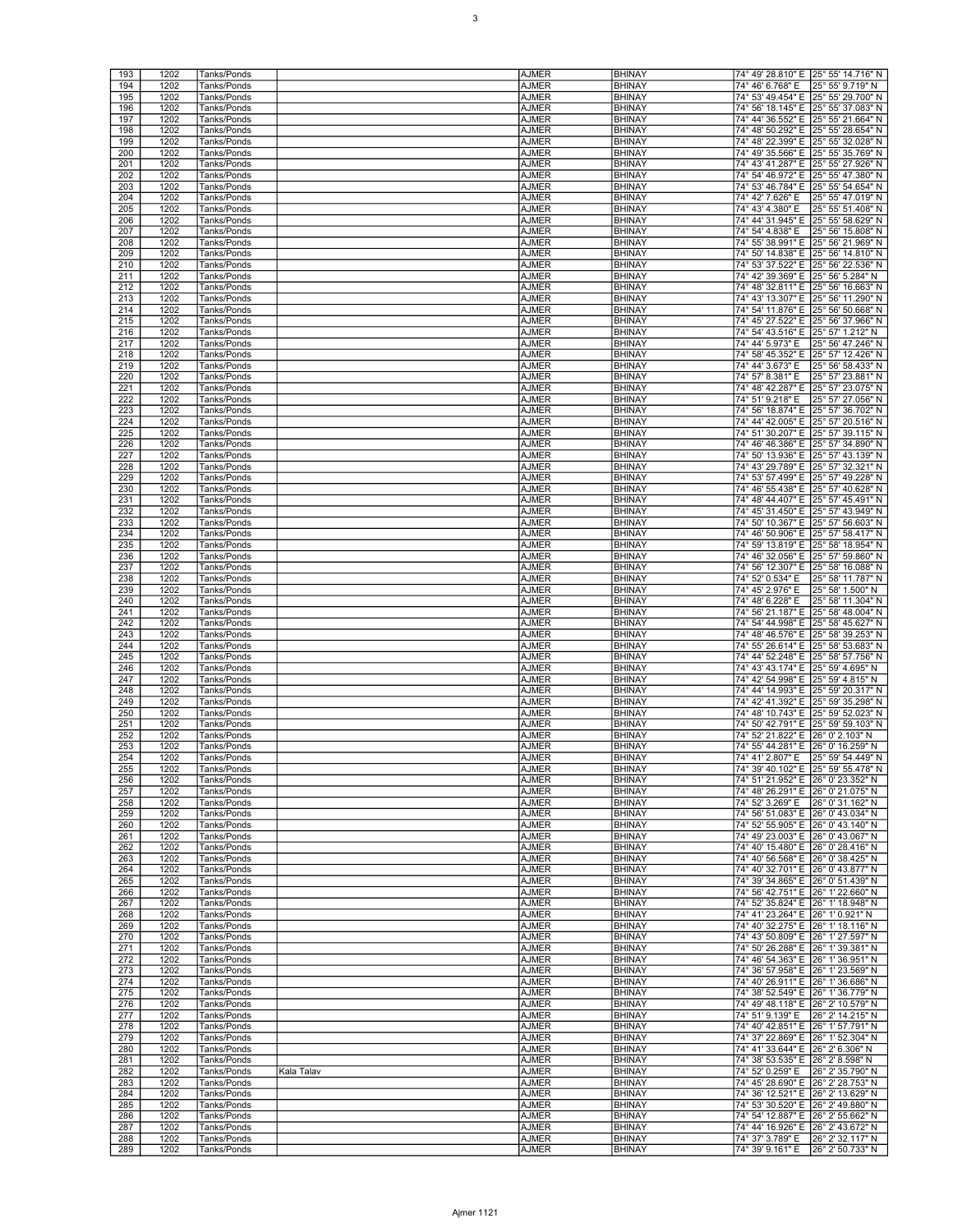| 193<br>194 | 1202         | Tanks/Ponds                |            | <b>AJMER</b>          | <b>BHINAY</b>                  | 74° 49' 28.810" E 25° 55' 14.716" N                                    |                                     |
|------------|--------------|----------------------------|------------|-----------------------|--------------------------------|------------------------------------------------------------------------|-------------------------------------|
|            | 1202         | Tanks/Ponds                |            | <b>AJMER</b>          | <b>BHINAY</b>                  | 74° 46' 6.768" E 25° 55' 9.719" N                                      |                                     |
| 195        | 1202         |                            |            | <b>AJMER</b>          | <b>BHINAY</b>                  | 74° 53' 49.454" E 25° 55' 29.700" N                                    |                                     |
|            |              | Tanks/Ponds                |            |                       |                                |                                                                        |                                     |
| 196        | 1202         | Tanks/Ponds                |            | <b>AJMER</b>          | <b>BHINAY</b>                  |                                                                        | 74° 56' 18.145" E 25° 55' 37.083" N |
| 197        | 1202         | Tanks/Ponds                |            | <b>AJMER</b>          | <b>BHINAY</b>                  | 74° 44' 36.552" E                                                      | 25° 55' 21.664" N                   |
| 198        | 1202         | Tanks/Ponds                |            | <b>AJMER</b>          | <b>BHINAY</b>                  | 74° 48' 50.292" E 25° 55' 28.654" N                                    |                                     |
| 199        | 1202         | Tanks/Ponds                |            | <b>AJMER</b>          | <b>BHINAY</b>                  |                                                                        | 74° 48' 22.399" E 25° 55' 32.028" N |
| 200        | 1202         | Tanks/Ponds                |            | <b>AJMER</b>          | <b>BHINAY</b>                  |                                                                        | 74° 49' 35.566" E 25° 55' 35.769" N |
| 201        | 1202         | Tanks/Ponds                |            | <b>AJMER</b>          | <b>BHINAY</b>                  | 74° 43' 41.287" E 25° 55' 27.926" N                                    |                                     |
| 202        | 1202         | Tanks/Ponds                |            | <b>AJMER</b>          | <b>BHINAY</b>                  | 74° 54' 46.972" E                                                      | 25° 55' 47.380" N                   |
| 203        | 1202         | Tanks/Ponds                |            | <b>AJMER</b>          | <b>BHINAY</b>                  | 74° 53' 46.784" E 25° 55' 54.654" N                                    |                                     |
| 204        | 1202         | Tanks/Ponds                |            | <b>AJMER</b>          | <b>BHINAY</b>                  | 74° 42' 7.626" E                                                       | 25° 55' 47.019" N                   |
| 205        | 1202         | Tanks/Ponds                |            | <b>AJMER</b>          | <b>BHINAY</b>                  | 74° 43' 4.380" E                                                       | 25° 55' 51.408" N                   |
| 206        | 1202         | Tanks/Ponds                |            | <b>AJMER</b>          | <b>BHINAY</b>                  | 74° 44' 31.945" E 25° 55' 58.629" N                                    |                                     |
| 207        | 1202         |                            |            |                       | <b>BHINAY</b>                  | 74° 54' 4.838" E                                                       | 25° 56' 15.808" N                   |
|            |              | Tanks/Ponds                |            | <b>AJMER</b>          | <b>BHINAY</b>                  |                                                                        |                                     |
| 208        | 1202         | Tanks/Ponds                |            | <b>AJMER</b>          |                                | 74° 55' 38.991" E 25° 56' 21.969" N                                    |                                     |
| 209        | 1202         | Tanks/Ponds                |            | <b>AJMER</b>          | <b>BHINAY</b>                  |                                                                        | 74° 50' 14.838" E 25° 56' 14.810" N |
| 210        | 1202         | Tanks/Ponds                |            | <b>AJMER</b>          | <b>BHINAY</b>                  |                                                                        | 74° 53' 37.522" E 25° 56' 22.536" N |
| 211        | 1202         | Tanks/Ponds                |            | <b>AJMER</b>          | <b>BHINAY</b>                  | 74° 42' 39.369" E 25° 56' 5.284" N                                     |                                     |
| 212        | 1202         | Tanks/Ponds                |            | <b>AJMER</b>          | <b>BHINAY</b>                  | 74° 48' 32.811" E                                                      | 25° 56' 16.663" N                   |
| 213        | 1202         | Tanks/Ponds                |            | <b>AJMER</b>          | <b>BHINAY</b>                  | 74° 43' 13.307" E 25° 56' 11.290" N                                    |                                     |
| 214        | 1202         | Tanks/Ponds                |            | <b>AJMER</b>          | <b>BHINAY</b>                  |                                                                        | 74° 54' 11.876" E 25° 56' 50.668" N |
| 215        | 1202         | Tanks/Ponds                |            | <b>AJMER</b>          | <b>BHINAY</b>                  | 74° 45' 27.522" E 25° 56' 37.966" N                                    |                                     |
| 216        | 1202         | Tanks/Ponds                |            | <b>AJMER</b>          | <b>BHINAY</b>                  | 74° 54' 43.516" E 25° 57' 1.212" N                                     |                                     |
| 217        | 1202         | Tanks/Ponds                |            | <b>AJMER</b>          | <b>BHINAY</b>                  | 74° 44' 5.973" E                                                       | 25° 56' 47.246" N                   |
| 218        | 1202         | Tanks/Ponds                |            | <b>AJMER</b>          | <b>BHINAY</b>                  | 74° 58' 45.352" E 25° 57' 12.426" N                                    |                                     |
| 219        | 1202         | Tanks/Ponds                |            | <b>AJMER</b>          | <b>BHINAY</b>                  | 74° 44' 3.673" E                                                       | 25° 56' 58.433" N                   |
| 220        | 1202         | Tanks/Ponds                |            | <b>AJMER</b>          | <b>BHINAY</b>                  | 74° 57' 8.381" E                                                       | 25° 57' 23.881" N                   |
|            |              |                            |            |                       |                                |                                                                        | 25° 57' 23.075" N                   |
| 221        | 1202         | Tanks/Ponds                |            | <b>AJMER</b>          | <b>BHINAY</b>                  | 74° 48' 42.287" E                                                      |                                     |
| 222        | 1202         | Tanks/Ponds                |            | <b>AJMER</b>          | <b>BHINAY</b>                  | 74° 51' 9.218" E                                                       | 25° 57' 27.056" N                   |
| 223        | 1202         | Tanks/Ponds                |            | <b>AJMER</b>          | <b>BHINAY</b>                  | 74° 56' 18.874" E 25° 57' 36.702" N                                    |                                     |
| 224        | 1202         | Tanks/Ponds                |            | <b>AJMER</b>          | <b>BHINAY</b>                  |                                                                        | 74° 44' 42.005" E 25° 57' 20.516" N |
| 225        | 1202         | Tanks/Ponds                |            | <b>AJMER</b>          | <b>BHINAY</b>                  |                                                                        | 74° 51' 30.207" E 25° 57' 39.115" N |
| 226        | 1202         | Tanks/Ponds                |            | <b>AJMER</b>          | <b>BHINAY</b>                  | 74° 46' 46.386" E 25° 57' 34.890" N                                    |                                     |
| 227        | 1202         | Tanks/Ponds                |            | <b>AJMER</b>          | <b>BHINAY</b>                  | 74° 50' 13.936" E                                                      | 25° 57' 43.139" N                   |
| 228        | 1202         | Tanks/Ponds                |            | <b>AJMER</b>          | <b>BHINAY</b>                  |                                                                        | 74° 43' 29.789" E 25° 57' 32.321" N |
| 229        | 1202         | Tanks/Ponds                |            | <b>AJMER</b>          | <b>BHINAY</b>                  |                                                                        | 74° 53' 57.499" E 25° 57' 49.228" N |
| 230        | 1202         | Tanks/Ponds                |            | <b>AJMER</b>          | <b>BHINAY</b>                  |                                                                        | 74° 46' 55.438" E 25° 57' 40.628" N |
| 231        | 1202         | Tanks/Ponds                |            | <b>AJMER</b>          | <b>BHINAY</b>                  | 74° 48' 44.407" E 25° 57' 45.491" N                                    |                                     |
| 232        | 1202         | Tanks/Ponds                |            | <b>AJMER</b>          | <b>BHINAY</b>                  | 74° 45' 31.450" E                                                      | 25° 57' 43.949" N                   |
| 233        | 1202         | Tanks/Ponds                |            | <b>AJMER</b>          | <b>BHINAY</b>                  |                                                                        |                                     |
|            |              |                            |            |                       |                                | 74° 50' 10.367" E 25° 57' 56.603" N                                    |                                     |
| 234        | 1202         | Tanks/Ponds                |            | <b>AJMER</b>          | <b>BHINAY</b>                  |                                                                        | 74° 46' 50.906" E 25° 57' 58.417" N |
| 235        | 1202         | Tanks/Ponds                |            | <b>AJMER</b>          | <b>BHINAY</b>                  |                                                                        | 74° 59' 13.819" E 25° 58' 18.954" N |
| 236        | 1202         | Tanks/Ponds                |            | <b>AJMER</b>          | <b>BHINAY</b>                  | 74° 46' 32.056" E 25° 57' 59.860" N                                    |                                     |
| 237        | 1202         | Tanks/Ponds                |            | <b>AJMER</b>          | <b>BHINAY</b>                  | 74° 56' 12.307" E                                                      | 25° 58' 16.088" N                   |
| 238        | 1202         | Tanks/Ponds                |            | <b>AJMER</b>          | <b>BHINAY</b>                  | 74° 52' 0.534" E                                                       | 25° 58' 11.787" N                   |
| 239        | 1202         | Tanks/Ponds                |            | <b>AJMER</b>          | <b>BHINAY</b>                  | 74° 45' 2.976" E                                                       | 25° 58' 1.500" N                    |
| 240        | 1202         | Tanks/Ponds                |            | <b>AJMER</b>          | <b>BHINAY</b>                  | 74° 48' 6.228" E                                                       | 25° 58' 11.304" N                   |
| 241        | 1202         | Tanks/Ponds                |            | <b>AJMER</b>          | <b>BHINAY</b>                  | 74° 56' 21.187" E 25° 58' 48.004" N                                    |                                     |
| 242        | 1202         | Tanks/Ponds                |            | <b>AJMER</b>          | <b>BHINAY</b>                  | 74° 54' 44.998" E                                                      | 25° 58' 45.627" N                   |
| 243        | 1202         | Tanks/Ponds                |            | <b>AJMER</b>          | <b>BHINAY</b>                  | 74° 48' 46.576" E 25° 58' 39.253" N                                    |                                     |
| 244        | 1202         |                            |            |                       |                                |                                                                        |                                     |
|            |              |                            |            |                       |                                |                                                                        |                                     |
|            |              | Tanks/Ponds                |            | <b>AJMER</b>          | <b>BHINAY</b>                  |                                                                        | 74° 55' 26.614" E 25° 58' 53.683" N |
| 245        | 1202         | Tanks/Ponds                |            | <b>AJMER</b>          | <b>BHINAY</b>                  |                                                                        | 74° 44' 52.248" E 25° 58' 57.756" N |
| 246        | 1202         | Tanks/Ponds                |            | <b>AJMER</b>          | <b>BHINAY</b>                  | 74° 43' 43.174" E 25° 59' 4.695" N                                     |                                     |
| 247        | 1202         | Tanks/Ponds                |            | <b>AJMER</b>          | <b>BHINAY</b>                  | 74° 42' 54.998" E 25° 59' 4.815" N                                     |                                     |
| 248        | 1202         | Tanks/Ponds                |            | <b>AJMER</b>          | <b>BHINAY</b>                  | 74° 44' 14.993" E 25° 59' 20.317" N                                    |                                     |
| 249        | 1202         | Tanks/Ponds                |            | <b>AJMER</b>          | <b>BHINAY</b>                  |                                                                        | 74° 42' 41.392" E 25° 59' 35.298" N |
| 250        | 1202         | Tanks/Ponds                |            | <b>AJMER</b>          | <b>BHINAY</b>                  |                                                                        | 74° 48' 10.743" E 25° 59' 52.023" N |
| 251        | 1202         | Tanks/Ponds                |            | <b>AJMER</b>          | <b>BHINAY</b>                  |                                                                        | 74° 50' 42.791" E 25° 59' 59.103" N |
| 252        | 1202         | Tanks/Ponds                |            | <b>AJMER</b>          | <b>BHINAY</b>                  | 74° 52' 21.822" E 26° 0' 2.103" N                                      |                                     |
| 253        | 1202         | Tanks/Ponds                |            | <b>AJMER</b>          | <b>BHINAY</b>                  | 74° 55' 44.281" E 26° 0' 16.259" N                                     |                                     |
| 254        | 1202         | Tanks/Ponds                |            | <b>AJMER</b>          | <b>BHINAY</b>                  |                                                                        | 74° 41' 2.807" E 25° 59' 54.449" N  |
| 255        | 1202         | Tanks/Ponds                |            | <b>AJMER</b>          | BHINAY                         | 74° 39' 40.102" E  25° 59' 55.478" N                                   |                                     |
| 256        | 1202         | Tanks/Ponds                |            | <b>AJMER</b>          | <b>BHINAY</b>                  | 74° 51' 21.952" E 26° 0' 23.352" N                                     |                                     |
| 257        | 1202         | Tanks/Ponds                |            | <b>AJMER</b>          | <b>BHINAY</b>                  | 74° 48' 26.291" E 26° 0' 21.075" N                                     |                                     |
| 258        | 1202         | Tanks/Ponds                |            | <b>AJMER</b>          | <b>BHINAY</b>                  | 74° 52' 3.269" E                                                       | 26° 0' 31.162" N                    |
| 259        | 1202         | Tanks/Ponds                |            | <b>AJMER</b>          | <b>BHINAY</b>                  | 74° 56' 51.083" E 26° 0' 43.034" N                                     |                                     |
| 260        | 1202         | Tanks/Ponds                |            | <b>AJMER</b>          | <b>BHINAY</b>                  | 74° 52' 55.905" E 26° 0' 43.140" N                                     |                                     |
| 261        | 1202         | Tanks/Ponds                |            | <b>AJMER</b>          | <b>BHINAY</b>                  | 74° 49' 23.003" E 26° 0' 43.067" N                                     |                                     |
| 262        | 1202         | Tanks/Ponds                |            | <b>AJMER</b>          | <b>BHINAY</b>                  | 74° 40' 15.480" E 26° 0' 28.416" N                                     |                                     |
| 263        | 1202         | Tanks/Ponds                |            | <b>AJMER</b>          | <b>BHINAY</b>                  | 74° 40' 56.568" E 26° 0' 38.425" N                                     |                                     |
| 264        | 1202         | Tanks/Ponds                |            | <b>AJMER</b>          | <b>BHINAY</b>                  | 74° 40' 32.701" E 26° 0' 43.877" N                                     |                                     |
| 265        | 1202         | Tanks/Ponds                |            | <b>AJMER</b>          | <b>BHINAY</b>                  |                                                                        |                                     |
|            |              |                            |            |                       |                                | 74° 39' 34.865" E 26° 0' 51.439" N                                     |                                     |
| 266        | 1202         | Tanks/Ponds                |            | <b>AJMER</b>          | <b>BHINAY</b>                  | 74° 56' 42.751" E 26° 1' 22.660" N                                     |                                     |
| 267        | 1202         | Tanks/Ponds                |            | <b>AJMER</b>          | <b>BHINAY</b>                  | 74° 52' 35.824" E 26° 1' 18.948" N                                     |                                     |
| 268        | 1202         | Tanks/Ponds                |            | <b>AJMER</b>          | <b>BHINAY</b>                  | 74° 41' 23.264" E 26° 1' 0.921" N                                      |                                     |
| 269        | 1202         | Tanks/Ponds                |            | <b>AJMER</b>          | <b>BHINAY</b>                  | 74° 40' 32.275" E 26° 1' 18.116" N                                     |                                     |
| 270        | 1202         | Tanks/Ponds                |            | <b>AJMER</b>          | <b>BHINAY</b>                  | 74° 43' 50.809" E 26° 1' 27.597" N                                     |                                     |
| 271        | 1202         | Tanks/Ponds                |            | <b>AJMER</b>          | <b>BHINAY</b>                  | 74° 50' 26.288" E 26° 1' 39.381" N                                     |                                     |
| 272        | 1202         | Tanks/Ponds                |            | <b>AJMER</b>          | <b>BHINAY</b>                  | 74° 46' 54.363" E 26° 1' 36.951" N                                     |                                     |
| 273        | 1202         | Tanks/Ponds                |            | <b>AJMER</b>          | <b>BHINAY</b>                  | 74° 36' 57.958" E 26° 1' 23.569" N                                     |                                     |
| 274        | 1202         | Tanks/Ponds                |            | <b>AJMER</b>          | <b>BHINAY</b>                  | 74° 40' 26.911" E 26° 1' 36.686" N                                     |                                     |
| 275        | 1202         | Tanks/Ponds                |            | <b>AJMER</b>          | <b>BHINAY</b>                  | 74° 38' 52.549" E 26° 1' 36.779" N                                     |                                     |
| 276        | 1202         | Tanks/Ponds                |            | <b>AJMER</b>          | <b>BHINAY</b>                  | 74° 49' 48.118" E 26° 2' 10.579" N                                     |                                     |
| 277        | 1202         | Tanks/Ponds                |            | <b>AJMER</b>          | <b>BHINAY</b>                  | 74° 51' 9.139" E                                                       | 26° 2' 14.215" N                    |
| 278        | 1202         | Tanks/Ponds                |            | <b>AJMER</b>          | <b>BHINAY</b>                  | 74° 40' 42.851" E 26° 1' 57.791" N                                     |                                     |
| 279        | 1202         | Tanks/Ponds                |            | <b>AJMER</b>          | <b>BHINAY</b>                  | 74° 37' 22.869" E 26° 1' 52.304" N                                     |                                     |
| 280        | 1202         | Tanks/Ponds                |            | <b>AJMER</b>          | <b>BHINAY</b>                  | 74° 41' 33.644" E 26° 2' 6.306" N                                      |                                     |
| 281        | 1202         | Tanks/Ponds                |            | <b>AJMER</b>          | <b>BHINAY</b>                  | 74° 38' 53.535" E 26° 2' 8.598" N                                      |                                     |
| 282        | 1202         | Tanks/Ponds                | Kala Talav | <b>AJMER</b>          | <b>BHINAY</b>                  | 74° 52' 0.259" E                                                       | 26° 2' 35.790" N                    |
| 283        | 1202         | Tanks/Ponds                |            | <b>AJMER</b>          | <b>BHINAY</b>                  | 74° 45' 28.690" E 26° 2' 28.753" N                                     |                                     |
|            |              |                            |            |                       |                                |                                                                        |                                     |
| 284        | 1202         | Tanks/Ponds                |            | <b>AJMER</b>          | <b>BHINAY</b>                  | 74° 36' 12.521" E 26° 2' 13.629" N                                     |                                     |
| 285        | 1202         | Tanks/Ponds                |            | <b>AJMER</b>          | <b>BHINAY</b>                  | 74° 53' 30.520" E 26° 2' 49.880" N                                     |                                     |
| 286        | 1202         | Tanks/Ponds                |            | <b>AJMER</b>          | <b>BHINAY</b>                  | 74° 54' 12.887" E 26° 2' 55.662" N                                     |                                     |
| 287        | 1202         | Tanks/Ponds                |            | AJMER                 | <b>BHINAY</b>                  | 74° 44' 16.926" E 26° 2' 43.672" N                                     |                                     |
| 288<br>289 | 1202<br>1202 | Tanks/Ponds<br>Tanks/Ponds |            | AJMER<br><b>AJMER</b> | <b>BHINAY</b><br><b>BHINAY</b> | 74° 37' 3.789" E 26° 2' 32.117" N<br>74° 39' 9.161" E 26° 2' 50.733" N |                                     |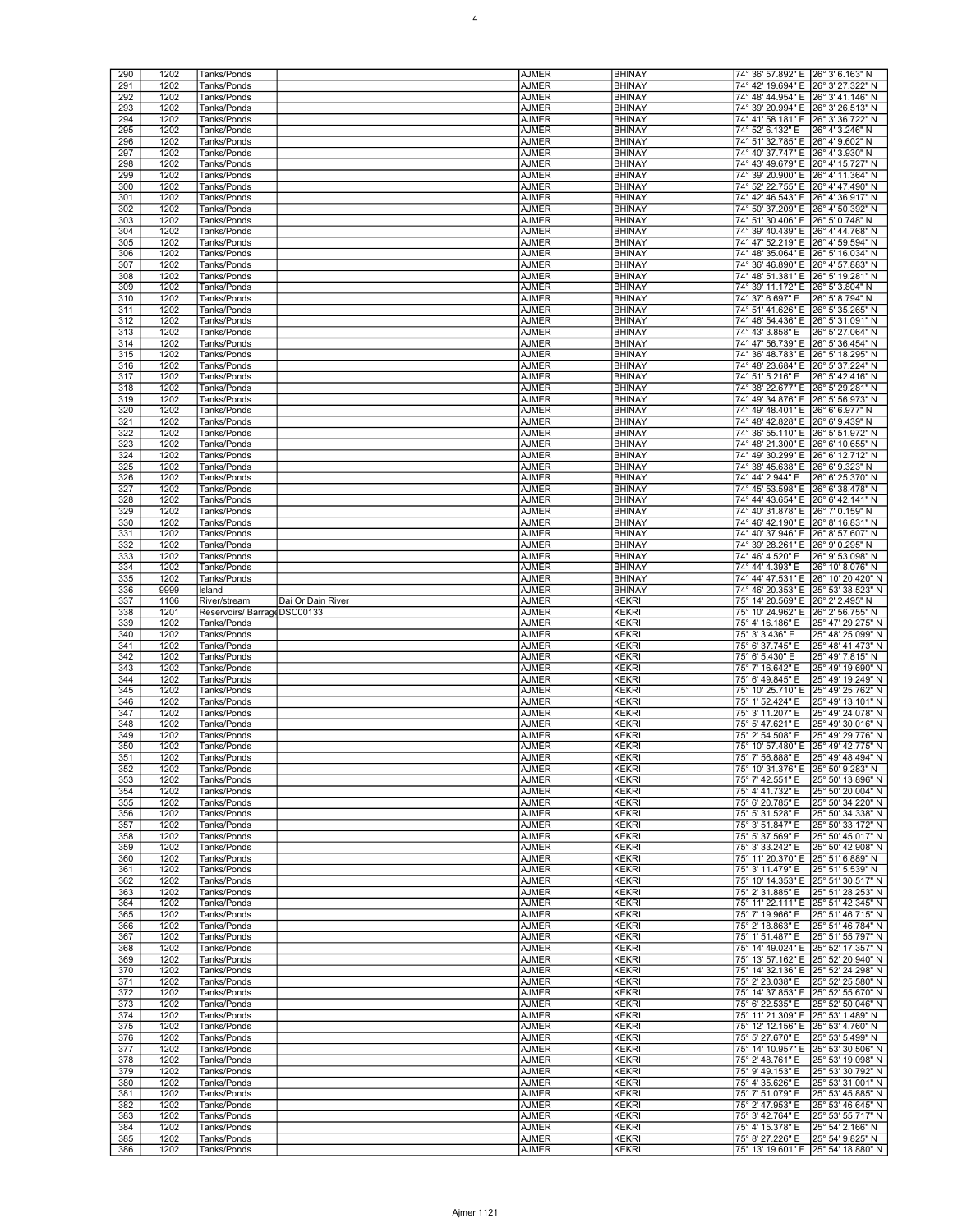| 290        | 1202         | Tanks/Ponds                 |                   | <b>AJMER</b> | <b>BHINAY</b>                | 74° 36' 57.892" E 26° 3' 6.163" N                                           |
|------------|--------------|-----------------------------|-------------------|--------------|------------------------------|-----------------------------------------------------------------------------|
|            |              |                             |                   |              |                              |                                                                             |
| 291        | 1202         | Tanks/Ponds                 |                   | <b>AJMER</b> | <b>BHINAY</b>                | 74° 42' 19.694" E<br>26° 3' 27.322" N                                       |
| 292        | 1202         | Tanks/Ponds                 |                   | <b>AJMER</b> | <b>BHINAY</b>                | 74° 48' 44.954" E<br>26° 3' 41.146" N                                       |
| 293        | 1202         | Tanks/Ponds                 |                   | <b>AJMER</b> | <b>BHINAY</b>                | 74° 39' 20.994" E 26° 3' 26.513" N                                          |
| 294        | 1202         | Tanks/Ponds                 |                   | AJMER        | <b>BHINAY</b>                | 74° 41' 58.181" E 26° 3' 36.722" N                                          |
| 295        | 1202         | Tanks/Ponds                 |                   | <b>AJMER</b> | <b>BHINAY</b>                | 74° 52' 6.132" E<br>26° 4' 3.246" N                                         |
| 296        | 1202         | Tanks/Ponds                 |                   | <b>AJMER</b> | <b>BHINAY</b>                | 74° 51' 32.785" E<br>26° 4' 9.602" N                                        |
| 297        | 1202         |                             |                   | <b>AJMER</b> | <b>BHINAY</b>                | 74° 40' 37.747" E<br>26° 4' 3.930" N                                        |
|            |              | Tanks/Ponds                 |                   |              |                              |                                                                             |
| 298        | 1202         | Tanks/Ponds                 |                   | <b>AJMER</b> | <b>BHINAY</b>                | 74° 43' 49.679" E<br>26° 4' 15.727" N                                       |
| 299        | 1202         | Tanks/Ponds                 |                   | <b>AJMER</b> | <b>BHINAY</b>                | 74° 39' 20.900" E 26° 4' 11.364" N                                          |
| 300        | 1202         | Tanks/Ponds                 |                   | <b>AJMER</b> | <b>BHINAY</b>                | 74° 52' 22.755" E<br>26° 4' 47.490" N                                       |
| 301        | 1202         | Tanks/Ponds                 |                   | <b>AJMER</b> | <b>BHINAY</b>                | 74° 42' 46.543" E<br>26° 4' 36.917" N                                       |
| 302        | 1202         | Tanks/Ponds                 |                   | <b>AJMER</b> | <b>BHINAY</b>                | 74° 50′ 37.209″ E 26° 4′ 50.392″ N                                          |
|            |              |                             |                   |              |                              |                                                                             |
| 303        | 1202         | Tanks/Ponds                 |                   | <b>AJMER</b> | <b>BHINAY</b>                | 74° 51' 30.406" E 26° 5' 0.748" N                                           |
| 304        | 1202         | Tanks/Ponds                 |                   | <b>AJMER</b> | <b>BHINAY</b>                | 74° 39' 40.439" E 26° 4' 44.768" N                                          |
| 305        | 1202         | Tanks/Ponds                 |                   | <b>AJMER</b> | <b>BHINAY</b>                | 74° 47' 52.219" E 26° 4' 59.594" N                                          |
| 306        | 1202         | Tanks/Ponds                 |                   | <b>AJMER</b> | <b>BHINAY</b>                | 74° 48' 35.064" E<br>26° 5' 16.034" N                                       |
| 307        | 1202         | Tanks/Ponds                 |                   | <b>AJMER</b> | <b>BHINAY</b>                | 74° 36′ 46.890″ E 26° 4′ 57.883″ N                                          |
| 308        | 1202         | Tanks/Ponds                 |                   | <b>AJMER</b> | <b>BHINAY</b>                | 74° 48' 51.381" E 26° 5' 19.281" N                                          |
|            | 1202         |                             |                   | <b>AJMER</b> |                              |                                                                             |
| 309        |              | Tanks/Ponds                 |                   |              | <b>BHINAY</b>                | 74° 39' 11.172" E 26° 5' 3.804" N                                           |
| 310        | 1202         | Tanks/Ponds                 |                   | <b>AJMER</b> | <b>BHINAY</b>                | 74° 37' 6.697" E<br>26° 5' 8.794" N                                         |
| 311        | 1202         | Tanks/Ponds                 |                   | <b>AJMER</b> | <b>BHINAY</b>                | 74° 51' 41.626" E<br>26° 5' 35.265" N                                       |
| 312        | 1202         | Tanks/Ponds                 |                   | <b>AJMER</b> | <b>BHINAY</b>                | 74° 46' 54.436" E<br>26° 5' 31.091" N                                       |
| 313        | 1202         | Tanks/Ponds                 |                   | AJMER        | <b>BHINAY</b>                | 74° 43' 3.858" E<br>26° 5' 27.064" N                                        |
| 314        | 1202         | Tanks/Ponds                 |                   | AJMER        | <b>BHINAY</b>                | 74° 47' 56.739" E 26° 5' 36.454" N                                          |
|            |              |                             |                   |              | <b>BHINAY</b>                |                                                                             |
| 315        | 1202         | Tanks/Ponds                 |                   | <b>AJMER</b> |                              | 74° 36' 48.783" E 26° 5' 18.295" N                                          |
| 316        | 1202         | Tanks/Ponds                 |                   | <b>AJMER</b> | <b>BHINAY</b>                | 74° 48' 23.684" E<br>26° 5' 37.224" N                                       |
| 317        | 1202         | Tanks/Ponds                 |                   | <b>AJMER</b> | <b>BHINAY</b>                | 74° 51' 5.216" E<br>26° 5' 42.416" N                                        |
| 318        | 1202         | Tanks/Ponds                 |                   | <b>AJMER</b> | <b>BHINAY</b>                | 74° 38' 22.677" E 26° 5' 29.281" N                                          |
| 319        | 1202         | Tanks/Ponds                 |                   | AJMER        | <b>BHINAY</b>                | 74° 49' 34.876" E 26° 5' 56.973" N                                          |
| 320        | 1202         | Tanks/Ponds                 |                   | <b>AJMER</b> | <b>BHINAY</b>                | 74° 49' 48.401" E 26° 6' 6.977" N                                           |
|            |              |                             |                   |              |                              |                                                                             |
| 321        | 1202         | Tanks/Ponds                 |                   | <b>AJMER</b> | <b>BHINAY</b>                | 74° 48' 42.828" E<br>26° 6' 9.439" N                                        |
| 322        | 1202         | Tanks/Ponds                 |                   | <b>AJMER</b> | <b>BHINAY</b>                | 74° 36' 55.110" E<br>26° 5' 51.972" N                                       |
| 323        | 1202         | Tanks/Ponds                 |                   | AJMER        | <b>BHINAY</b>                | 74° 48' 21.300" E<br>26° 6' 10.655" N                                       |
| 324        | 1202         | Tanks/Ponds                 |                   | <b>AJMER</b> | <b>BHINAY</b>                | 74° 49' 30.299" E 26° 6' 12.712" N                                          |
| 325        | 1202         | Tanks/Ponds                 |                   | <b>AJMER</b> | <b>BHINAY</b>                | 74° 38' 45.638" E 26° 6' 9.323" N                                           |
| 326        | 1202         | Tanks/Ponds                 |                   | <b>AJMER</b> | <b>BHINAY</b>                | 74° 44' 2.944" E<br>26° 6' 25.370" N                                        |
|            |              |                             |                   |              |                              |                                                                             |
| 327        | 1202         | Tanks/Ponds                 |                   | <b>AJMER</b> | <b>BHINAY</b>                | 74° 45' 53.598" E<br>26° 6' 38.478" N                                       |
| 328        | 1202         | Tanks/Ponds                 |                   | <b>AJMER</b> | <b>BHINAY</b>                | 74° 44' 43.654" E<br>26° 6' 42.141" N                                       |
| 329        | 1202         | Tanks/Ponds                 |                   | <b>AJMER</b> | <b>BHINAY</b>                | 74° 40′ 31.878″ E 26° 7′ 0.159″ N                                           |
| 330        | 1202         | Tanks/Ponds                 |                   | <b>AJMER</b> | <b>BHINAY</b>                | 74° 46' 42.190" E<br>26° 8' 16.831" N                                       |
| 331        | 1202         | Tanks/Ponds                 |                   | <b>AJMER</b> | <b>BHINAY</b>                | 74° 40' 37.946" E<br>26° 8' 57.607" N                                       |
| 332        | 1202         | Tanks/Ponds                 |                   | <b>AJMER</b> | <b>BHINAY</b>                | 74° 39' 28.261" E<br>26° 9' 0.295" N                                        |
|            |              |                             |                   |              |                              |                                                                             |
| 333        | 1202         | Tanks/Ponds                 |                   | <b>AJMER</b> | <b>BHINAY</b>                | 74° 46' 4.520" E<br>26° 9' 53.098" N                                        |
| 334        | 1202         | Tanks/Ponds                 |                   | AJMER        | <b>BHINAY</b>                | 26° 10' 8.076" N<br>74° 44' 4.393" E                                        |
| 335        | 1202         | Tanks/Ponds                 |                   | <b>AJMER</b> | <b>BHINAY</b>                | 74° 44' 47.531" E<br>26° 10' 20.420" N                                      |
| 336        | 9999         | Island                      |                   | <b>AJMER</b> | <b>BHINAY</b>                | 74° 46' 20.353" E<br>25° 53' 38.523" N                                      |
| 337        | 1106         | River/stream                | Dai Or Dain River | <b>AJMER</b> | <b>KEKRI</b>                 | 75° 14' 20.569" E<br>26° 2' 2.495" N                                        |
|            |              |                             |                   |              |                              |                                                                             |
|            |              |                             |                   |              |                              |                                                                             |
| 338        | 1201         | Reservoirs/ BarrageDSC00133 |                   | <b>AJMER</b> | KEKRI                        | 75° 10' 24.962" E 26° 2' 56.755" N                                          |
| 339        | 1202         | Tanks/Ponds                 |                   | AJMER        | <b>KEKRI</b>                 | 75° 4' 16.186" E<br>25° 47' 29.275" N                                       |
| 340        | 1202         | Tanks/Ponds                 |                   | <b>AJMER</b> | <b>KEKRI</b>                 | 75° 3' 3.436" E<br>25° 48' 25.099" N                                        |
| 341        | 1202         | Tanks/Ponds                 |                   | <b>AJMER</b> | <b>KEKRI</b>                 | 25° 48' 41.473" N<br>75° 6' 37.745" E                                       |
| 342        | 1202         | Tanks/Ponds                 |                   | <b>AJMER</b> | <b>KEKRI</b>                 | 75° 6' 5.430" E<br>25° 49' 7.815" N                                         |
| 343        | 1202         | Tanks/Ponds                 |                   | AJMER        | KEKRI                        | 75° 7' 16.642" E<br>25° 49' 19.690" N                                       |
|            |              |                             |                   |              |                              |                                                                             |
| 344        | 1202         | Tanks/Ponds                 |                   | <b>AJMER</b> | <b>KEKRI</b>                 | 75° 6' 49.845" E<br>25° 49' 19.249" N                                       |
| 345        | 1202         | Tanks/Ponds                 |                   | <b>AJMER</b> | <b>KEKRI</b>                 | 75° 10' 25.710" E 25° 49' 25.762" N                                         |
| 346        | 1202         | Tanks/Ponds                 |                   | <b>AJMER</b> | <b>KEKRI</b>                 | 75° 1' 52.424" E<br>25° 49' 13.101" N                                       |
| 347        | 1202         | Tanks/Ponds                 |                   | <b>AJMER</b> | <b>KEKRI</b>                 | 75° 3' 11.207" E<br>25° 49' 24.078" N                                       |
| 348        | 1202         | Tanks/Ponds                 |                   | <b>AJMER</b> | KEKRI                        | 75° 5' 47.621" E<br>25° 49' 30.016" N                                       |
| 349        | 1202         | Tanks/Ponds                 |                   | AJMER        | <b>KEKRI</b>                 | 25° 49' 29.776" N<br>75° 2' 54.508" E                                       |
| 350        | 1202         | Tanks/Ponds                 |                   | <b>AJMER</b> | <b>KEKRI</b>                 | 75° 10' 57.480" E 25° 49' 42.775" N                                         |
|            |              |                             |                   |              |                              |                                                                             |
| 351        | 1202         | Tanks/Ponds                 |                   | <b>AJMER</b> | <b>KEKRI</b>                 | 75° 7' 56.888" E<br>25° 49' 48.494" N                                       |
| 352        | 1202         | Tanks/Ponds                 |                   | <b>AJMER</b> | <b>KEKRI</b>                 | 75° 10' 31.376" E 25° 50' 9.283" N                                          |
| 353        | 1202         | Tanks/Ponds                 |                   | <b>AJMER</b> | <b>KEKRI</b>                 | 25° 50' 13.896" N<br>75° 7' 42.551" E                                       |
| 354        | 1202         | Tanks/Ponds                 |                   | <b>AJMER</b> | <b>KEKRI</b>                 | 75° 4' 41.732" E<br>25° 50' 20.004" N                                       |
| 355        | 1202         | Tanks/Ponds                 |                   | <b>AJMER</b> | <b>KEKRI</b>                 | 75° 6' 20.785" E<br>25° 50' 34.220" N                                       |
| 356        | 1202         | Tanks/Ponds                 |                   | <b>AJMER</b> | <b>KEKRI</b>                 | 75° 5' 31.528" E<br>25° 50' 34.338" N                                       |
| 357        | 1202         | Tanks/Ponds                 |                   | AJMER        | <b>KEKRI</b>                 | 75° 3' 51.847" E<br>25° 50' 33.172" N                                       |
| 358        | 1202         | Tanks/Ponds                 |                   | <b>AJMER</b> | <b>KEKRI</b>                 | 25° 50' 45.017" N<br>75° 5' 37.569" E                                       |
| 359        | 1202         |                             |                   |              |                              |                                                                             |
|            |              | Tanks/Ponds                 |                   | <b>AJMER</b> | <b>KEKRI</b>                 | 75° 3' 33.242" E<br>25° 50' 42.908" N                                       |
| 360        | 1202         | Tanks/Ponds                 |                   | <b>AJMER</b> | <b>KEKRI</b>                 | 75° 11' 20.370" E 25° 51' 6.889" N                                          |
| 361        | 1202         | Tanks/Ponds                 |                   | <b>AJMER</b> | <b>KEKRI</b>                 | 75° 3' 11.479" E<br>25° 51' 5.539" N                                        |
| 362        | 1202         | Tanks/Ponds                 |                   | <b>AJMER</b> | <b>KEKRI</b>                 | 75° 10' 14.353" E<br>25° 51' 30.517" N                                      |
| 363        | 1202         | Tanks/Ponds                 |                   | <b>AJMER</b> | <b>KEKRI</b>                 | 75° 2' 31.885" E<br>25° 51' 28.253" N                                       |
| 364        | 1202         | Tanks/Ponds                 |                   | <b>AJMER</b> | <b>KEKRI</b>                 | 75° 11' 22.111" E 25° 51' 42.345" N                                         |
| 365        | 1202         | Tanks/Ponds                 |                   | <b>AJMER</b> | <b>KEKRI</b>                 | 75° 7' 19.966" E                                                            |
|            |              |                             |                   |              |                              | 25° 51' 46.715" N                                                           |
| 366        | 1202         | Tanks/Ponds                 |                   | <b>AJMER</b> | <b>KEKRI</b>                 | 75° 2' 18.863" E<br>25° 51' 46.784" N                                       |
| 367        | 1202         | Tanks/Ponds                 |                   | <b>AJMER</b> | <b>KEKRI</b>                 | 75° 1' 51.487" E<br>25° 51' 55.797" N                                       |
| 368        | 1202         | Tanks/Ponds                 |                   | <b>AJMER</b> | <b>KEKRI</b>                 | 75° 14' 49.024" E 25° 52' 17.357" N                                         |
| 369        | 1202         | Tanks/Ponds                 |                   | <b>AJMER</b> | <b>KEKRI</b>                 | 75° 13' 57.162" E 25° 52' 20.940" N                                         |
| 370        | 1202         | Tanks/Ponds                 |                   | <b>AJMER</b> | <b>KEKRI</b>                 | 75° 14' 32.136" E 25° 52' 24.298" N                                         |
| 371        | 1202         | Tanks/Ponds                 |                   | <b>AJMER</b> | <b>KEKRI</b>                 | 75° 2' 23.038" E<br>25° 52' 25.580" N                                       |
| 372        |              |                             |                   |              |                              |                                                                             |
|            | 1202         | Tanks/Ponds                 |                   | <b>AJMER</b> | <b>KEKRI</b>                 | 75° 14' 37.853" E 25° 52' 55.670" N                                         |
| 373        | 1202         | Tanks/Ponds                 |                   | <b>AJMER</b> | <b>KEKRI</b>                 | 75° 6' 22.535" E<br>25° 52' 50.046" N                                       |
| 374        | 1202         | Tanks/Ponds                 |                   | <b>AJMER</b> | <b>KEKRI</b>                 | 75° 11' 21.309" E 25° 53' 1.489" N                                          |
| 375        | 1202         | Tanks/Ponds                 |                   | <b>AJMER</b> | <b>KEKRI</b>                 | 75° 12' 12.156" E 25° 53' 4.760" N                                          |
| 376        | 1202         | Tanks/Ponds                 |                   | <b>AJMER</b> | <b>KEKRI</b>                 | 75° 5' 27.670" E<br>25° 53' 5.499" N                                        |
| 377        | 1202         | Tanks/Ponds                 |                   | <b>AJMER</b> | <b>KEKRI</b>                 | 75° 14' 10.957" E<br>25° 53' 30.506" N                                      |
| 378        | 1202         | Tanks/Ponds                 |                   | <b>AJMER</b> | <b>KEKRI</b>                 | 75° 2' 48.761" E<br>25° 53' 19.098" N                                       |
| 379        | 1202         |                             |                   |              |                              |                                                                             |
|            |              | Tanks/Ponds                 |                   | <b>AJMER</b> | <b>KEKRI</b>                 | 75° 9' 49.153" E<br>25° 53' 30.792" N                                       |
| 380        | 1202         | Tanks/Ponds                 |                   | <b>AJMER</b> | <b>KEKRI</b>                 | 75° 4' 35.626" E<br>25° 53' 31.001" N                                       |
| 381        | 1202         | Tanks/Ponds                 |                   | <b>AJMER</b> | <b>KEKRI</b>                 | 25° 53' 45.885" N<br>75° 7' 51.079" E                                       |
| 382        | 1202         | Tanks/Ponds                 |                   | AJMER        | <b>KEKRI</b>                 | 75° 2' 47.953" E<br>25° 53' 46.645" N                                       |
| 383        | 1202         | Tanks/Ponds                 |                   | <b>AJMER</b> | <b>KEKRI</b>                 | 25° 53' 55.717" N<br>75° 3' 42.764" E                                       |
| 384        | 1202         | Tanks/Ponds                 |                   | <b>AJMER</b> | <b>KEKRI</b>                 | 75° 4' 15.378" E<br>25° 54' 2.166" N                                        |
| 385<br>386 | 1202<br>1202 | Tanks/Ponds                 |                   | <b>AJMER</b> | <b>KEKRI</b><br><b>KEKRI</b> | 75° 8' 27.226" E<br>25° 54' 9.825" N<br>75° 13' 19.601" E 25° 54' 18.880" N |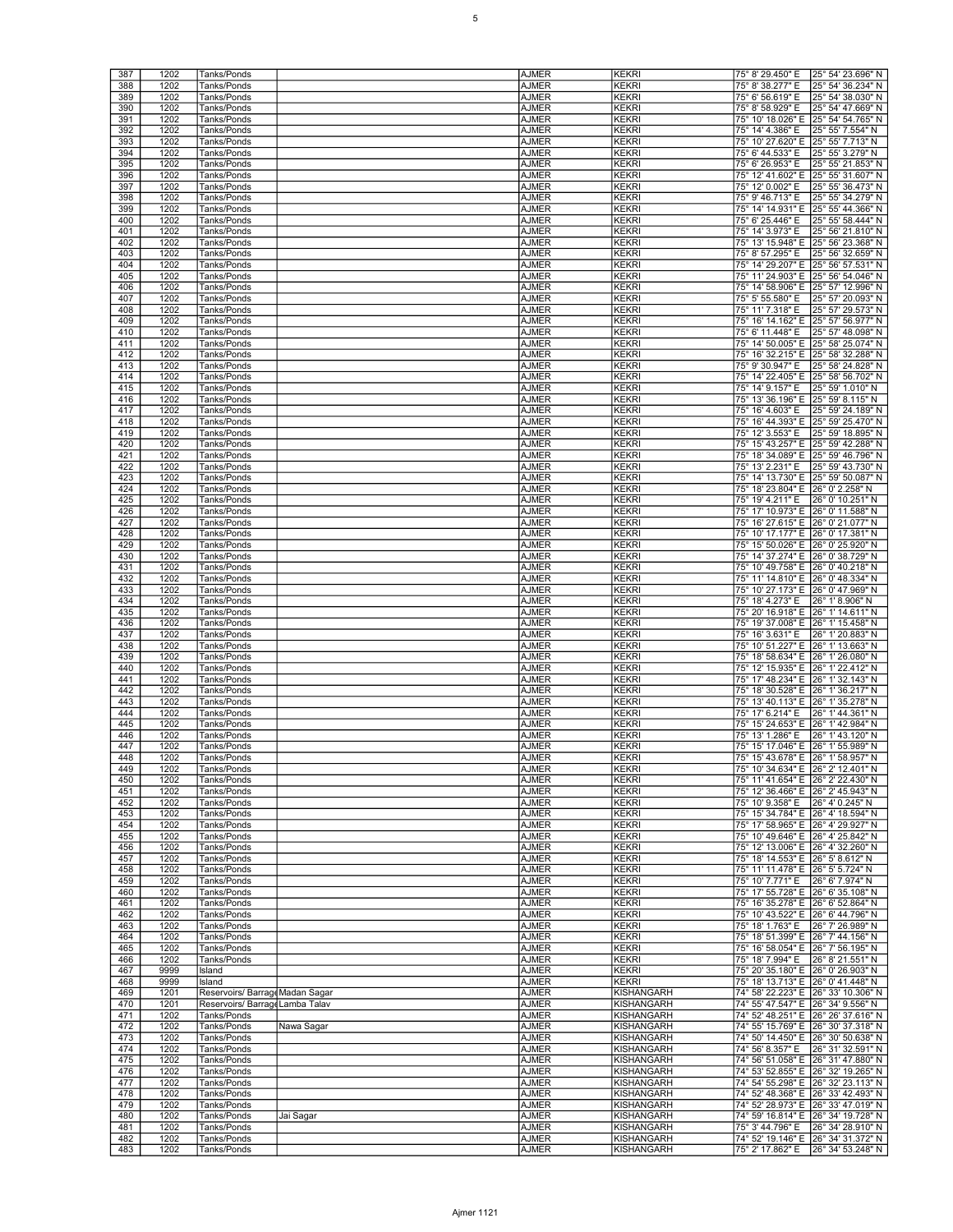| 387        | 1202         | Tanks/Ponds                     |            | <b>AJMER</b>          | <b>KEKRI</b>             | 75° 8' 29.450" E                                                         | 25° 54' 23.696" N                                                         |
|------------|--------------|---------------------------------|------------|-----------------------|--------------------------|--------------------------------------------------------------------------|---------------------------------------------------------------------------|
| 388        | 1202         | Tanks/Ponds                     |            | AJMER                 | KEKRI                    | 75° 8' 38.277" E                                                         | 25° 54′ 36.234″ N                                                         |
|            |              | Tanks/Ponds                     |            |                       |                          | 75° 6' 56.619" E                                                         |                                                                           |
| 389        | 1202         |                                 |            | AJMER                 | KEKRI                    |                                                                          | 25° 54' 38.030" N                                                         |
| 390        | 1202         | Tanks/Ponds                     |            | AJMER                 | KEKRI                    | 75° 8' 58.929" E                                                         | 25° 54' 47.669" N                                                         |
| 391        | 1202         | Tanks/Ponds                     |            | AJMER                 | <b>KEKRI</b>             | 75° 10' 18.026" E 25° 54' 54.765" N                                      |                                                                           |
| 392        | 1202         | Tanks/Ponds                     |            | <b>AJMER</b>          | <b>KEKRI</b>             | 75° 14' 4.386" E                                                         | 25° 55' 7.554" N                                                          |
| 393        | 1202         | Tanks/Ponds                     |            | <b>AJMER</b>          | KEKRI                    | 75° 10' 27.620" E                                                        | 25° 55' 7.713" N                                                          |
| 394        | 1202         | Tanks/Ponds                     |            | AJMER                 | KEKRI                    | 75° 6' 44.533" E                                                         | 25° 55' 3.279" N                                                          |
| 395        | 1202         | Tanks/Ponds                     |            | AJMER                 | KEKRI                    | 75° 6' 26.953" E                                                         | 25° 55' 21.853" N                                                         |
| 396        | 1202         | Tanks/Ponds                     |            | AJMER                 | KEKRI                    | 75° 12′ 41.602″ E 25° 55′ 31.607″ N                                      |                                                                           |
| 397        | 1202         | Tanks/Ponds                     |            | <b>AJMER</b>          | <b>KEKRI</b>             | 75° 12' 0.002" E                                                         | 25° 55' 36.473" N                                                         |
| 398        | 1202         | Tanks/Ponds                     |            | <b>AJMER</b>          | KEKRI                    | 75° 9' 46.713" E                                                         | 25° 55' 34.279" N                                                         |
| 399        | 1202         | Tanks/Ponds                     |            | <b>AJMER</b>          | KEKRI                    | 75° 14' 14.931" E                                                        | 25° 55' 44.366" N                                                         |
| 400        | 1202         | Tanks/Ponds                     |            | AJMER                 | KEKRI                    | 75° 6' 25.446" E                                                         | 25° 55' 58.444" N                                                         |
| 401        | 1202         | Tanks/Ponds                     |            | AJMER                 | KEKRI                    | 75° 14' 3.973" E                                                         | 25° 56' 21.810" N                                                         |
| 402        | 1202         | Tanks/Ponds                     |            | <b>AJMER</b>          | <b>KEKRI</b>             | 75° 13' 15.948" E                                                        | 25° 56' 23.368" N                                                         |
| 403        | 1202         | Tanks/Ponds                     |            | <b>AJMER</b>          | KEKRI                    | 75° 8' 57.295" E                                                         | 25° 56' 32.659" N                                                         |
| 404        |              |                                 |            |                       |                          |                                                                          | 25° 56' 57.531" N                                                         |
|            | 1202         | Tanks/Ponds                     |            | AJMER                 | KEKRI                    | 75° 14' 29.207" E                                                        |                                                                           |
| 405        | 1202         | Tanks/Ponds                     |            | AJMER                 | KEKRI                    |                                                                          | 75° 11' 24.903" E 25° 56' 54.046" N                                       |
| 406        | 1202         | Tanks/Ponds                     |            | AJMER                 | KEKRI                    | 75° 14' 58.906" E 25° 57' 12.996" N                                      |                                                                           |
| 407        | 1202         | Tanks/Ponds                     |            | <b>AJMER</b>          | <b>KEKRI</b>             | 75° 5' 55.580" E                                                         | 25° 57' 20.093" N                                                         |
| 408        | 1202         | Tanks/Ponds                     |            | <b>AJMER</b>          | KEKRI                    | 75° 11' 7.318" E                                                         | 25° 57' 29.573" N                                                         |
| 409        | 1202         | Tanks/Ponds                     |            | AJMER                 | KEKRI                    | 75° 16' 14.162" E                                                        | 25° 57' 56.977" N                                                         |
| 410        | 1202         | Tanks/Ponds                     |            | AJMER                 | KEKRI                    | 75° 6' 11.448" E                                                         | 25° 57' 48.098" N                                                         |
| 411        | 1202         | Tanks/Ponds                     |            | AJMER                 | KEKRI                    | 75° 14' 50.005" E 25° 58' 25.074" N                                      |                                                                           |
| 412        | 1202         | Tanks/Ponds                     |            | <b>AJMER</b>          | <b>KEKRI</b>             | 75° 16' 32.215" E 25° 58' 32.288" N                                      |                                                                           |
| 413        | 1202         | Tanks/Ponds                     |            | AJMER                 | KEKRI                    | 75° 9' 30.947" E                                                         | 25° 58' 24.828" N                                                         |
| 414        | 1202         | Tanks/Ponds                     |            | AJMER                 | KEKRI                    | 75° 14' 22.405" E                                                        | 25° 58' 56.702" N                                                         |
| 415        | 1202         | Tanks/Ponds                     |            | <b>AJMER</b>          | KEKRI                    | 75° 14' 9.157" E                                                         | 25° 59' 1.010" N                                                          |
| 416        | 1202         | Tanks/Ponds                     |            | AJMER                 | KEKRI                    | 75° 13' 36.196" E 25° 59' 8.115" N                                       |                                                                           |
| 417        | 1202         | Tanks/Ponds                     |            | <b>AJMER</b>          | <b>KEKRI</b>             | 75° 16' 4.603" E                                                         | 25° 59' 24.189" N                                                         |
| 418        | 1202         | Tanks/Ponds                     |            | AJMER                 | KEKRI                    | 75° 16' 44.393" E                                                        | 25° 59' 25.470" N                                                         |
| 419        | 1202         | Tanks/Ponds                     |            | AJMER                 | KEKRI                    | 75° 12' 3.553" E                                                         | 25° 59' 18.895" N                                                         |
| 420        | 1202         | Tanks/Ponds                     |            | AJMER                 | KEKRI                    | 75° 15' 43.257" E                                                        | 25° 59' 42.288" N                                                         |
| 421        | 1202         | Tanks/Ponds                     |            | AJMER                 | KEKRI                    | 75° 18' 34.089" E 25° 59' 46.796" N                                      |                                                                           |
| 422        | 1202         | Tanks/Ponds                     |            | <b>AJMER</b>          | <b>KEKRI</b>             | 75° 13' 2.231" E                                                         | 25° 59' 43.730" N                                                         |
| 423        | 1202         |                                 |            | <b>AJMER</b>          | KEKRI                    | 75° 14' 13.730" E                                                        | 25° 59' 50.087" N                                                         |
| 424        | 1202         | Tanks/Ponds<br>Tanks/Ponds      |            | AJMER                 | KEKRI                    | 75° 18′ 23.804" E                                                        | 26° 0' 2.258" N                                                           |
|            |              |                                 |            |                       |                          | 75° 19' 4.211" E                                                         |                                                                           |
| 425        | 1202         | Tanks/Ponds                     |            | AJMER                 | KEKRI                    |                                                                          | 26° 0' 10.251" N                                                          |
| 426        | 1202         | Tanks/Ponds                     |            | AJMER                 | <b>KEKRI</b>             | 75° 17' 10.973" E 26° 0' 11.588" N                                       |                                                                           |
| 427        | 1202         | Tanks/Ponds                     |            | <b>AJMER</b>          | <b>KEKRI</b>             | 75° 16' 27.615" E 26° 0' 21.077" N                                       |                                                                           |
| 428        | 1202         | Tanks/Ponds                     |            | <b>AJMER</b>          | KEKRI                    | 75° 10' 17.177" E                                                        | 26° 0' 17.381" N                                                          |
| 429        | 1202         | Tanks/Ponds                     |            | AJMER                 | KEKRI                    | 75° 15′ 50.026″ E 126° 0′ 25.920″ N                                      |                                                                           |
| 430        | 1202         | Tanks/Ponds                     |            | AJMER                 | KEKRI                    | 75° 14′ 37.274″ E 26° 0′ 38.729″ N                                       |                                                                           |
| 431        | 1202         | Tanks/Ponds                     |            | AJMER                 | KEKRI                    | 75° 10′ 49.758" E 26° 0′ 40.218" N                                       |                                                                           |
| 432        | 1202         | Tanks/Ponds                     |            | <b>AJMER</b>          | <b>KEKRI</b>             | 75° 11' 14.810" E 26° 0' 48.334" N                                       |                                                                           |
| 433        | 1202         | Tanks/Ponds                     |            | <b>AJMER</b>          | KEKRI                    | 75° 10' 27.173" E                                                        | 26° 0' 47.969" N                                                          |
| 434        | 1202         | Tanks/Ponds                     |            | <b>AJMER</b>          | KEKRI                    | 75° 18' 4.273" E                                                         | 26° 1' 8.906" N                                                           |
| 435        | 1202         | Tanks/Ponds                     |            | AJMER                 | KEKRI                    | 75° 20' 16.918" E                                                        | 26° 1' 14.611" N                                                          |
| 436        | 1202         | Tanks/Ponds                     |            | AJMER                 | KEKRI                    | 75° 19' 37.008" E 26° 1' 15.458" N                                       |                                                                           |
|            |              |                                 |            |                       |                          |                                                                          |                                                                           |
| 437        | 1202         |                                 |            |                       | <b>KEKRI</b>             |                                                                          |                                                                           |
|            |              | Tanks/Ponds                     |            | <b>AJMER</b>          |                          | 75° 16' 3.631" E                                                         | 26° 1' 20.883" N                                                          |
| 438        | 1202         | Tanks/Ponds                     |            | <b>AJMER</b>          | KEKRI                    | 75° 10' 51.227" E                                                        | 26° 1' 13.663" N                                                          |
| 439        | 1202         | Tanks/Ponds                     |            | AJMER                 | KEKRI                    | 75° 18′ 58.634" E                                                        | 26° 1' 26.080" N                                                          |
| 440        | 1202         | Tanks/Ponds                     |            | AJMER                 | KEKRI                    | 75° 12′ 15.935″ E 26° 1′ 22.412″ N                                       |                                                                           |
| 441        | 1202         | Tanks/Ponds                     |            | AJMER                 | KEKRI                    | 75° 17' 48.234" E 26° 1' 32.143" N                                       |                                                                           |
| 442        | 1202         | Tanks/Ponds                     |            | <b>AJMER</b>          | <b>KEKRI</b>             | 75° 18' 30.528" E 26° 1' 36.217" N                                       |                                                                           |
| 443        | 1202         | Tanks/Ponds                     |            | <b>AJMER</b>          | KEKRI                    | 75° 13' 40.113" E                                                        | 26° 1' 35.278" N                                                          |
| 444        | 1202         | Tanks/Ponds                     |            | AJMER                 | KEKRI                    | 75° 17' 6.214" E                                                         | 26° 1' 44.361" N                                                          |
| 445        | 1202         | Tanks/Ponds                     |            | <b>AJMER</b>          | KEKRI                    | 75° 15' 24.653" E                                                        | 26° 1' 42.984" N                                                          |
| 446        | 1202         | Tanks/Ponds                     |            | AJMER                 | KEKRI                    | 75° 13' 1.286" E                                                         | 26° 1' 43.120" N                                                          |
| 447        | 1202         | Tanks/Ponds                     |            | <b>AJMER</b>          | <b>KEKRI</b>             | 75° 15' 17.046" E 26° 1' 55.989" N                                       |                                                                           |
| 448        | 1202         | Tanks/Ponds                     |            | AJMER                 | KEKRI                    | 75° 15' 43.678" E 26° 1' 58.957" N                                       |                                                                           |
| 449        | 1202         | Tanks/Ponds                     |            | AJMER                 | KEKRI                    | 75° 10' 34.634" E 26° 2' 12.401" N                                       |                                                                           |
| 450        | 1202         | Tanks/Ponds                     |            | AJMER                 | <b>KEKRI</b>             | 75° 11' 41.654" E 26° 2' 22.430" N                                       |                                                                           |
| 451        | 1202         | Tanks/Ponds                     |            | AJMER                 | <b>KEKRI</b>             | 75° 12' 36.466" E 26° 2' 45.943" N                                       |                                                                           |
| 452        | 1202         | Tanks/Ponds                     |            | <b>AJMER</b>          | <b>KEKRI</b>             | 75° 10' 9.358" E                                                         | 26° 4' 0.245" N                                                           |
| 453        | 1202         | Tanks/Ponds                     |            | <b>AJMER</b>          | <b>KEKRI</b>             | 75° 15′ 34.784″ E 126° 4′ 18.594″ N                                      |                                                                           |
| 454        | 1202         | Tanks/Ponds                     |            | <b>AJMER</b>          | KEKRI                    | 75° 17' 58.965" E 26° 4' 29.927" N                                       |                                                                           |
| 455        | 1202         | Tanks/Ponds                     |            | <b>AJMER</b>          | KEKRI                    | 75° 10′ 49.646″ E 26° 4′ 25.842″ N                                       |                                                                           |
| 456        | 1202         | Tanks/Ponds                     |            | AJMER                 | <b>KEKRI</b>             | 75° 12' 13.006" E 26° 4' 32.260" N                                       |                                                                           |
| 457        | 1202         | Tanks/Ponds                     |            | <b>AJMER</b>          | <b>KEKRI</b>             | 75° 18' 14.553" E 26° 5' 8.612" N                                        |                                                                           |
| 458        | 1202         | Tanks/Ponds                     |            | <b>AJMER</b>          | <b>KEKRI</b>             | 75° 11' 11.478" E 26° 5' 5.724" N                                        |                                                                           |
| 459        | 1202         | Tanks/Ponds                     |            | <b>AJMER</b>          | KEKRI                    | 75° 10' 7.771" E                                                         | 26° 6' 7.974" N                                                           |
| 460        | 1202         | Tanks/Ponds                     |            | AJMER                 | KEKRI                    | 75° 17' 55.728" E 26° 6' 35.108" N                                       |                                                                           |
| 461        | 1202         | Tanks/Ponds                     |            | AJMER                 | <b>KEKRI</b>             | 75° 16' 35.278" E 26° 6' 52.864" N                                       |                                                                           |
| 462        | 1202         | Tanks/Ponds                     |            | <b>AJMER</b>          | <b>KEKRI</b>             | 75° 10' 43.522" E 26° 6' 44.796" N                                       |                                                                           |
| 463        | 1202         | Tanks/Ponds                     |            | <b>AJMER</b>          | <b>KEKRI</b>             | 75° 18' 1.763" E                                                         | 26° 7' 26.989" N                                                          |
| 464        |              |                                 |            |                       |                          |                                                                          |                                                                           |
|            | 1202         | Tanks/Ponds                     |            | <b>AJMER</b>          | KEKRI<br><b>KEKRI</b>    | 75° 18′ 51.399″ E 26° 7′ 44.156″ N<br>75° 16' 58.054" E 26° 7' 56.195" N |                                                                           |
| 465        | 1202         | Tanks/Ponds                     |            | AJMER                 |                          |                                                                          |                                                                           |
| 466        | 1202         | Tanks/Ponds                     |            | AJMER                 | KEKRI                    | 75° 18' 7.994" E   26° 8' 21.551" N                                      |                                                                           |
| 467        | 9999         | Island                          |            | <b>AJMER</b>          | <b>KEKRI</b>             | 75° 20' 35.180" E 26° 0' 26.903" N                                       |                                                                           |
| 468        | 9999         | Island                          |            | <b>AJMER</b>          | KEKRI                    | 75° 18' 13.713" E 26° 0' 41.448" N                                       |                                                                           |
| 469        | 1201         | Reservoirs/ Barrage Madan Sagar |            | <b>AJMER</b>          | KISHANGARH               |                                                                          | 74° 58' 22.223" E 26° 33' 10.306" N                                       |
| 470        | 1201         | Reservoirs/ Barrage Lamba Talav |            | AJMER                 | KISHANGARH               | 74° 55' 47.547" E 26° 34' 9.556" N                                       |                                                                           |
| 471        | 1202         | Tanks/Ponds                     |            | AJMER                 | KISHANGARH               | 74° 52' 48.251" E 26° 26' 37.616" N                                      |                                                                           |
| 472        | 1202         | Tanks/Ponds                     | Nawa Sagar | <b>AJMER</b>          | KISHANGARH               |                                                                          | 74° 55' 15.769" E 26° 30' 37.318" N                                       |
| 473        | 1202         | Tanks/Ponds                     |            | <b>AJMER</b>          | KISHANGARH               |                                                                          | 74° 50′ 14.450″ E 26° 30′ 50.638″ N                                       |
| 474        | 1202         | Tanks/Ponds                     |            | <b>AJMER</b>          | KISHANGARH               | 74° 56' 8.357" E                                                         | 26° 31' 32.591" N                                                         |
| 475        | 1202         | Tanks/Ponds                     |            | AJMER                 | KISHANGARH               |                                                                          | 74° 56' 51.058" E 26° 31' 47.880" N                                       |
| 476        | 1202         | Tanks/Ponds                     |            | AJMER                 | KISHANGARH               | 74° 53' 52.855" E 26° 32' 19.265" N                                      |                                                                           |
| 477        | 1202         | Tanks/Ponds                     |            | <b>AJMER</b>          | KISHANGARH               |                                                                          | 74° 54′ 55.298″ E 26° 32′ 23.113″ N                                       |
| 478        | 1202         | Tanks/Ponds                     |            | <b>AJMER</b>          | KISHANGARH               |                                                                          | 74° 52′ 48.368″ E 26° 33′ 42.493″ N                                       |
| 479        | 1202         | Tanks/Ponds                     |            | AJMER                 | KISHANGARH               |                                                                          | 74° 52′ 28.973″ E 26° 33′ 47.019″ N                                       |
| 480        | 1202         | Tanks/Ponds                     | Jai Sagar  | AJMER                 | KISHANGARH               |                                                                          | 74° 59' 16.814" E 26° 34' 19.728" N                                       |
| 481        | 1202         | Tanks/Ponds                     |            | AJMER                 | KISHANGARH               |                                                                          | 75° 3' 44.796" E    26° 34' 28.910" N                                     |
| 482<br>483 | 1202<br>1202 | Tanks/Ponds<br>Tanks/Ponds      |            | <b>AJMER</b><br>AJMER | KISHANGARH<br>KISHANGARH |                                                                          | 74° 52' 19.146" E 26° 34' 31.372" N<br>75° 2' 17.862" E 26° 34' 53.248" N |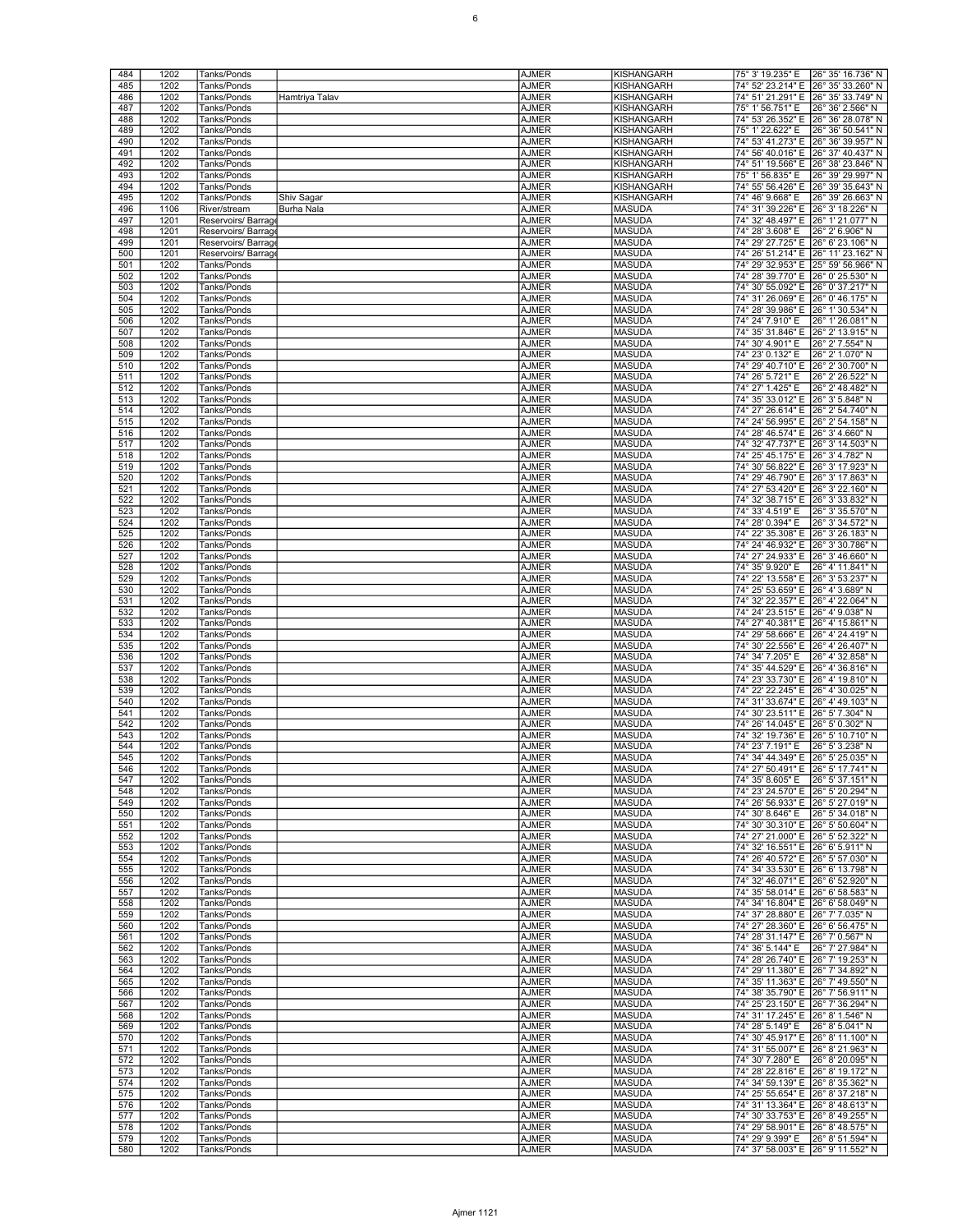| 484        | 1202         | Tanks/Ponds                |                | <b>AJMER</b>                 | <b>KISHANGARH</b>              | 75° 3' 19.235" E                                       | 26° 35' 16.736" N |
|------------|--------------|----------------------------|----------------|------------------------------|--------------------------------|--------------------------------------------------------|-------------------|
|            |              |                            |                |                              |                                |                                                        |                   |
| 485        | 1202         | Tanks/Ponds                |                | <b>AJMER</b>                 | KISHANGARH                     | 74° 52' 23.214" E                                      | 26° 35' 33.260" N |
| 486        | 1202         | Tanks/Ponds                | Hamtriya Talav | <b>AJMER</b>                 | KISHANGARH                     | 74° 51' 21.291" E                                      | 26° 35' 33.749" N |
| 487        | 1202         | Tanks/Ponds                |                | <b>AJMER</b>                 | KISHANGARH                     | 75° 1' 56.751" E                                       | 26° 36' 2.566" N  |
|            |              |                            |                |                              |                                |                                                        |                   |
| 488        | 1202         | Tanks/Ponds                |                | AJMER                        | KISHANGARH                     | 74° 53' 26.352" E                                      | 26° 36' 28.078" N |
| 489        | 1202         | Tanks/Ponds                |                | <b>AJMER</b>                 | KISHANGARH                     | 75° 1' 22.622" E                                       | 26° 36' 50.541" N |
| 490        | 1202         | Tanks/Ponds                |                | <b>AJMER</b>                 | <b>KISHANGARH</b>              | 74° 53' 41.273" E                                      | 26° 36' 39.957" N |
|            |              |                            |                |                              |                                | 74° 56' 40.016" E                                      |                   |
| 491        | 1202         | Tanks/Ponds                |                | <b>AJMER</b>                 | KISHANGARH                     |                                                        | 26° 37' 40.437" N |
| 492        | 1202         | Tanks/Ponds                |                | <b>AJMER</b>                 | KISHANGARH                     | 74° 51' 19.566" E                                      | 26° 38' 23.846" N |
| 493        | 1202         | Tanks/Ponds                |                | AJMER                        | KISHANGARH                     | 75° 1' 56.835" E                                       | 26° 39' 29.997" N |
| 494        | 1202         | Tanks/Ponds                |                | <b>AJMER</b>                 | KISHANGARH                     | 74° 55' 56.426" E                                      | 26° 39' 35.643" N |
|            |              |                            |                |                              |                                |                                                        |                   |
| 495        | 1202         | Tanks/Ponds                | Shiv Sagar     | <b>AJMER</b>                 | <b>KISHANGARH</b>              | 74° 46' 9.668" E                                       | 26° 39' 26.663" N |
| 496        | 1106         | River/stream               | Burha Nala     | <b>AJMER</b>                 | <b>MASUDA</b>                  | 74° 31' 39.226" E                                      | 26° 3' 18.226" N  |
| 497        | 1201         | Reservoirs/Barrag          |                | <b>AJMER</b>                 | <b>MASUDA</b>                  | 74° 32' 48.497" E                                      | 26° 1' 21.077" N  |
| 498        |              |                            |                |                              |                                |                                                        |                   |
|            | 1201         | Reservoirs/Barrag          |                | <b>AJMER</b>                 | <b>MASUDA</b>                  | 74° 28' 3.608" E                                       | 26° 2' 6.906" N   |
| 499        | 1201         | Reservoirs/ Barrag         |                | <b>AJMER</b>                 | <b>MASUDA</b>                  | 74° 29' 27.725" E                                      | 26° 6' 23.106" N  |
| 500        | 1201         | Reservoirs/Barrag          |                | <b>AJMER</b>                 | <b>MASUDA</b>                  | 74° 26' 51.214" E                                      | 26° 11' 23.162" N |
| 501        | 1202         | Tanks/Ponds                |                | <b>AJMER</b>                 | <b>MASUDA</b>                  | 74° 29' 32.953" E                                      | 25° 59' 56.966" N |
|            |              |                            |                |                              |                                |                                                        |                   |
| 502        | 1202         | Tanks/Ponds                |                | <b>AJMER</b>                 | <b>MASUDA</b>                  | 74° 28' 39.770" E 26° 0' 25.530" N                     |                   |
| 503        | 1202         | Tanks/Ponds                |                | <b>AJMER</b>                 | <b>MASUDA</b>                  | 74° 30' 55.092" E                                      | 26° 0' 37.217" N  |
| 504        | 1202         | Tanks/Ponds                |                | <b>AJMER</b>                 | <b>MASUDA</b>                  | 74° 31' 26.069" E                                      | 26° 0' 46.175" N  |
|            |              |                            |                |                              |                                |                                                        | 26° 1' 30.534" N  |
| 505        | 1202         | Tanks/Ponds                |                | <b>AJMER</b>                 | <b>MASUDA</b>                  | 74° 28' 39.986" E                                      |                   |
| 506        | 1202         | Tanks/Ponds                |                | <b>AJMER</b>                 | <b>MASUDA</b>                  | 74° 24' 7.910" E                                       | 26° 1' 26.081" N  |
| 507        | 1202         | Tanks/Ponds                |                | <b>AJMER</b>                 | <b>MASUDA</b>                  | 74° 35' 31.846" E                                      | 26° 2' 13.915" N  |
| 508        | 1202         | Tanks/Ponds                |                | <b>AJMER</b>                 | <b>MASUDA</b>                  | 74° 30' 4.901" E                                       | 26° 2' 7.554" N   |
|            |              |                            |                |                              |                                |                                                        |                   |
| 509        | 1202         | Tanks/Ponds                |                | <b>AJMER</b>                 | <b>MASUDA</b>                  | 74° 23' 0.132" E                                       | 26° 2' 1.070" N   |
| 510        | 1202         | Tanks/Ponds                |                | <b>AJMER</b>                 | <b>MASUDA</b>                  | 74° 29' 40.710" E                                      | 26° 2' 30.700" N  |
| 511        | 1202         | Tanks/Ponds                |                | <b>AJMER</b>                 | <b>MASUDA</b>                  | 74° 26' 5.721" E                                       | 26° 2' 26.522" N  |
| 512        | 1202         | Tanks/Ponds                |                | <b>AJMER</b>                 | <b>MASUDA</b>                  | 74° 27' 1.425" E                                       | 26° 2' 48.482" N  |
|            |              |                            |                |                              |                                |                                                        |                   |
| 513        | 1202         | Tanks/Ponds                |                | <b>AJMER</b>                 | <b>MASUDA</b>                  | 74° 35' 33.012" E                                      | 26° 3' 5.848" N   |
| 514        | 1202         | Tanks/Ponds                |                | <b>AJMER</b>                 | <b>MASUDA</b>                  | 74° 27' 26.614" E                                      | 26° 2' 54.740" N  |
| 515        | 1202         | Tanks/Ponds                |                | <b>AJMER</b>                 | <b>MASUDA</b>                  | 74° 24' 56.995" E                                      | 26° 2' 54.158" N  |
|            |              |                            |                |                              | <b>MASUDA</b>                  |                                                        |                   |
| 516        | 1202         | Tanks/Ponds                |                | <b>AJMER</b>                 |                                | 74° 28′ 46.574″ E 26° 3′ 4.660″ N                      |                   |
| 517        | 1202         | Tanks/Ponds                |                | <b>AJMER</b>                 | <b>MASUDA</b>                  | 74° 32' 47.737" E 26° 3' 14.503" N                     |                   |
| 518        | 1202         | Tanks/Ponds                |                | <b>AJMER</b>                 | <b>MASUDA</b>                  | 74° 25' 45.175" E 26° 3' 4.782" N                      |                   |
| 519        | 1202         | <b>Tanks/Ponds</b>         |                | <b>AJMER</b>                 | <b>MASUDA</b>                  | 74° 30' 56.822" E 26° 3' 17.923" N                     |                   |
|            |              |                            |                |                              |                                |                                                        |                   |
| 520        | 1202         | Tanks/Ponds                |                | <b>AJMER</b>                 | <b>MASUDA</b>                  | 74° 29' 46.790" E                                      | 26° 3' 17.863" N  |
| 521        | 1202         | Tanks/Ponds                |                | <b>AJMER</b>                 | <b>MASUDA</b>                  | 74° 27' 53.420" E 26° 3' 22.160" N                     |                   |
| 522        | 1202         | Tanks/Ponds                |                | <b>AJMER</b>                 | <b>MASUDA</b>                  | 74° 32' 38.715" E 26° 3' 33.832" N                     |                   |
|            |              |                            |                |                              |                                |                                                        |                   |
| 523        | 1202         | Tanks/Ponds                |                | <b>AJMER</b>                 | <b>MASUDA</b>                  | 74° 33' 4.519" E                                       | 26° 3' 35.570" N  |
| 524        | 1202         | Tanks/Ponds                |                | <b>AJMER</b>                 | <b>MASUDA</b>                  | 74° 28' 0.394" E                                       | 26° 3' 34.572" N  |
| 525        | 1202         | Tanks/Ponds                |                | <b>AJMER</b>                 | <b>MASUDA</b>                  | 74° 22' 35.308" E                                      | 26° 3' 26.183" N  |
|            |              |                            |                |                              |                                |                                                        |                   |
| 526        | 1202         | Tanks/Ponds                |                | <b>AJMER</b>                 | <b>MASUDA</b>                  | 74° 24' 46.932" E 26° 3' 30.786" N                     |                   |
| 527        | 1202         | Tanks/Ponds                |                | <b>AJMER</b>                 | <b>MASUDA</b>                  | 74° 27' 24.933" E 26° 3' 46.660" N                     |                   |
| 528        | 1202         | Tanks/Ponds                |                | <b>AJMER</b>                 | <b>MASUDA</b>                  | 74° 35' 9.920" E                                       | 26° 4' 11.841" N  |
| 529        | 1202         | Tanks/Ponds                |                | <b>AJMER</b>                 | <b>MASUDA</b>                  | 74° 22' 13.558" E                                      | 26° 3' 53.237" N  |
|            |              |                            |                |                              |                                |                                                        |                   |
| 530        | 1202         | Tanks/Ponds                |                | <b>AJMER</b>                 | <b>MASUDA</b>                  | 74° 25' 53.659" E                                      | 26° 4' 3.689" N   |
| 531        | 1202         | Tanks/Ponds                |                | <b>AJMER</b>                 | <b>MASUDA</b>                  | 74° 32' 22.357" E 26° 4' 22.064" N                     |                   |
| 532        | 1202         | Tanks/Ponds                |                | <b>AJMER</b>                 | <b>MASUDA</b>                  | 74° 24' 23.515" E 26° 4' 9.038" N                      |                   |
| 533        | 1202         | Tanks/Ponds                |                |                              | <b>MASUDA</b>                  | 74° 27' 40.381" E 26° 4' 15.861" N                     |                   |
|            |              |                            |                | AJMER                        |                                |                                                        |                   |
| 534        | 1202         | Tanks/Ponds                |                | <b>AJMER</b>                 | <b>MASUDA</b>                  | 74° 29' 58.666" E                                      | 26° 4' 24.419" N  |
| 535        | 1202         | Tanks/Ponds                |                | <b>AJMER</b>                 | <b>MASUDA</b>                  | 74° 30' 22.556" E                                      | 26° 4' 26.407" N  |
| 536        | 1202         | Tanks/Ponds                |                | <b>AJMER</b>                 | <b>MASUDA</b>                  | 74° 34' 7.205" E                                       | 26° 4' 32.858" N  |
|            |              |                            |                |                              |                                |                                                        |                   |
| 537        | 1202         | Tanks/Ponds                |                | <b>AJMER</b>                 | <b>MASUDA</b>                  | 74° 35' 44.529" E 26° 4' 36.816" N                     |                   |
| 538        | 1202         | Tanks/Ponds                |                | <b>AJMER</b>                 | <b>MASUDA</b>                  | 74° 23' 33.730" E 26° 4' 19.810" N                     |                   |
| 539        | 1202         | <b>Tanks/Ponds</b>         |                | <b>AJMER</b>                 | <b>MASUDA</b>                  | 74° 22' 22.245" E                                      | 26° 4' 30.025" N  |
| 540        | 1202         | Tanks/Ponds                |                | <b>AJMER</b>                 | <b>MASUDA</b>                  | 74° 31' 33.674" E                                      | 26° 4' 49.103" N  |
|            |              |                            |                |                              |                                |                                                        |                   |
| 541        | 1202         | Tanks/Ponds                |                | <b>AJMER</b>                 | <b>MASUDA</b>                  | 74° 30' 23.511" E 26° 5' 7.304" N                      |                   |
| 542        | 1202         | Tanks/Ponds                |                | <b>AJMER</b>                 | <b>MASUDA</b>                  | 74° 26' 14.045" E 26° 5' 0.302" N                      |                   |
| 543        | 1202         | Tanks/Ponds                |                | <b>AJMER</b>                 | <b>MASUDA</b>                  | 74° 32' 19.736" E 26° 5' 10.710" N                     |                   |
| 544        | 1202         | Tanks/Ponds                |                | <b>AJMER</b>                 | <b>MASUDA</b>                  | 74° 23' 7.191" E                                       | 26° 5' 3.238" N   |
|            |              |                            |                |                              |                                |                                                        |                   |
| 545        | 1202         | Tanks/Ponds                |                | <b>AJMER</b>                 | <b>MASUDA</b>                  | 74° 34′ 44.349″ E 26° 5′ 25.035″ N                     |                   |
| 546        | 1202         | Tanks/Ponds                |                | <b>AJMER</b>                 | <b>MASUDA</b>                  | 74° 27' 50.491" E 26° 5' 17.741" N                     |                   |
| 547        | 1202         | Tanks/Ponds                |                | <b>AJMER</b>                 | <b>MASUDA</b>                  | 74° 35' 8.605" E                                       | 26° 5' 37.151" N  |
| 548        | 1202         | Tanks/Ponds                |                | <b>AJMER</b>                 | <b>MASUDA</b>                  | 74° 23' 24.570" E 26° 5' 20.294" N                     |                   |
|            |              |                            |                |                              |                                |                                                        |                   |
| 549        | 1202         | Tanks/Ponds                |                | <b>AJMER</b>                 | <b>MASUDA</b>                  | 74° 26' 56.933" E 26° 5' 27.019" N                     |                   |
| 550        | 1202         | Tanks/Ponds                |                | <b>AJMER</b>                 | <b>MASUDA</b>                  | 74° 30' 8.646" E                                       | 26° 5' 34.018" N  |
| 551        | 1202         | Tanks/Ponds                |                | <b>AJMER</b>                 | <b>MASUDA</b>                  | 74° 30' 30.310" E 26° 5' 50.604" N                     |                   |
| 552        | 1202         | Tanks/Ponds                |                | <b>AJMER</b>                 | <b>MASUDA</b>                  | 74° 27' 21.000" E 26° 5' 52.322" N                     |                   |
|            |              |                            |                |                              |                                |                                                        |                   |
| 553        | 1202         | Tanks/Ponds                |                | AJMER                        | <b>MASUDA</b>                  | 74° 32′ 16.551″ E 26° 6′ 5.911″ N                      |                   |
| 554        | 1202         | Tanks/Ponds                |                | <b>AJMER</b>                 | <b>MASUDA</b>                  | 74° 26' 40.572" E 26° 5' 57.030" N                     |                   |
| 555        | 1202         | Tanks/Ponds                |                | <b>AJMER</b>                 | <b>MASUDA</b>                  | 74° 34' 33.530" E 26° 6' 13.798" N                     |                   |
| 556        | 1202         | Tanks/Ponds                |                | <b>AJMER</b>                 | <b>MASUDA</b>                  | 74° 32' 46.071" E 26° 6' 52.920" N                     |                   |
|            |              |                            |                |                              |                                |                                                        |                   |
| 557        | 1202         | Tanks/Ponds                |                | <b>AJMER</b>                 | <b>MASUDA</b>                  | 74° 35' 58.014" E 26° 6' 58.583" N                     |                   |
| 558        | 1202         | Tanks/Ponds                |                | AJMER                        | <b>MASUDA</b>                  | 74° 34' 16.804" E 26° 6' 58.049" N                     |                   |
| 559        | 1202         | Tanks/Ponds                |                | <b>AJMER</b>                 | <b>MASUDA</b>                  | 74° 37' 28.880" E 26° 7' 7.035" N                      |                   |
| 560        | 1202         | Tanks/Ponds                |                | <b>AJMER</b>                 | <b>MASUDA</b>                  | 74° 27' 28.360" E 26° 6' 56.475" N                     |                   |
|            |              |                            |                |                              |                                |                                                        |                   |
| 561        | 1202         | Tanks/Ponds                |                | <b>AJMER</b>                 | <b>MASUDA</b>                  | 74° 28' 31.147" E 26° 7' 0.567" N                      |                   |
| 562        | 1202         | Tanks/Ponds                |                | <b>AJMER</b>                 | <b>MASUDA</b>                  | 74° 36' 5.144" E                                       | 26° 7' 27.984" N  |
| 563        | 1202         | Tanks/Ponds                |                | AJMER                        | <b>MASUDA</b>                  | 74° 28' 26.740" E 26° 7' 19.253" N                     |                   |
| 564        | 1202         | Tanks/Ponds                |                | <b>AJMER</b>                 | <b>MASUDA</b>                  | 74° 29' 11.380" E 26° 7' 34.892" N                     |                   |
|            |              |                            |                |                              |                                |                                                        |                   |
| 565        | 1202         | Tanks/Ponds                |                | <b>AJMER</b>                 | <b>MASUDA</b>                  | 74° 35' 11.363" E 26° 7' 49.550" N                     |                   |
| 566        | 1202         | Tanks/Ponds                |                | <b>AJMER</b>                 | <b>MASUDA</b>                  | 74° 38' 35.790" E 26° 7' 56.911" N                     |                   |
| 567        | 1202         | Tanks/Ponds                |                | <b>AJMER</b>                 | <b>MASUDA</b>                  | 74° 25' 23.150" E 26° 7' 36.294" N                     |                   |
|            |              |                            |                |                              |                                |                                                        |                   |
| 568        | 1202         | Tanks/Ponds                |                | AJMER                        | <b>MASUDA</b>                  | 74° 31' 17.245" E 26° 8' 1.546" N                      |                   |
| 569        | 1202         | Tanks/Ponds                |                | <b>AJMER</b>                 | <b>MASUDA</b>                  | 74° 28' 5.149" E                                       | 26° 8' 5.041" N   |
| 570        | 1202         | Tanks/Ponds                |                | <b>AJMER</b>                 | <b>MASUDA</b>                  | 74° 30′ 45.917″ E 26° 8′ 11.100″ N                     |                   |
| 571        | 1202         | Tanks/Ponds                |                | <b>AJMER</b>                 | <b>MASUDA</b>                  | 74° 31' 55.007" E 26° 8' 21.963" N                     |                   |
|            |              |                            |                |                              |                                |                                                        |                   |
| 572        | 1202         | Tanks/Ponds                |                | <b>AJMER</b>                 | <b>MASUDA</b>                  | 74° 30' 7.280" E                                       | 26° 8' 20.095" N  |
| 573        | 1202         | Tanks/Ponds                |                | AJMER                        | <b>MASUDA</b>                  | 74° 28' 22.816" E 26° 8' 19.172" N                     |                   |
| 574        |              | Tanks/Ponds                |                | <b>AJMER</b>                 | <b>MASUDA</b>                  | 74° 34' 59.139" E 26° 8' 35.362" N                     |                   |
|            |              |                            |                |                              | <b>MASUDA</b>                  | 74° 25' 55.654" E 26° 8' 37.218" N                     |                   |
|            | 1202         |                            |                |                              |                                |                                                        |                   |
| 575        | 1202         | Tanks/Ponds                |                | <b>AJMER</b>                 |                                |                                                        |                   |
| 576        | 1202         | Tanks/Ponds                |                | <b>AJMER</b>                 | <b>MASUDA</b>                  | 74° 31' 13.364" E 26° 8' 48.613" N                     |                   |
| 577        |              | Tanks/Ponds                |                |                              |                                |                                                        |                   |
|            | 1202         |                            |                | <b>AJMER</b>                 | <b>MASUDA</b>                  | 74° 30' 33.753" E 26° 8' 49.255" N                     |                   |
| 578        | 1202         | Tanks/Ponds                |                | <b>AJMER</b>                 | <b>MASUDA</b>                  | 74° 29' 58.901" E 26° 8' 48.575" N                     |                   |
| 579<br>580 | 1202<br>1202 | Tanks/Ponds<br>Tanks/Ponds |                | <b>AJMER</b><br><b>AJMER</b> | <b>MASUDA</b><br><b>MASUDA</b> | 74° 29' 9.399" E<br>74° 37' 58.003" E 26° 9' 11.552" N | 26° 8' 51.594" N  |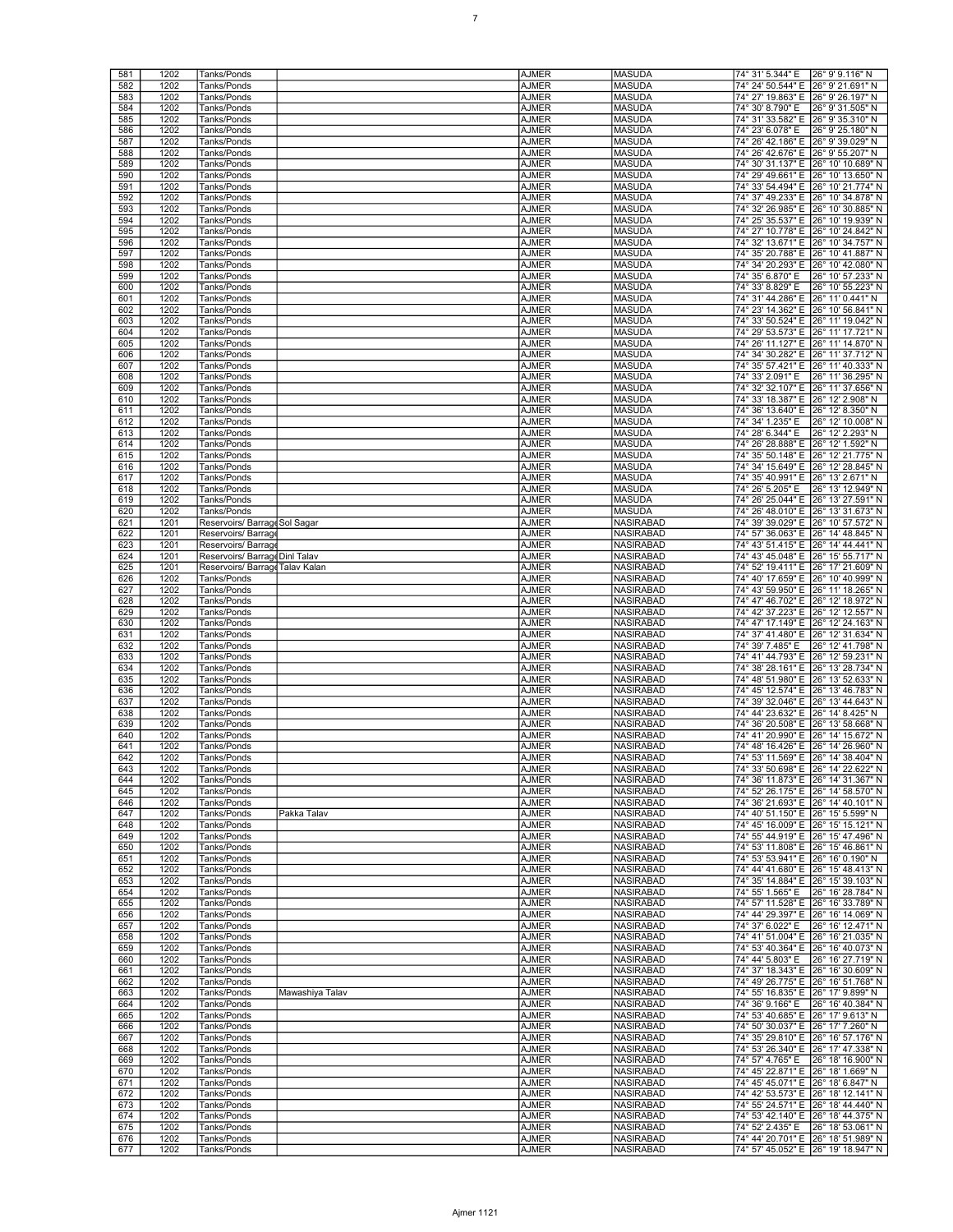| 581        | 1202         | Tanks/Ponds                     | <b>AJMER</b>                 | <b>MASUDA</b>                 | 74° 31' 5.344" E<br>26° 9' 9.116" N                                          |
|------------|--------------|---------------------------------|------------------------------|-------------------------------|------------------------------------------------------------------------------|
| 582        | 1202         | Tanks/Ponds                     | <b>AJMER</b>                 | MASUDA                        | 74° 24' 50.544" E<br>26° 9' 21.691" N                                        |
| 583        | 1202         | Tanks/Ponds                     | AJMER                        | <b>MASUDA</b>                 | 74° 27' 19.863" E 26° 9' 26.197" N                                           |
| 584        | 1202         | Tanks/Ponds                     | AJMER                        | <b>MASUDA</b>                 | 74° 30' 8.790" E<br>26° 9' 31.505" N                                         |
| 585        | 1202         | Tanks/Ponds                     | <b>AJMER</b>                 | <b>MASUDA</b>                 | 74° 31' 33.582" E<br>26° 9' 35.310" N                                        |
| 586        | 1202         | Tanks/Ponds                     | <b>AJMER</b>                 | <b>MASUDA</b>                 | 74° 23' 6.078" E<br>26° 9′ 25.180″ N                                         |
| 587        | 1202         | Tanks/Ponds                     | <b>AJMER</b>                 | <b>MASUDA</b>                 | 74° 26' 42.186" E 26° 9' 39.029" N                                           |
| 588        | 1202         | Tanks/Ponds                     | <b>AJMER</b>                 | <b>MASUDA</b>                 | 74° 26' 42.676" E 26° 9' 55.207" N                                           |
| 589        | 1202         | Tanks/Ponds                     | <b>AJMER</b>                 | <b>MASUDA</b>                 | 74° 30' 31.137" E 26° 10' 10.689" N                                          |
| 590        | 1202         | Tanks/Ponds                     | <b>AJMER</b>                 | <b>MASUDA</b>                 | 74° 29' 49.661" E<br>26° 10' 13.650" N                                       |
| 591        | 1202         | Tanks/Ponds                     | <b>AJMER</b>                 | <b>MASUDA</b>                 | 74° 33' 54.494" E<br>26° 10' 21.774" N                                       |
| 592        | 1202         | Tanks/Ponds                     | <b>AJMER</b>                 | <b>MASUDA</b>                 | 74° 37' 49.233" E 26° 10' 34.878" N                                          |
| 593        | 1202         | Tanks/Ponds                     | <b>AJMER</b>                 | <b>MASUDA</b>                 | 74° 32' 26.985" E 26° 10' 30.885" N                                          |
| 594        | 1202         | Tanks/Ponds                     | <b>AJMER</b>                 | <b>MASUDA</b>                 | 74° 25' 35.537" E 26° 10' 19.939" N                                          |
| 595        | 1202         | Tanks/Ponds                     | <b>AJMER</b>                 | <b>MASUDA</b>                 | 74° 27' 10.778" E 26° 10' 24.842" N                                          |
| 596        | 1202         | Tanks/Ponds                     | <b>AJMER</b>                 | <b>MASUDA</b>                 | 74° 32' 13.671" E<br>26° 10' 34.757" N                                       |
| 597        | 1202         | Tanks/Ponds                     | <b>AJMER</b>                 | <b>MASUDA</b>                 | 74° 35' 20.788" E<br>26° 10' 41.887" N                                       |
| 598        | 1202         | Tanks/Ponds                     | <b>AJMER</b>                 | <b>MASUDA</b>                 | 74° 34' 20.293" E<br>26° 10' 42.080" N                                       |
| 599        | 1202         | Tanks/Ponds                     | <b>AJMER</b>                 | <b>MASUDA</b>                 | 74° 35' 6.870" E<br>26° 10' 57.233" N                                        |
| 600        | 1202         | Tanks/Ponds                     | <b>AJMER</b>                 | <b>MASUDA</b>                 | 74° 33' 8.829" E<br>26° 10' 55.223" N                                        |
| 601        | 1202         | Tanks/Ponds                     | <b>AJMER</b>                 | <b>MASUDA</b>                 | 74° 31' 44.286" E<br>26° 11' 0.441" N                                        |
| 602        | 1202         | Tanks/Ponds                     | AJMER                        | <b>MASUDA</b>                 | 74° 23' 14.362" E<br>26° 10' 56.841" N                                       |
| 603        | 1202         | Tanks/Ponds                     | AJMER                        | <b>MASUDA</b>                 | 74° 33' 50.524" E 26° 11' 19.042" N                                          |
| 604        | 1202         | Tanks/Ponds                     | AJMER                        | <b>MASUDA</b>                 | 74° 29' 53.573" E<br>26° 11' 17.721" N                                       |
| 605        | 1202         | Tanks/Ponds                     | <b>AJMER</b>                 | <b>MASUDA</b>                 | 74° 26' 11.127" E<br>26° 11' 14.870" N                                       |
| 606        | 1202         | Tanks/Ponds                     | <b>AJMER</b>                 | <b>MASUDA</b>                 | 74° 34' 30.282" E<br>26° 11' 37.712" N                                       |
| 607        | 1202         | Tanks/Ponds                     | AJMER                        | <b>MASUDA</b>                 | 74° 35' 57.421" E<br>26° 11' 40.333" N                                       |
| 608        | 1202         | Tanks/Ponds                     | AJMER                        | <b>MASUDA</b>                 | 74° 33' 2.091" E<br>26° 11' 36.295" N                                        |
| 609        | 1202         | Tanks/Ponds                     | AJMER                        | <b>MASUDA</b>                 | 74° 32' 32.107" E<br>26° 11' 37.656" N                                       |
| 610        | 1202         | Tanks/Ponds                     | <b>AJMER</b>                 | <b>MASUDA</b>                 | 74° 33' 18.387" E<br>26° 12' 2.908" N                                        |
| 611        | 1202         | Tanks/Ponds                     | <b>AJMER</b>                 | <b>MASUDA</b>                 | 74° 36' 13.640" E<br>26° 12' 8.350" N                                        |
| 612        | 1202         | Tanks/Ponds                     | AJMER                        | <b>MASUDA</b>                 | 74° 34' 1.235" E<br>26° 12' 10.008" N                                        |
| 613        | 1202         | Tanks/Ponds                     | AJMER                        | <b>MASUDA</b>                 | 74° 28' 6.344" E<br>26° 12' 2.293" N                                         |
| 614        | 1202         | Tanks/Ponds                     | AJMER                        | <b>MASUDA</b>                 | 74° 26' 28.888" E<br>26° 12' 1.592" N                                        |
| 615        | 1202         | Tanks/Ponds                     | <b>AJMER</b>                 | <b>MASUDA</b>                 | 74° 35' 50.148" E<br>26° 12' 21.775" N                                       |
| 616        | 1202         | Tanks/Ponds                     | <b>AJMER</b>                 | <b>MASUDA</b>                 | 74° 34' 15.649" E<br>26° 12' 28.845" N                                       |
| 617        | 1202         | Tanks/Ponds                     | AJMER                        | <b>MASUDA</b>                 | 74° 35' 40.991" E 26° 13' 2.671" N                                           |
| 618        | 1202         | Tanks/Ponds                     | <b>AJMER</b>                 | <b>MASUDA</b>                 | 74° 26' 5.205" E<br>26° 13' 12.949" N                                        |
| 619        | 1202         | Tanks/Ponds                     | AJMER                        | <b>MASUDA</b>                 | 74° 26' 25.044" E<br>26° 13' 27.591" N                                       |
| 620        | 1202         | Tanks/Ponds                     | <b>AJMER</b>                 | <b>MASUDA</b>                 | 74° 26' 48.010" E<br>26° 13' 31.673" N                                       |
| 621        | 1201         | Reservoirs/ Barrage Sol Sagar   | <b>AJMER</b>                 | <b>NASIRABAD</b>              | 74° 39' 39.029" E<br>26° 10' 57.572" N                                       |
| 622        | 1201         | Reservoirs/ Barrag              | <b>AJMER</b>                 | <b>NASIRABAD</b>              | 74° 57' 36.063" E 26° 14' 48.845" N                                          |
| 623        | 1201         | Reservoirs/ Barrag              | <b>AJMER</b>                 | <b>NASIRABAD</b>              | 74° 43' 51.415" E 26° 14' 44.441" N                                          |
| 624        | 1201         | Reservoirs/ Barrage Dinl Talav  | <b>AJMER</b>                 | NASIRABAD                     | 74° 43' 45.048" E 26° 15' 55.717" N                                          |
| 625        | 1201         | Reservoirs/ Barrage Talav Kalan | <b>AJMER</b>                 | <b>NASIRABAD</b>              | 74° 52' 19.411" E 26° 17' 21.609" N                                          |
| 626        | 1202         | Tanks/Ponds                     | <b>AJMER</b>                 | <b>NASIRABAD</b>              | 74° 40' 17.659" E<br>26° 10' 40.999" N                                       |
| 627<br>628 | 1202         | Tanks/Ponds<br>Tanks/Ponds      | <b>AJMER</b><br><b>AJMER</b> | <b>NASIRABAD</b><br>NASIRABAD | 74° 43' 59.950" E 26° 11' 18.265" N<br>74° 47' 46.702" E 26° 12' 18.972" N   |
| 629        | 1202<br>1202 |                                 | <b>AJMER</b>                 | NASIRABAD                     | 74° 42' 37.223" E 26° 12' 12.557" N                                          |
| 630        | 1202         | Tanks/Ponds<br>Tanks/Ponds      | <b>AJMER</b>                 | <b>NASIRABAD</b>              | 74° 47' 17.149" E<br>26° 12' 24.163" N                                       |
| 631        | 1202         | Tanks/Ponds                     | <b>AJMER</b>                 | <b>NASIRABAD</b>              | 74° 37' 41.480" E 26° 12' 31.634" N                                          |
| 632        | 1202         | Tanks/Ponds                     | AJMER                        | <b>NASIRABAD</b>              | 74° 39' 7.485" E<br>26° 12' 41.798" N                                        |
| 633        | 1202         | Tanks/Ponds                     | AJMER                        | NASIRABAD                     | 74° 41' 44.793" E 26° 12' 59.231" N                                          |
| 634        | 1202         | Tanks/Ponds                     | <b>AJMER</b>                 | NASIRABAD                     | 74° 38' 28.161" E 26° 13' 28.734" N                                          |
| 635        | 1202         | Tanks/Ponds                     | <b>AJMER</b>                 | <b>NASIRABAD</b>              | 74° 48' 51.980" E<br>26° 13' 52.633" N                                       |
| 636        | 1202         | Tanks/Ponds                     | <b>AJMER</b>                 | NASIRABAD                     | 74° 45' 12.574" E<br>26° 13' 46.783" N                                       |
| 637        | 1202         | Tanks/Ponds                     | AJMER                        | <b>NASIRABAD</b>              | 74° 39' 32.046" E<br>26° 13' 44.643" N                                       |
| 638        | 1202         | Tanks/Ponds                     |                              |                               |                                                                              |
| 639        |              |                                 | AJMER                        | NASIRABAD                     | 74° 44' 23.632" E 26° 14' 8.425" N                                           |
| 640        | 1202         | Tanks/Ponds                     | AJMER                        | NASIRABAD                     | 74° 36' 20.508" E 26° 13' 58.668" N                                          |
|            | 1202         | Tanks/Ponds                     | <b>AJMER</b>                 | <b>NASIRABAD</b>              | 74° 41' 20.990" E 26° 14' 15.672" N                                          |
| 641        | 1202         | Tanks/Ponds                     | <b>AJMER</b>                 | <b>NASIRABAD</b>              | 74° 48' 16.426" E 26° 14' 26.960" N                                          |
| 642        | 1202         | Tanks/Ponds                     | <b>AJMER</b>                 | <b>NASIRABAD</b>              | 74° 53' 11.569" E 26° 14' 38.404" N                                          |
| 643        | 1202         | Tanks/Ponds                     | AJMER                        | NASIRABAD                     | 74° 33' 50.698" E 26° 14' 22.622" N                                          |
| 644        | 1202         | Tanks/Ponds                     | AJMER                        | <b>NASIRABAD</b>              | 74° 36' 11.873" E 26° 14' 31.367" N                                          |
| 645        | 1202         | Tanks/Ponds                     | <b>AJMER</b>                 | <b>NASIRABAD</b>              | 74° 52' 26.175" E 26° 14' 58.570" N                                          |
| 646        | 1202         | Tanks/Ponds                     | <b>AJMER</b>                 | <b>NASIRABAD</b>              | 74° 36' 21.693" E 26° 14' 40.101" N                                          |
| 647        | 1202         | Tanks/Ponds<br>Pakka Talav      | <b>AJMER</b>                 | <b>NASIRABAD</b>              | 74° 40' 51.150" E 26° 15' 5.599" N                                           |
| 648        | 1202         | Tanks/Ponds                     | <b>AJMER</b>                 | NASIRABAD                     | 74° 45' 16.009" E 26° 15' 15.121" N                                          |
| 649        | 1202         | Tanks/Ponds                     | AJMER                        | <b>NASIRABAD</b>              | 74° 55' 44.919" E 26° 15' 47.496" N                                          |
| 650        | 1202         | Tanks/Ponds                     | <b>AJMER</b>                 | <b>NASIRABAD</b>              | 74° 53' 11.808" E 26° 15' 46.861" N                                          |
| 651        | 1202         | Tanks/Ponds                     | <b>AJMER</b>                 | <b>NASIRABAD</b>              | 74° 53' 53.941" E 26° 16' 0.190" N                                           |
| 652        | 1202         | Tanks/Ponds                     | <b>AJMER</b>                 | <b>NASIRABAD</b>              | 74° 44' 41.680" E 26° 15' 48.413" N                                          |
| 653        | 1202         | Tanks/Ponds                     | <b>AJMER</b>                 | <b>NASIRABAD</b>              | 74° 35' 14.884" E 26° 15' 39.103" N                                          |
| 654        | 1202         | Tanks/Ponds                     | <b>AJMER</b>                 | <b>NASIRABAD</b>              | 74° 55' 1.565" E<br>26° 16' 28.784" N                                        |
| 655        | 1202         | Tanks/Ponds                     | <b>AJMER</b>                 | <b>NASIRABAD</b>              | 74° 57' 11.528" E 26° 16' 33.789" N                                          |
| 656        | 1202         | Tanks/Ponds                     | <b>AJMER</b>                 | <b>NASIRABAD</b>              | 74° 44' 29.397" E 26° 16' 14.069" N                                          |
| 657        | 1202         | Tanks/Ponds<br>Tanks/Ponds      | <b>AJMER</b>                 | <b>NASIRABAD</b><br>NASIRABAD | 74° 37' 6.022" E<br>26° 16' 12.471" N<br>74° 41' 51.004" E 26° 16' 21.035" N |
| 658<br>659 | 1202<br>1202 | Tanks/Ponds                     | AJMER<br><b>AJMER</b>        | <b>NASIRABAD</b>              | 74° 53' 40.364" E 26° 16' 40.073" N                                          |
| 660        | 1202         | Tanks/Ponds                     | <b>AJMER</b>                 | <b>NASIRABAD</b>              | 74° 44' 5.803" E<br>26° 16' 27.719" N                                        |
| 661        | 1202         | Tanks/Ponds                     | <b>AJMER</b>                 | NASIRABAD                     | 74° 37' 18.343" E 26° 16' 30.609" N                                          |
| 662        | 1202         | Tanks/Ponds                     | <b>AJMER</b>                 | <b>NASIRABAD</b>              | 74° 49' 26.775" E 26° 16' 51.768" N                                          |
| 663        | 1202         | Tanks/Ponds<br>Mawashiya Talav  | AJMER                        | NASIRABAD                     | 74° 55' 16.835" E 26° 17' 9.899" N                                           |
| 664        | 1202         | Tanks/Ponds                     | AJMER                        | <b>NASIRABAD</b>              | 74° 36' 9.166" E<br>26° 16' 40.384" N                                        |
| 665        | 1202         | Tanks/Ponds                     | <b>AJMER</b>                 | <b>NASIRABAD</b>              | 74° 53' 40.685" E 26° 17' 9.613" N                                           |
| 666        | 1202         | Tanks/Ponds                     | <b>AJMER</b>                 | NASIRABAD                     | 74° 50' 30.037" E 26° 17' 7.260" N                                           |
| 667        | 1202         | Tanks/Ponds                     | <b>AJMER</b>                 | <b>NASIRABAD</b>              | 74° 35' 29.810" E 26° 16' 57.176" N                                          |
| 668        | 1202         | Tanks/Ponds                     | AJMER                        | NASIRABAD                     | 74° 53' 26.340" E 26° 17' 47.338" N                                          |
| 669        | 1202         | Tanks/Ponds                     | AJMER                        | <b>NASIRABAD</b>              | 74° 57' 4.765" E<br>26° 18' 16.900" N                                        |
| 670        | 1202         | Tanks/Ponds                     | <b>AJMER</b>                 | <b>NASIRABAD</b>              | 74° 45' 22.871" E 26° 18' 1.669" N                                           |
| 671        | 1202         | Tanks/Ponds                     | <b>AJMER</b>                 | NASIRABAD                     | 74° 45' 45.071" E 26° 18' 6.847" N                                           |
| 672        | 1202         | Tanks/Ponds                     | <b>AJMER</b>                 | <b>NASIRABAD</b>              | 74° 42' 53.573" E 26° 18' 12.141" N                                          |
| 673        | 1202         | Tanks/Ponds                     | AJMER                        | NASIRABAD                     | 74° 55' 24.571" E 26° 18' 44.440" N                                          |
| 674        | 1202         | Tanks/Ponds                     | AJMER                        | <b>NASIRABAD</b>              | 74° 53' 42.140" E 26° 18' 44.375" N                                          |
| 675        | 1202         | Tanks/Ponds                     | <b>AJMER</b>                 | <b>NASIRABAD</b>              | 74° 52' 2.435" E<br>26° 18' 53.061" N                                        |
| 676<br>677 | 1202<br>1202 | Tanks/Ponds<br>Tanks/Ponds      | <b>AJMER</b><br>AJMER        | NASIRABAD<br><b>NASIRABAD</b> | 74° 44' 20.701" E 26° 18' 51.989" N<br>74° 57' 45.052" E 26° 19' 18.947" N   |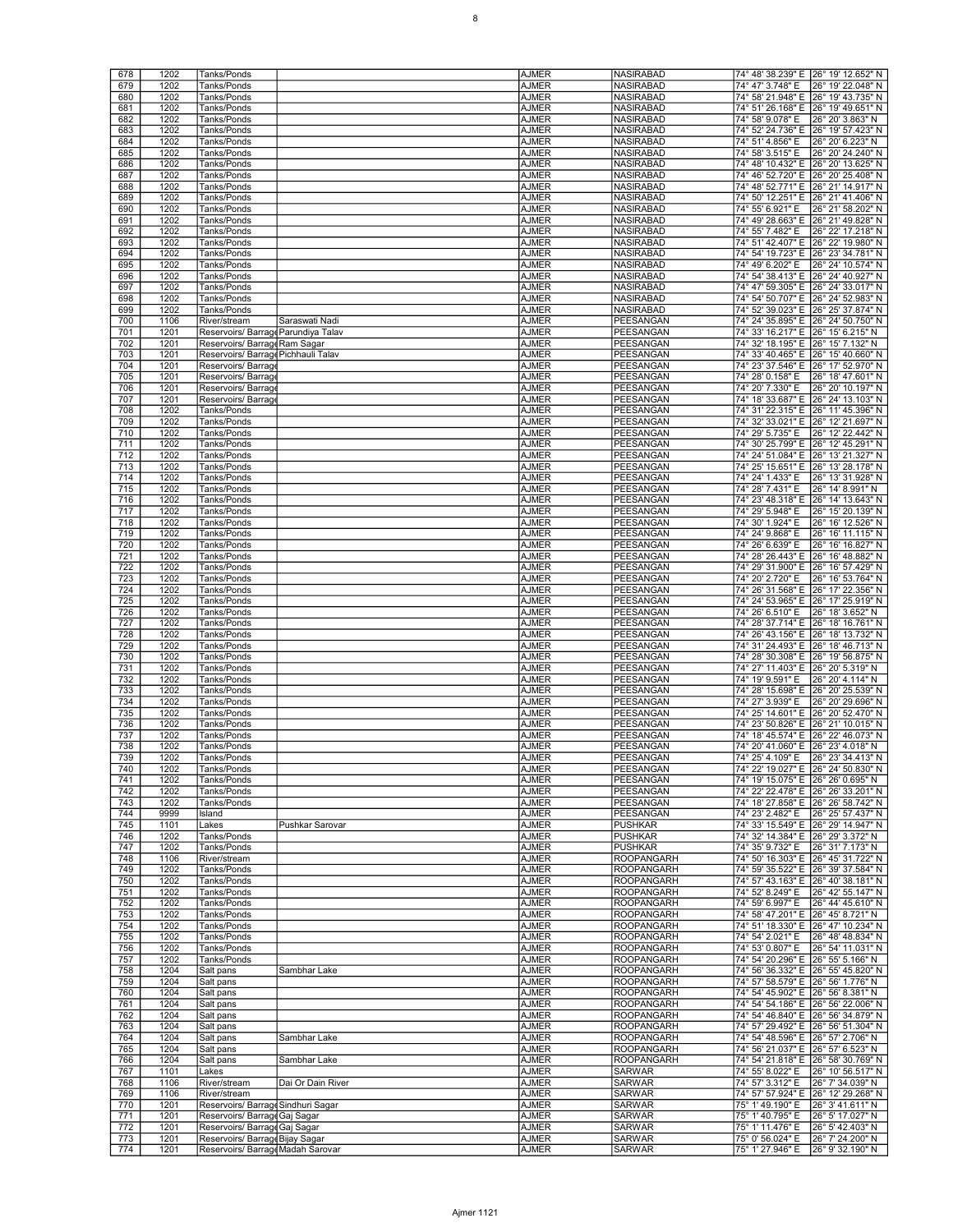| 678        | 1202         | Tanks/Ponds                                                          |                   | <b>AJMER</b>                 | <b>NASIRABAD</b>                       | 74° 48' 38.239" E 26° 19' 12.652" N                                            |
|------------|--------------|----------------------------------------------------------------------|-------------------|------------------------------|----------------------------------------|--------------------------------------------------------------------------------|
| 679        | 1202         | Tanks/Ponds                                                          |                   | <b>AJMER</b>                 | <b>NASIRABAD</b>                       | 74° 47' 3.748" E<br>26° 19' 22.048" N                                          |
| 680        | 1202         | Tanks/Ponds                                                          |                   | <b>AJMER</b>                 | NASIRABAD                              | 74° 58' 21.948" E 26° 19' 43.735" N                                            |
| 681        | 1202         | Tanks/Ponds                                                          |                   | AJMER                        | NASIRABAD                              | 74° 51' 26.168" E 26° 19' 49.651" N                                            |
| 682        | 1202         | Tanks/Ponds                                                          |                   | <b>AJMER</b>                 | <b>NASIRABAD</b>                       | 74° 58' 9.078" E<br>26° 20' 3.863" N                                           |
| 683        | 1202         | Tanks/Ponds                                                          |                   | <b>AJMER</b>                 | <b>NASIRABAD</b>                       | 74° 52' 24.736" E<br>26° 19' 57.423" N                                         |
| 684        | 1202         | Tanks/Ponds                                                          |                   | <b>AJMER</b>                 | <b>NASIRABAD</b>                       | 74° 51' 4.856" E<br>26° 20' 6.223" N                                           |
| 685        | 1202         | Tanks/Ponds                                                          |                   | <b>AJMER</b>                 | NASIRABAD                              | 74° 58' 3.515" E<br>26° 20' 24.240" N                                          |
| 686        | 1202         | Tanks/Ponds                                                          |                   | AJMER                        | NASIRABAD                              | 74° 48' 10.432" E<br>26° 20' 13.625" N                                         |
| 687        | 1202         | Tanks/Ponds                                                          |                   | <b>AJMER</b>                 | <b>NASIRABAD</b>                       | 74° 46' 52.720" E<br>26° 20' 25.408" N                                         |
| 688        | 1202         | Tanks/Ponds                                                          |                   | <b>AJMER</b>                 | <b>NASIRABAD</b>                       | 74° 48' 52.771" E<br>26° 21' 14.917" N                                         |
| 689        | 1202         | Tanks/Ponds                                                          |                   | <b>AJMER</b>                 | <b>NASIRABAD</b>                       | 74° 50' 12.251" E<br>26° 21' 41.406" N                                         |
| 690        | 1202         | Tanks/Ponds                                                          |                   | <b>AJMER</b>                 | NASIRABAD                              | 74° 55' 6.921" E<br>26° 21' 58.202" N                                          |
| 691        | 1202         | Tanks/Ponds                                                          |                   | AJMER                        | NASIRABAD                              | 74° 49' 28.663" E<br>26° 21' 49.828" N                                         |
| 692        | 1202         | Tanks/Ponds                                                          |                   | <b>AJMER</b>                 | <b>NASIRABAD</b>                       | 74° 55' 7.482" E<br>26° 22' 17.218" N                                          |
| 693        | 1202         | Tanks/Ponds                                                          |                   | <b>AJMER</b>                 | <b>NASIRABAD</b>                       | 74° 51' 42.407" E<br>26° 22' 19.980" N                                         |
| 694        | 1202         | Tanks/Ponds                                                          |                   | <b>AJMER</b>                 | <b>NASIRABAD</b>                       | 74° 54' 19.723" E<br>26° 23' 34.781" N                                         |
| 695        | 1202         | Tanks/Ponds                                                          |                   | <b>AJMER</b>                 | NASIRABAD                              | 74° 49' 6.202" E<br>26° 24' 10.574" N                                          |
| 696<br>697 | 1202<br>1202 | Tanks/Ponds<br>Tanks/Ponds                                           |                   | AJMER<br><b>AJMER</b>        | NASIRABAD<br><b>NASIRABAD</b>          | 74° 54' 38.413" E 26° 24' 40.927" N<br>74° 47' 59.305" E<br>26° 24' 33.017" N  |
| 698        | 1202         | Tanks/Ponds                                                          |                   | <b>AJMER</b>                 | NASIRABAD                              | 74° 54' 50.707" E 26° 24' 52.983" N                                            |
| 699        | 1202         | Tanks/Ponds                                                          |                   | <b>AJMER</b>                 | NASIRABAD                              | 74° 52' 39.023" E 26° 25' 37.874" N                                            |
| 700        | 1106         | River/stream                                                         | Saraswati Nadi    | <b>AJMER</b>                 | PEESANGAN                              | 74° 24' 35.895" E 26° 24' 50.750" N                                            |
| 701        | 1201         | Reservoirs/ Barrage Parundiya Talav                                  |                   | AJMER                        | PEESANGAN                              | 74° 33' 16.217" E 26° 15' 6.215" N                                             |
| 702        | 1201         | Reservoirs/ Barrage Ram Sagar                                        |                   | <b>AJMER</b>                 | PEESANGAN                              | 74° 32' 18.195" E<br>26° 15' 7.132" N                                          |
| 703        | 1201         | Reservoirs/ Barrage Pichhauli Talav                                  |                   | <b>AJMER</b>                 | <b>PEESANGAN</b>                       | 74° 33' 40.465" E<br>26° 15' 40.660" N                                         |
| 704        | 1201         | Reservoirs/ Barrag                                                   |                   | <b>AJMER</b>                 | PEESANGAN                              | 74° 23' 37.546" E<br>26° 17' 52.970" N                                         |
| 705        | 1201         | Reservoirs/Barrage                                                   |                   | <b>AJMER</b>                 | PEESANGAN                              | 74° 28' 0.158" E<br>26° 18' 47.601" N                                          |
| 706        | 1201         | Reservoirs/ Barrage                                                  |                   | AJMER                        | PEESANGAN                              | 74° 20' 7.330" E<br>26° 20' 10.197" N                                          |
| 707        | 1201         | Reservoirs/Barrage                                                   |                   | <b>AJMER</b>                 | PEESANGAN                              | 74° 18' 33.687" E<br>26° 24' 13.103" N                                         |
| 708        | 1202         | Tanks/Ponds                                                          |                   | <b>AJMER</b>                 | <b>PEESANGAN</b>                       | 74° 31' 22.315" E<br>26° 11' 45.396" N                                         |
| 709        | 1202         | Tanks/Ponds                                                          |                   | <b>AJMER</b>                 | PEESANGAN                              | 74° 32' 33.021" E<br>26° 12' 21.697" N                                         |
| 710        | 1202         | Tanks/Ponds                                                          |                   | <b>AJMER</b>                 | PEESANGAN                              | 74° 29' 5.735" E<br>26° 12' 22.442" N                                          |
| 711        | 1202         | Tanks/Ponds                                                          |                   | AJMER                        | PEESANGAN                              | 74° 30' 25.799" E 26° 12' 45.291" N                                            |
| 712        | 1202         | Tanks/Ponds                                                          |                   | <b>AJMER</b>                 | PEESANGAN                              | 74° 24' 51.084" E<br>26° 13' 21.327" N                                         |
| 713        | 1202         | Tanks/Ponds                                                          |                   | <b>AJMER</b>                 | <b>PEESANGAN</b>                       | 74° 25' 15.651" E<br>26° 13' 28.178" N                                         |
| 714        | 1202         | Tanks/Ponds                                                          |                   | <b>AJMER</b>                 | PEESANGAN                              | 74° 24' 1.433" E<br>26° 13' 31.928" N                                          |
| 715        | 1202         | Tanks/Ponds                                                          |                   | <b>AJMER</b>                 | PEESANGAN                              | 74° 28' 7.431" E<br>26° 14' 8.991" N                                           |
| 716        | 1202         | Tanks/Ponds                                                          |                   | AJMER                        | PEESANGAN                              | 74° 23' 48.318" E<br>26° 14' 13.643" N                                         |
| 717        | 1202         | Tanks/Ponds                                                          |                   | <b>AJMER</b>                 | PEESANGAN                              | 74° 29' 5.948" E<br>26° 15' 20.139" N                                          |
| 718        | 1202         | Tanks/Ponds                                                          |                   | <b>AJMER</b>                 | PEESANGAN                              | 74° 30' 1.924" E<br>26° 16' 12.526" N                                          |
| 719<br>720 | 1202<br>1202 | Tanks/Ponds<br>Tanks/Ponds                                           |                   | <b>AJMER</b><br><b>AJMER</b> | PEESANGAN<br>PEESANGAN                 | 74° 24' 9.868" E<br>26° 16' 11.115" N<br>74° 26' 6.639" E<br>26° 16' 16.827" N |
| 721        | 1202         | Tanks/Ponds                                                          |                   | AJMER                        | PEESANGAN                              | 74° 28' 26.443" E<br>26° 16' 48.882" N                                         |
| 722        | 1202         | Tanks/Ponds                                                          |                   | <b>AJMER</b>                 | PEESANGAN                              | 74° 29' 31.900" E<br>26° 16' 57.429" N                                         |
| 723        | 1202         | Tanks/Ponds                                                          |                   | <b>AJMER</b>                 | PEESANGAN                              | 74° 20' 2.720" E<br>26° 16' 53.764" N                                          |
| 724        | 1202         | Tanks/Ponds                                                          |                   | <b>AJMER</b>                 | PEESANGAN                              | 74° 26' 31.568" E<br>26° 17' 22.356" N                                         |
| 725        | 1202         | Tanks/Ponds                                                          |                   | <b>AJMER</b>                 | PEESANGAN                              | 74° 24' 53.965" E 26° 17' 25.919" N                                            |
| 726        | 1202         | Tanks/Ponds                                                          |                   | AJMER                        | PEESANGAN                              | 74° 26' 6.510" E<br>26° 18' 3.652" N                                           |
| 727        | 1202         | Tanks/Ponds                                                          |                   | <b>AJMER</b>                 | PEESANGAN                              | 74° 28' 37.714" E<br>26° 18' 16.761" N                                         |
| 728        | 1202         | Tanks/Ponds                                                          |                   | <b>AJMER</b>                 | PEESANGAN                              | 74° 26' 43.156" E<br>26° 18' 13.732" N                                         |
| 729        | 1202         | Tanks/Ponds                                                          |                   | <b>AJMER</b>                 | PEESANGAN                              | 74° 31' 24.493" E 26° 18' 46.713" N                                            |
| 730        | 1202         | Tanks/Ponds                                                          |                   | <b>AJMER</b>                 | PEESANGAN                              | 74° 28' 30.308" E 26° 19' 56.875" N                                            |
| 731        | 1202         | Tanks/Ponds                                                          |                   | AJMER                        | PEESANGAN                              | 74° 27' 11.403" E 26° 20' 5.319" N                                             |
| 732        | 1202         | Tanks/Ponds                                                          |                   | <b>AJMER</b>                 | PEESANGAN                              | 26° 20' 4.114" N<br>74° 19' 9.591" E                                           |
| 733        | 1202         | Tanks/Ponds                                                          |                   | <b>AJMER</b>                 | PEESANGAN                              | 74° 28' 15.698" E<br>26° 20' 25.539" N                                         |
| 734        | 1202         | Tanks/Ponds                                                          |                   | <b>AJMER</b>                 | PEESANGAN                              | 74° 27' 3.939" E<br>26° 20' 29.696" N                                          |
| 735        | 1202         | Tanks/Ponds                                                          |                   | <b>AJMER</b>                 | PEESANGAN                              | 74° 25' 14.601" E 26° 20' 52.470" N                                            |
| 736<br>737 | 1202<br>1202 | Tanks/Ponds<br>Tanks/Ponds                                           |                   | AJMER<br><b>AJMER</b>        | PEESANGAN<br>PEESANGAN                 | 74° 23' 50.826" E 26° 21' 10.015" N<br>74° 18' 45.574" E 26° 22' 46.073" N     |
| 738        | 1202         | Tanks/Ponds                                                          |                   | <b>AJMER</b>                 | <b>PEESANGAN</b>                       | 74° 20' 41.060" E 26° 23' 4.018" N                                             |
| 739        | 1202         | Tanks/Ponds                                                          |                   | <b>AJMER</b>                 | PEESANGAN                              | 74° 25' 4.109" E<br>26° 23' 34.413" N                                          |
| 740        | 1202         | Tanks/Ponds                                                          |                   | <b>AJMER</b>                 | PEESANGAN                              | 74° 22' 19.027" E 26° 24' 50.830" N                                            |
| 741        | 1202         | Tanks/Ponds                                                          |                   | <b>AJMER</b>                 | PEESANGAN                              | 74° 19' 15.075" E 26° 26' 0.695" N                                             |
| 742        | 1202         | Tanks/Ponds                                                          |                   | <b>AJMER</b>                 | PEESANGAN                              | 74° 22' 22.478" E 26° 26' 33.201" N                                            |
| 743        | 1202         | Tanks/Ponds                                                          |                   | <b>AJMER</b>                 | PEESANGAN                              | 74° 18' 27.858" E 26° 26' 58.742" N                                            |
| 744        | 9999         | Island                                                               |                   | <b>AJMER</b>                 | PEESANGAN                              | 74° 23' 2.482" E<br>26° 25' 57.437" N                                          |
| 745        | 1101         | Lakes                                                                | Pushkar Sarovar   | <b>AJMER</b>                 | <b>PUSHKAR</b>                         | 74° 33' 15.549" E 26° 29' 14.947" N                                            |
| 746        | 1202         | Tanks/Ponds                                                          |                   | <b>AJMER</b>                 | <b>PUSHKAR</b>                         | 74° 32' 14.384" E 26° 29' 3.372" N                                             |
| 747        | 1202         | Tanks/Ponds                                                          |                   | <b>AJMER</b>                 | <b>PUSHKAR</b>                         | 74° 35' 9.732" E<br>26° 31' 7.173" N                                           |
| 748        | 1106         | River/stream                                                         |                   | <b>AJMER</b>                 | <b>ROOPANGARH</b>                      | 74° 50' 16.303" E 26° 45' 31.722" N                                            |
| 749        | 1202         | Tanks/Ponds                                                          |                   | <b>AJMER</b>                 | <b>ROOPANGARH</b>                      | 74° 59' 35.522" E 26° 39' 37.584" N                                            |
| 750        | 1202         | Tanks/Ponds                                                          |                   | <b>AJMER</b>                 | ROOPANGARH                             | 74° 57' 43.163" E 26° 40' 38.181" N                                            |
| 751        | 1202         | Tanks/Ponds                                                          |                   | <b>AJMER</b>                 | <b>ROOPANGARH</b>                      | 74° 52' 8.249" E<br>26° 42' 55.147" N                                          |
| 752<br>753 | 1202<br>1202 | Tanks/Ponds<br>Tanks/Ponds                                           |                   | <b>AJMER</b><br><b>AJMER</b> | <b>ROOPANGARH</b><br><b>ROOPANGARH</b> | 74° 59' 6.997" E<br>26° 44' 45.610" N<br>74° 58' 47.201" E 26° 45' 8.721" N    |
| 754        | 1202         | Tanks/Ponds                                                          |                   | <b>AJMER</b>                 | <b>ROOPANGARH</b>                      | 74° 51' 18.330" E 26° 47' 10.234" N                                            |
| 755        | 1202         | Tanks/Ponds                                                          |                   | <b>AJMER</b>                 | ROOPANGARH                             | 74° 54' 2.021" E<br>26° 48' 48.834" N                                          |
| 756        | 1202         | Tanks/Ponds                                                          |                   | <b>AJMER</b>                 | <b>ROOPANGARH</b>                      | 74° 53' 0.807" E<br>26° 54' 11.031" N                                          |
| 757        | 1202         | Tanks/Ponds                                                          |                   | <b>AJMER</b>                 | <b>ROOPANGARH</b>                      | 74° 54' 20.296" E 26° 55' 5.166" N                                             |
| 758        | 1204         | Salt pans                                                            | Sambhar Lake      | <b>AJMER</b>                 | <b>ROOPANGARH</b>                      | 74° 56' 36.332" E 26° 55' 45.820" N                                            |
| 759        | 1204         | Salt pans                                                            |                   | <b>AJMER</b>                 | <b>ROOPANGARH</b>                      | 74° 57' 58.579" E 26° 56' 1.776" N                                             |
| 760        | 1204         | Salt pans                                                            |                   | <b>AJMER</b>                 | ROOPANGARH                             | 74° 54' 45.902" E 26° 56' 8.381" N                                             |
| 761        | 1204         | Salt pans                                                            |                   | AJMER                        | <b>ROOPANGARH</b>                      | 74° 54' 54.186" E 26° 56' 22.006" N                                            |
| 762        | 1204         | Salt pans                                                            |                   | <b>AJMER</b>                 | <b>ROOPANGARH</b>                      | 74° 54' 46.840" E 26° 56' 34.879" N                                            |
| 763        | 1204         | Salt pans                                                            |                   | <b>AJMER</b>                 | <b>ROOPANGARH</b>                      | 74° 57' 29.492" E 26° 56' 51.304" N                                            |
| 764        | 1204         | Salt pans                                                            | Sambhar Lake      | <b>AJMER</b>                 | <b>ROOPANGARH</b>                      | 74° 54' 48.596" E 26° 57' 2.706" N                                             |
| 765        | 1204         | Salt pans                                                            |                   | <b>AJMER</b>                 | ROOPANGARH                             | 74° 56' 21.037" E 26° 57' 6.523" N                                             |
| 766        | 1204         | Salt pans                                                            | Sambhar Lake      | AJMER                        | <b>ROOPANGARH</b>                      | 74° 54' 21.818" E 26° 58' 30.769" N                                            |
| 767        | 1101         | Lakes                                                                |                   | <b>AJMER</b>                 | <b>SARWAR</b>                          | 74° 55' 8.022" E<br>26° 10' 56.517" N                                          |
| 768        | 1106         | River/stream                                                         | Dai Or Dain River | <b>AJMER</b>                 | <b>SARWAR</b>                          | 74° 57' 3.312" E<br>26° 7' 34.039" N                                           |
| 769        | 1106         | River/stream                                                         |                   | <b>AJMER</b>                 | SARWAR                                 | 74° 57' 57.924" E<br>26° 12' 29.268" N                                         |
| 770        | 1201         | Reservoirs/ Barrage Sindhuri Sagar                                   |                   | <b>AJMER</b>                 | SARWAR                                 | 75° 1' 49.190" E<br>26° 3' 41.611" N                                           |
| 771        | 1201         | Reservoirs/ Barrage Gaj Sagar                                        |                   | AJMER                        | SARWAR                                 | 75° 1' 40.795" E<br>26° 5' 17.027" N                                           |
| 772        | 1201         | Reservoirs/ Barrage Gaj Sagar                                        |                   | <b>AJMER</b>                 | SARWAR                                 | 75° 1' 11.476" E<br>26° 5' 42.403" N                                           |
| 773<br>774 | 1201<br>1201 | Reservoirs/ Barrage Bijay Sagar<br>Reservoirs/ Barrage Madah Sarovar |                   | <b>AJMER</b><br>AJMER        | <b>SARWAR</b><br><b>SARWAR</b>         | 75° 0' 56.024" E<br>26° 7' 24.200" N<br>75° 1' 27.946" E<br>26° 9' 32.190" N   |
|            |              |                                                                      |                   |                              |                                        |                                                                                |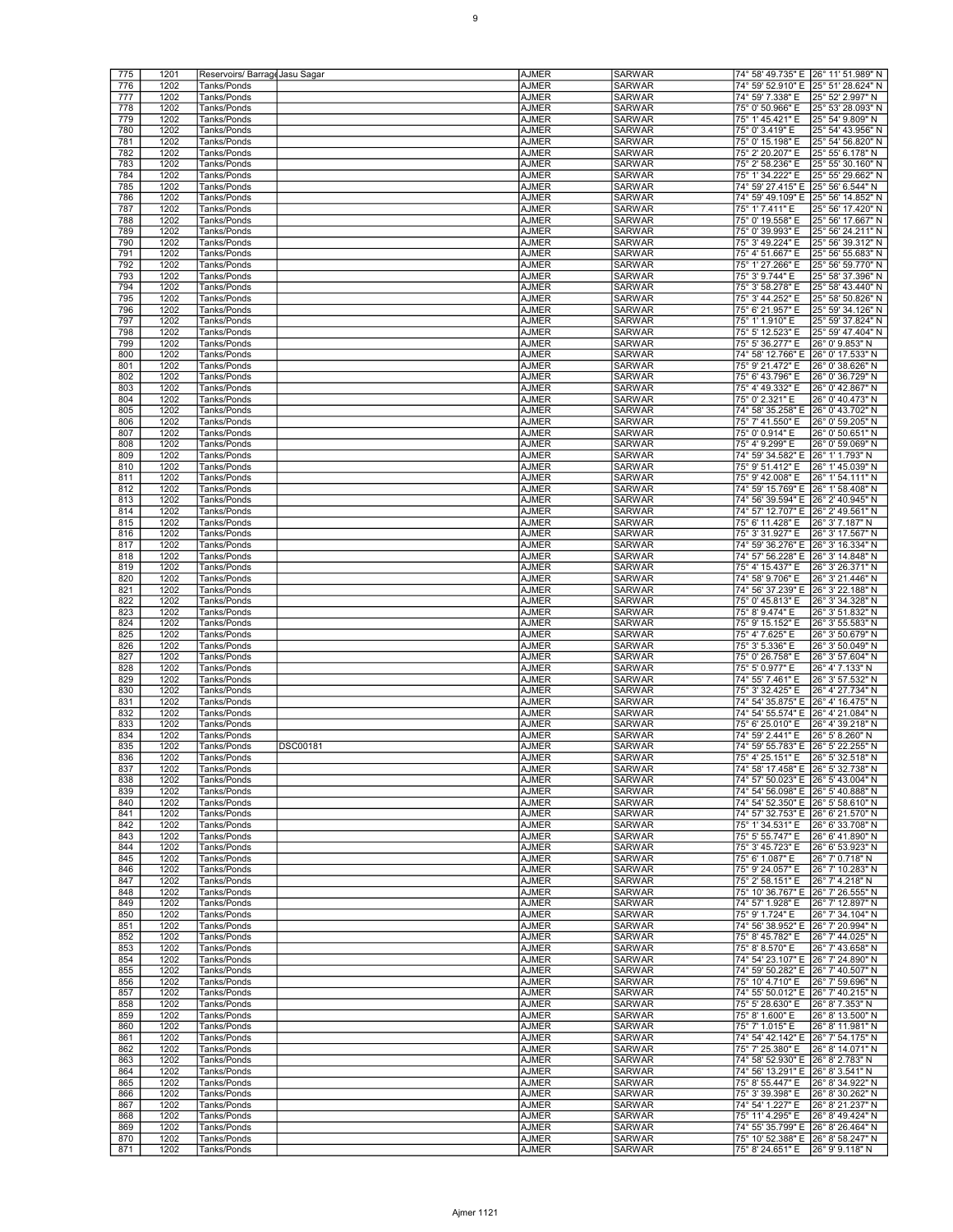| 775        | 1201         | Reservoirs/ Barrage Jasu Sagar |                 | <b>AJMER</b>          | <b>SARWAR</b>                  | 74° 58' 49.735" E 26° 11' 51.989" N                    |                                     |
|------------|--------------|--------------------------------|-----------------|-----------------------|--------------------------------|--------------------------------------------------------|-------------------------------------|
| 776        | 1202         | Tanks/Ponds                    |                 | AJMER                 | <b>SARWAR</b>                  | 74° 59' 52.910" E                                      | 25° 51' 28.624" N                   |
|            |              |                                |                 |                       |                                |                                                        |                                     |
| 777        | 1202         | Tanks/Ponds                    |                 | <b>AJMER</b>          | SARWAR                         | 74° 59' 7.338" E                                       | 25° 52' 2.997" N                    |
| 778        | 1202         | Tanks/Ponds                    |                 | AJMER                 | SARWAR                         | 75° 0' 50.966" E                                       | 25° 53' 28.093" N                   |
| 779        | 1202         | Tanks/Ponds                    |                 | AJMER                 | SARWAR                         | 75° 1' 45.421" E                                       | 25° 54′ 9.809″ N                    |
| 780        | 1202         | Tanks/Ponds                    |                 | <b>AJMER</b>          | <b>SARWAR</b>                  | 75° 0' 3.419" E                                        | 25° 54' 43.956" N                   |
| 781        | 1202         | Tanks/Ponds                    |                 | AJMER                 | <b>SARWAR</b>                  | 75° 0' 15.198" E                                       | 25° 54' 56.820" N                   |
| 782        | 1202         | Tanks/Ponds                    |                 | <b>AJMER</b>          | SARWAR                         | 75° 2' 20.207" E                                       | 25° 55' 6.178" N                    |
| 783        | 1202         | Tanks/Ponds                    |                 | AJMER                 | SARWAR                         | 75° 2' 58.236" E                                       | 25° 55' 30.160" N                   |
| 784        | 1202         | Tanks/Ponds                    |                 | AJMER                 | SARWAR                         | 75° 1' 34.222" E                                       | 25° 55' 29.662" N                   |
| 785        | 1202         | Tanks/Ponds                    |                 | <b>AJMER</b>          | <b>SARWAR</b>                  | 74° 59' 27.415" E                                      | 25° 56' 6.544" N                    |
| 786        | 1202         | Tanks/Ponds                    |                 | <b>AJMER</b>          | <b>SARWAR</b>                  | 74° 59' 49.109" E                                      | 25° 56' 14.852" N                   |
| 787        | 1202         | Tanks/Ponds                    |                 | <b>AJMER</b>          | SARWAR                         | 75° 1' 7.411" E                                        | 25° 56′ 17.420″ N                   |
|            |              |                                |                 |                       |                                |                                                        |                                     |
| 788        | 1202         | Tanks/Ponds                    |                 | AJMER                 | SARWAR                         | 75° 0' 19.558" E                                       | 25° 56' 17.667" N                   |
| 789        | 1202         | Tanks/Ponds                    |                 | AJMER                 | SARWAR                         | 75° 0' 39.993" E                                       | 25° 56′ 24.211″ N                   |
| 790        | 1202         | Tanks/Ponds                    |                 | <b>AJMER</b>          | <b>SARWAR</b>                  | 75° 3' 49.224" E                                       | 25° 56' 39.312" N                   |
| 791        | 1202         | Tanks/Ponds                    |                 | <b>AJMER</b>          | <b>SARWAR</b>                  | 75° 4' 51.667" E                                       | 25° 56′ 55.683″ N                   |
| 792        | 1202         | Tanks/Ponds                    |                 | <b>AJMER</b>          | SARWAR                         | 75° 1' 27.266" E                                       | 25° 56' 59.770" N                   |
| 793        | 1202         | Tanks/Ponds                    |                 | <b>AJMER</b>          | <b>SARWAR</b>                  | 75° 3' 9.744" E                                        | 25° 58' 37.396" N                   |
| 794        | 1202         | Tanks/Ponds                    |                 | AJMER                 | SARWAR                         | 75° 3' 58.278" E                                       | 25° 58' 43.440" N                   |
| 795        | 1202         | Tanks/Ponds                    |                 | <b>AJMER</b>          | <b>SARWAR</b>                  | 75° 3' 44.252" E                                       | 25° 58' 50.826" N                   |
| 796        | 1202         | Tanks/Ponds                    |                 | <b>AJMER</b>          | <b>SARWAR</b>                  | 75° 6' 21.957" E                                       | 25° 59' 34.126" N                   |
| 797        | 1202         | Tanks/Ponds                    |                 | <b>AJMER</b>          | SARWAR                         | 75° 1' 1.910" E                                        | 25° 59' 37.824" N                   |
| 798        | 1202         | Tanks/Ponds                    |                 | <b>AJMER</b>          | <b>SARWAR</b>                  | 75° 5' 12.523" E                                       | 25° 59' 47.404" N                   |
|            |              |                                |                 |                       |                                |                                                        |                                     |
| 799        | 1202         | Tanks/Ponds                    |                 | <b>AJMER</b>          | <b>SARWAR</b>                  | 75° 5' 36.277" E                                       | 26° 0' 9.853" N                     |
| 800        | 1202         | Tanks/Ponds                    |                 | <b>AJMER</b>          | <b>SARWAR</b>                  | 74° 58' 12.766" E                                      | 26° 0' 17.533" N                    |
| 801        | 1202         | Tanks/Ponds                    |                 | <b>AJMER</b>          | <b>SARWAR</b>                  | 75° 9' 21.472" E                                       | 26° 0' 38.626" N                    |
| 802        | 1202         | Tanks/Ponds                    |                 | <b>AJMER</b>          | SARWAR                         | 75° 6' 43.796" E                                       | 26° 0' 36.729" N                    |
| 803        | 1202         | Tanks/Ponds                    |                 | <b>AJMER</b>          | <b>SARWAR</b>                  | 75° 4' 49.332" E                                       | 26° 0' 42.867" N                    |
| 804        | 1202         | Tanks/Ponds                    |                 | AJMER                 | <b>SARWAR</b>                  | 75° 0' 2.321" E                                        | 26° 0' 40.473" N                    |
| 805        | 1202         | Tanks/Ponds                    |                 | <b>AJMER</b>          | <b>SARWAR</b>                  | 74° 58' 35.258" E                                      | 26° 0' 43.702" N                    |
| 806        | 1202         | Tanks/Ponds                    |                 | <b>AJMER</b>          | <b>SARWAR</b>                  | 75° 7' 41.550" E                                       | 26° 0' 59.205" N                    |
| 807        | 1202         | Tanks/Ponds                    |                 | <b>AJMER</b>          | SARWAR                         | 75° 0' 0.914" E                                        | 26° 0' 50.651" N                    |
| 808        | 1202         | Tanks/Ponds                    |                 | AJMER                 | SARWAR                         | 75° 4' 9.299" E                                        | 26° 0' 59.069" N                    |
|            |              |                                |                 |                       |                                |                                                        |                                     |
| 809<br>810 | 1202         | Tanks/Ponds                    |                 | AJMER                 | SARWAR<br><b>SARWAR</b>        | 74° 59' 34.582" E                                      | 26° 1' 1.793" N<br>26° 1' 45.039" N |
|            | 1202         | Tanks/Ponds                    |                 | <b>AJMER</b>          |                                | 75° 9' 51.412" E                                       |                                     |
| 811        | 1202         | Tanks/Ponds                    |                 | <b>AJMER</b>          | SARWAR                         | 75° 9' 42.008" E                                       | 26° 1' 54.111" N                    |
| 812        | 1202         | Tanks/Ponds                    |                 | <b>AJMER</b>          | SARWAR                         | 74° 59' 15.769" E                                      | 26° 1' 58.408" N                    |
| 813        | 1202         | Tanks/Ponds                    |                 | AJMER                 | SARWAR                         | 74° 56' 39.594" E                                      | 26° 2' 40.945" N                    |
| 814        | 1202         | Tanks/Ponds                    |                 | AJMER                 | SARWAR                         | 74° 57' 12.707" E                                      | 26° 2' 49.561" N                    |
| 815        | 1202         | Tanks/Ponds                    |                 | <b>AJMER</b>          | <b>SARWAR</b>                  | 75° 6' 11.428" E                                       | 26° 3' 7.187" N                     |
| 816        | 1202         | Tanks/Ponds                    |                 | <b>AJMER</b>          | <b>SARWAR</b>                  | 75° 3' 31.927" E                                       | 26° 3' 17.567" N                    |
| 817        | 1202         | Tanks/Ponds                    |                 | <b>AJMER</b>          | SARWAR                         | 74° 59' 36.276" E                                      | 26° 3' 16.334" N                    |
| 818        | 1202         | Tanks/Ponds                    |                 | AJMER                 | <b>SARWAR</b>                  | 74° 57' 56.228" E                                      | 26° 3' 14.848" N                    |
| 819        | 1202         | Tanks/Ponds                    |                 | AJMER                 | SARWAR                         | 75° 4' 15.437" E                                       | 26° 3' 26.371" N                    |
| 820        |              |                                |                 |                       |                                |                                                        |                                     |
|            | 1202         | Tanks/Ponds                    |                 | <b>AJMER</b>          | <b>SARWAR</b>                  | 74° 58' 9.706" E                                       | 26° 3' 21.446" N                    |
| 821        | 1202         | Tanks/Ponds                    |                 | <b>AJMER</b>          | <b>SARWAR</b>                  | 74° 56' 37.239" E                                      | 26° 3' 22.188" N                    |
| 822        | 1202         | Tanks/Ponds                    |                 | <b>AJMER</b>          | SARWAR                         | 75° 0' 45.813" E                                       | 26° 3' 34.328" N                    |
| 823        | 1202         | Tanks/Ponds                    |                 | <b>AJMER</b>          | <b>SARWAR</b>                  | 75° 8' 9.474" E                                        | 26° 3' 51.832" N                    |
| 824        | 1202         | Tanks/Ponds                    |                 | AJMER                 | SARWAR                         | 75° 9' 15.152" E                                       | 26° 3′ 55.583″ N                    |
| 825        | 1202         | Tanks/Ponds                    |                 | <b>AJMER</b>          | <b>SARWAR</b>                  | 75° 4' 7.625" E                                        | 26° 3' 50.679" N                    |
| 826        | 1202         | Tanks/Ponds                    |                 | <b>AJMER</b>          | <b>SARWAR</b>                  | 75° 3' 5.336" E                                        | 26° 3' 50.049" N                    |
| 827        | 1202         | Tanks/Ponds                    |                 | <b>AJMER</b>          | SARWAR                         | 75° 0' 26.758" E                                       | 26° 3' 57.604" N                    |
| 828        | 1202         | Tanks/Ponds                    |                 | <b>AJMER</b>          | <b>SARWAR</b>                  | 75° 5' 0.977" E                                        | 26° 4' 7.133" N                     |
| 829        | 1202         | Tanks/Ponds                    |                 | <b>AJMER</b>          | <b>SARWAR</b>                  | 74° 55' 7.461" E                                       | 26° 3′ 57.532″ N                    |
| 830        | 1202         | Tanks/Ponds                    |                 | <b>AJMER</b>          | <b>SARWAR</b>                  | 75° 3' 32.425" E                                       | 26° 4' 27.734" N                    |
| 831        | 1202         | Tanks/Ponds                    |                 | <b>AJMER</b>          | <b>SARWAR</b>                  | 74° 54' 35.875" E                                      | 26° 4' 16.475" N                    |
| 832        | 1202         | Tanks/Ponds                    |                 | <b>AJMER</b>          | SARWAR                         | 74° 54' 55.574" E                                      | 26° 4' 21.084" N                    |
| 833        | 1202         | Tanks/Ponds                    |                 | <b>AJMER</b>          | <b>SARWAR</b>                  | 75° 6' 25.010" E                                       | 26° 4' 39.218" N                    |
|            |              |                                |                 |                       |                                |                                                        |                                     |
| 834        | 1202         | Tanks/Ponds                    |                 | AJMER                 | SARWAR                         | 74° 59' 2.441" E                                       | 26° 5' 8.260" N                     |
| 835        | 1202         | Tanks/Ponds                    | <b>DSC00181</b> | <b>AJMER</b>          | <b>SARWAR</b>                  | 74° 59' 55.783" E                                      | 26° 5' 22.255" N                    |
| 836        | 1202         | Tanks/Ponds                    |                 | AJMER                 | SARWAR                         | 75° 4' 25.151" E                                       | 26° 5' 32.518" N                    |
| 837        | 1202         | Tanks/Ponds                    |                 | <b>AJMER</b>          | <b>SARWAR</b>                  | 74° 58' 17.458" E 26° 5' 32.738" N                     |                                     |
| 838        | 1202         | Tanks/Ponds                    |                 | AJMER                 | <b>SARWAR</b>                  | 74° 57' 50.023" E 26° 5' 43.004" N                     |                                     |
| 839        | 1202         | Tanks/Ponds                    |                 | AJMER                 | SARWAR                         | 74° 54' 56.098" E 26° 5' 40.888" N                     |                                     |
| 840        | 1202         | Tanks/Ponds                    |                 | <b>AJMER</b>          | <b>SARWAR</b>                  | 74° 54' 52.350" E 26° 5' 58.610" N                     |                                     |
| 841        | 1202         | Tanks/Ponds                    |                 | AJMER                 | <b>SARWAR</b>                  | 74° 57' 32.753" E 26° 6' 21.570" N                     |                                     |
| 842        | 1202         | Tanks/Ponds                    |                 | <b>AJMER</b>          | SARWAR                         | 75° 1' 34.531" E                                       | 26° 6' 33.708" N                    |
| 843        | 1202         | Tanks/Ponds                    |                 | <b>AJMER</b>          | <b>SARWAR</b>                  | 75° 5' 55.747" E                                       | 26° 6' 41.890" N                    |
| 844        | 1202         | Tanks/Ponds                    |                 | <b>AJMER</b>          | SARWAR                         | 75° 3' 45.723" E                                       | 26° 6′ 53.923″ N                    |
| 845        | 1202         | Tanks/Ponds                    |                 | <b>AJMER</b>          | <b>SARWAR</b>                  | 75° 6' 1.087" E                                        | 26° 7' 0.718" N                     |
| 846        | 1202         | Tanks/Ponds                    |                 | AJMER                 | <b>SARWAR</b>                  | 75° 9' 24.057" E                                       | 26° 7' 10.283" N                    |
| 847        |              |                                |                 |                       |                                |                                                        |                                     |
|            |              |                                |                 |                       |                                |                                                        |                                     |
|            | 1202         | Tanks/Ponds                    |                 | <b>AJMER</b>          | SARWAR                         | 75° 2' 58.151" E                                       | 26° 7' 4.218" N                     |
| 848        | 1202         | Tanks/Ponds                    |                 | <b>AJMER</b>          | <b>SARWAR</b>                  | 75° 10' 36.767" E                                      | 26° 7' 26.555" N                    |
| 849        | 1202         | Tanks/Ponds                    |                 | <b>AJMER</b>          | SARWAR                         | 74° 57' 1.928" E                                       | 26° 7' 12.897" N                    |
| 850        | 1202         | Tanks/Ponds                    |                 | <b>AJMER</b>          | <b>SARWAR</b>                  | 75° 9' 1.724" E                                        | 26° 7' 34.104" N                    |
| 851        | 1202         | Tanks/Ponds                    |                 | <b>AJMER</b>          | <b>SARWAR</b>                  | 74° 56' 38.952" E                                      | 26° 7' 20.994" N                    |
| 852        | 1202         | Tanks/Ponds                    |                 | <b>AJMER</b>          | SARWAR                         | 75° 8' 45.782" E                                       | 26° 7' 44.025" N                    |
| 853        | 1202         | Tanks/Ponds                    |                 | AJMER                 | <b>SARWAR</b>                  | 75° 8' 8.570" E                                        | 26° 7' 43.658" N                    |
| 854        | 1202         | Tanks/Ponds                    |                 | <b>AJMER</b>          | SARWAR                         | 74° 54' 23.107" E                                      | 26° 7' 24.890" N                    |
| 855        | 1202         | Tanks/Ponds                    |                 | <b>AJMER</b>          | <b>SARWAR</b>                  | 74° 59' 50.282" E 26° 7' 40.507" N                     |                                     |
| 856        | 1202         | Tanks/Ponds                    |                 | <b>AJMER</b>          | <b>SARWAR</b>                  | 75° 10' 4.710" E                                       | 26° 7' 59.696" N                    |
| 857        | 1202         | Tanks/Ponds                    |                 | <b>AJMER</b>          | SARWAR                         | 74° 55' 50.012" E 26° 7' 40.215" N                     |                                     |
| 858        | 1202         | Tanks/Ponds                    |                 | <b>AJMER</b>          | <b>SARWAR</b>                  | 75° 5' 28.630" E                                       | 26° 8' 7.353" N                     |
| 859        | 1202         | Tanks/Ponds                    |                 | <b>AJMER</b>          | SARWAR                         | 75° 8' 1.600" E                                        | 26° 8' 13.500" N                    |
|            |              |                                |                 |                       |                                |                                                        |                                     |
| 860        | 1202         | Tanks/Ponds                    |                 | <b>AJMER</b>          | <b>SARWAR</b>                  | 75° 7' 1.015" E                                        | 26° 8' 11.981" N                    |
| 861        | 1202         | Tanks/Ponds                    |                 | <b>AJMER</b>          | <b>SARWAR</b>                  | 74° 54' 42.142" E                                      | 26° 7' 54.175" N                    |
| 862        | 1202         | Tanks/Ponds                    |                 | <b>AJMER</b>          | SARWAR                         | 75° 7' 25.380" E                                       | 26° 8' 14.071" N                    |
| 863        | 1202         | Tanks/Ponds                    |                 | <b>AJMER</b>          | <b>SARWAR</b>                  | 74° 58' 52.930" E                                      | 26° 8' 2.783" N                     |
| 864        | 1202         | Tanks/Ponds                    |                 | <b>AJMER</b>          | SARWAR                         | 74° 56' 13.291" E 26° 8' 3.541" N                      |                                     |
| 865        | 1202         | Tanks/Ponds                    |                 | <b>AJMER</b>          | <b>SARWAR</b>                  | 75° 8' 55.447" E                                       | 26° 8' 34.922" N                    |
| 866        | 1202         | Tanks/Ponds                    |                 | <b>AJMER</b>          | <b>SARWAR</b>                  | 75° 3' 39.398" E                                       | 26° 8' 30.262" N                    |
| 867        | 1202         | Tanks/Ponds                    |                 | AJMER                 | SARWAR                         | 74° 54' 1.227" E                                       | 26° 8' 21.237" N                    |
| 868        | 1202         | Tanks/Ponds                    |                 | AJMER                 | <b>SARWAR</b>                  | 75° 11' 4.295" E                                       | 26° 8' 49.424" N                    |
| 869        | 1202         | Tanks/Ponds                    |                 | AJMER                 | SARWAR                         | 74° 55' 35.799" E 26° 8' 26.464" N                     |                                     |
| 870<br>871 | 1202<br>1202 | Tanks/Ponds<br>Tanks/Ponds     |                 | <b>AJMER</b><br>AJMER | <b>SARWAR</b><br><b>SARWAR</b> | 75° 10' 52.388" E 26° 8' 58.247" N<br>75° 8' 24.651" E | 26° 9' 9.118" N                     |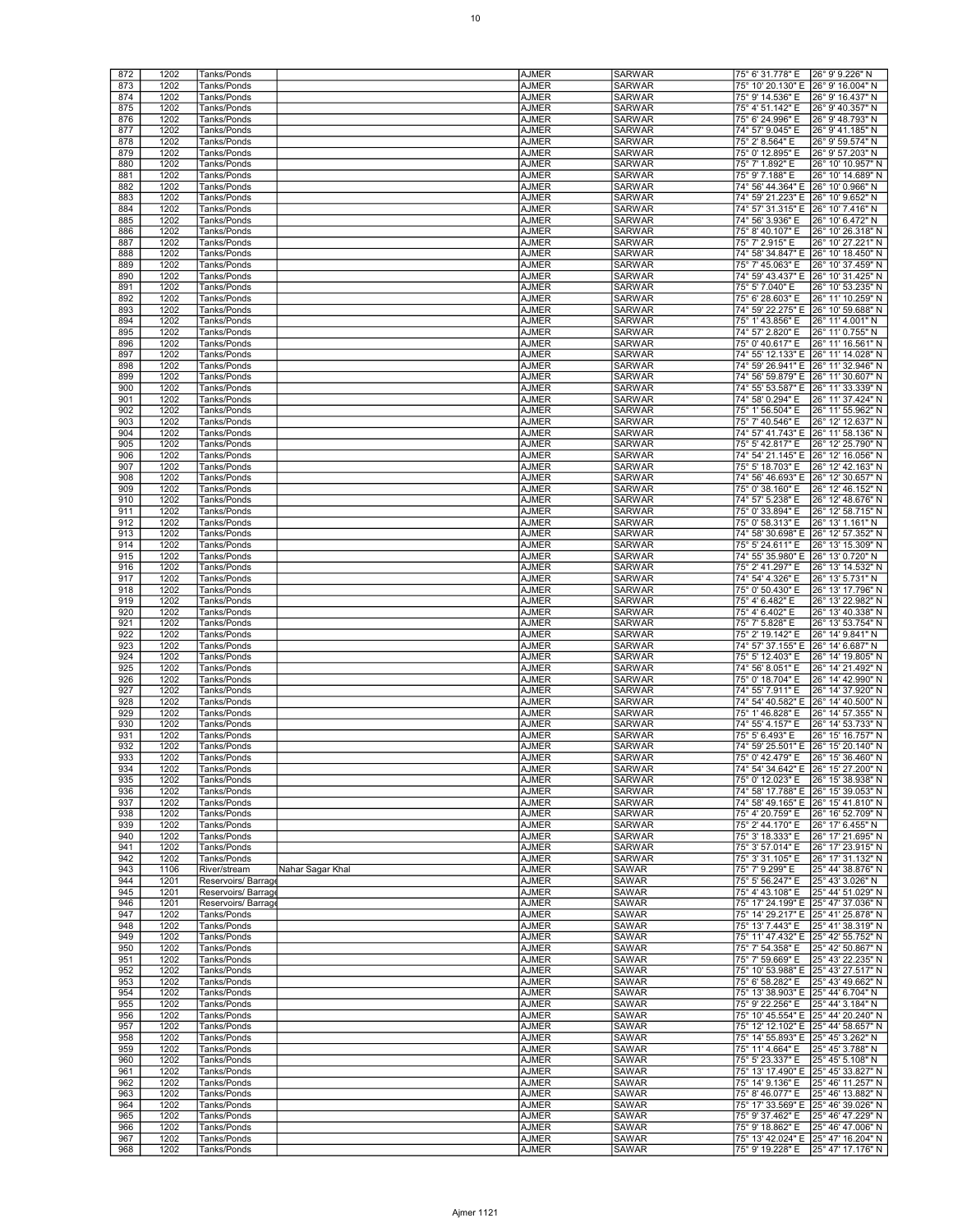|            | 1202 | Tanks/Ponds                      | <b>AJMER</b> | <b>SARWAR</b> | 75° 6' 31.778" E 26° 9' 9.226" N       |
|------------|------|----------------------------------|--------------|---------------|----------------------------------------|
| 872<br>873 | 1202 | Tanks/Ponds                      | AJMER        | <b>SARWAR</b> | 75° 10' 20.130" E 26° 9' 16.004" N     |
| 874        |      |                                  |              | <b>SARWAR</b> | 26° 9' 16.437" N                       |
|            | 1202 | Tanks/Ponds                      | AJMER        |               | 75° 9' 14.536" E                       |
| 875        | 1202 | Tanks/Ponds                      | AJMER        | <b>SARWAR</b> | 75° 4' 51.142" E<br>26° 9' 40.357" N   |
| 876        | 1202 | Tanks/Ponds                      | AJMER        | SARWAR        | 75° 6' 24.996" E<br>26° 9' 48.793" N   |
| 877        | 1202 | Tanks/Ponds                      | <b>AJMER</b> | <b>SARWAR</b> | 74° 57' 9.045" E<br>26° 9′ 41.185″ N   |
| 878        | 1202 | Tanks/Ponds                      | AJMER        | <b>SARWAR</b> | 75° 2' 8.564" E<br>26° 9' 59.574" N    |
| 879        | 1202 | Tanks/Ponds                      | <b>AJMER</b> | <b>SARWAR</b> | 75° 0' 12.895" E<br>26° 9' 57.203" N   |
| 880        | 1202 | Tanks/Ponds                      | <b>AJMER</b> | <b>SARWAR</b> | 75° 7' 1.892" E<br>26° 10' 10.957" N   |
| 881        | 1202 | Tanks/Ponds                      | AJMER        | SARWAR        | 26° 10' 14.689" N<br>75° 9' 7.188" E   |
| 882        | 1202 | Tanks/Ponds                      | <b>AJMER</b> | <b>SARWAR</b> | 74° 56' 44.364" E<br>26° 10' 0.966" N  |
|            |      |                                  |              |               |                                        |
| 883        | 1202 | Tanks/Ponds                      | <b>AJMER</b> | <b>SARWAR</b> | 74° 59′ 21.223″ E 26° 10′ 9.652″ N     |
| 884        | 1202 | Tanks/Ponds                      | <b>AJMER</b> | <b>SARWAR</b> | 74° 57' 31.315" E 26° 10' 7.416" N     |
| 885        | 1202 | Tanks/Ponds                      | <b>AJMER</b> | <b>SARWAR</b> | 74° 56' 3.936" E<br>26° 10' 6.472" N   |
| 886        | 1202 | Tanks/Ponds                      | AJMER        | SARWAR        | 75° 8' 40.107" E<br>26° 10' 26.318" N  |
| 887        | 1202 | Tanks/Ponds                      | <b>AJMER</b> | <b>SARWAR</b> | 75° 7' 2.915" E<br>26° 10' 27.221" N   |
| 888        | 1202 | Tanks/Ponds                      | <b>AJMER</b> | <b>SARWAR</b> | 74° 58' 34.847" E 26° 10' 18.450" N    |
| 889        | 1202 | Tanks/Ponds                      | <b>AJMER</b> | <b>SARWAR</b> | 75° 7' 45.063" E<br>26° 10' 37.459" N  |
| 890        | 1202 | Tanks/Ponds                      | <b>AJMER</b> | <b>SARWAR</b> | 26° 10' 31.425" N<br>74° 59' 43.437" E |
| 891        | 1202 | Tanks/Ponds                      | AJMER        | SARWAR        | 75° 5' 7.040" E<br>26° 10' 53.235" N   |
|            |      |                                  |              |               |                                        |
| 892        | 1202 | Tanks/Ponds                      | <b>AJMER</b> | <b>SARWAR</b> | 75° 6' 28.603" E<br>26° 11' 10.259" N  |
| 893        | 1202 | Tanks/Ponds                      | AJMER        | <b>SARWAR</b> | 74° 59′ 22.275″ E 126° 10′ 59.688″ N   |
| 894        | 1202 | Tanks/Ponds                      | <b>AJMER</b> | <b>SARWAR</b> | 75° 1' 43.856" E<br>26° 11' 4.001" N   |
| 895        | 1202 | Tanks/Ponds                      | <b>AJMER</b> | <b>SARWAR</b> | 26° 11' 0.755" N<br>74° 57' 2.820" E   |
| 896        | 1202 | Tanks/Ponds                      | AJMER        | SARWAR        | 75° 0' 40.617" E<br>26° 11' 16.561" N  |
| 897        | 1202 | Tanks/Ponds                      | AJMER        | <b>SARWAR</b> | 74° 55' 12.133" E 26° 11' 14.028" N    |
| 898        | 1202 | Tanks/Ponds                      | AJMER        | <b>SARWAR</b> | 74° 59′ 26.941″ E 26° 11′ 32.946″ N    |
| 899        | 1202 | Tanks/Ponds                      | <b>AJMER</b> | SARWAR        | 74° 56' 59.879" E 26° 11' 30.607" N    |
| 900        | 1202 | Tanks/Ponds                      | AJMER        | <b>SARWAR</b> | 74° 55' 53.587" E<br>26° 11' 33.339" N |
|            | 1202 |                                  |              | SARWAR        | 74° 58' 0.294" E                       |
| 901        |      | Tanks/Ponds                      | AJMER        |               | 26° 11' 37.424" N                      |
| 902        | 1202 | Tanks/Ponds                      | AJMER        | <b>SARWAR</b> | 75° 1' 56.504" E<br>26° 11' 55.962" N  |
| 903        | 1202 | Tanks/Ponds                      | AJMER        | <b>SARWAR</b> | 75° 7' 40.546" E<br>26° 12' 12.637" N  |
| 904        | 1202 | Tanks/Ponds                      | AJMER        | SARWAR        | 74° 57' 41.743" E<br>26° 11' 58.136" N |
| 905        | 1202 | Tanks/Ponds                      | AJMER        | <b>SARWAR</b> | 26° 12' 25.790" N<br>75° 5' 42.817" E  |
| 906        | 1202 | Tanks/Ponds                      | AJMER        | SARWAR        | 74° 54' 21.145" E<br>26° 12' 16.056" N |
| 907        | 1202 | Tanks/Ponds                      | <b>AJMER</b> | <b>SARWAR</b> | 75° 5' 18.703" E<br>26° 12' 42.163" N  |
| 908        | 1202 | Tanks/Ponds                      | AJMER        | <b>SARWAR</b> | 74° 56' 46.693" E 26° 12' 30.657" N    |
| 909        | 1202 | Tanks/Ponds                      | AJMER        | <b>SARWAR</b> | 75° 0' 38.160" E<br>26° 12' 46.152" N  |
| 910        | 1202 |                                  | AJMER        | <b>SARWAR</b> | 26° 12' 48.676" N                      |
|            |      | Tanks/Ponds                      |              |               | 74° 57' 5.238" E                       |
| 911        | 1202 | Tanks/Ponds                      | AJMER        | SARWAR        | 75° 0' 33.894" E<br>26° 12' 58.715" N  |
| 912        | 1202 | Tanks/Ponds                      | <b>AJMER</b> | <b>SARWAR</b> | 75° 0' 58.313" E<br>26° 13′ 1.161" N   |
| 913        | 1202 | Tanks/Ponds                      | AJMER        | <b>SARWAR</b> | 74° 58′ 30.698″ E 26° 12′ 57.352″ N    |
| 914        | 1202 | Tanks/Ponds                      | AJMER        | <b>SARWAR</b> | 75° 5' 24.611" E<br>26° 13' 15.309" N  |
| 915        | 1202 | Tanks/Ponds                      | AJMER        | <b>SARWAR</b> | 74° 55' 35.980" E<br>26° 13' 0.720" N  |
| 916        | 1202 | Tanks/Ponds                      | AJMER        | SARWAR        | 75° 2' 41.297" E<br>26° 13' 14.532" N  |
| 917        | 1202 | Tanks/Ponds                      | <b>AJMER</b> | <b>SARWAR</b> | 74° 54' 4.326" E<br>26° 13' 5.731" N   |
| 918        | 1202 | Tanks/Ponds                      | AJMER        | <b>SARWAR</b> | 26° 13' 17.796" N<br>75° 0' 50.430" E  |
| 919        | 1202 | Tanks/Ponds                      | AJMER        | <b>SARWAR</b> | 75° 4' 6.482" E<br>26° 13' 22.982" N   |
| 920        | 1202 |                                  | AJMER        | <b>SARWAR</b> | 75° 4' 6.402" E                        |
|            |      | Tanks/Ponds                      |              |               | 26° 13' 40.338" N                      |
|            |      |                                  |              |               |                                        |
| 921        | 1202 | Tanks/Ponds                      | <b>AJMER</b> | SARWAR        | 75° 7' 5.828" E<br>26° 13' 53.754" N   |
| 922        | 1202 | Tanks/Ponds                      | <b>AJMER</b> | <b>SARWAR</b> | 75° 2' 19.142" E<br>26° 14' 9.841" N   |
| 923        | 1202 | Tanks/Ponds                      | AJMER        | <b>SARWAR</b> | 74° 57' 37.155" E 26° 14' 6.687" N     |
| 924        | 1202 | Tanks/Ponds                      | AJMER        | <b>SARWAR</b> | 75° 5' 12.403" E<br>26° 14' 19.805" N  |
| 925        | 1202 | Tanks/Ponds                      | AJMER        | <b>SARWAR</b> | 26° 14' 21.492" N<br>74° 56' 8.051" E  |
| 926        | 1202 | Tanks/Ponds                      | <b>AJMER</b> | <b>SARWAR</b> | 75° 0' 18.704" E<br>26° 14' 42.990" N  |
| 927        | 1202 | Tanks/Ponds                      | AJMER        | <b>SARWAR</b> | 74° 55' 7.911" E<br>26° 14' 37.920" N  |
|            |      |                                  |              | <b>SARWAR</b> |                                        |
| 928        | 1202 | Tanks/Ponds                      | AJMER        |               | 74° 54' 40.582" E 26° 14' 40.500" N    |
| 929        | 1202 | Tanks/Ponds                      | AJMER        | <b>SARWAR</b> | 75° 1' 46.828" E<br>26° 14' 57.355" N  |
| 930        | 1202 | Tanks/Ponds                      | AJMER        | <b>SARWAR</b> | 26° 14' 53.733" N<br>74° 55' 4.157" E  |
| 931        | 1202 | Tanks/Ponds                      | AJMER        | SARWAR        | 26° 15' 16.757" N<br>75° 5' 6.493" E   |
| 932        | 1202 | Tanks/Ponds                      | AJMER        | <b>SARWAR</b> | 74° 59' 25.501" E 26° 15' 20.140" N    |
| 933        | 1202 | Tanks/Ponds                      | AJMER        | <b>SARWAR</b> |                                        |
| 934        | 1202 | Tanks/Ponds                      | <b>AJMER</b> | SARWAR        | 74° 54' 34.642" E 26° 15' 27.200" N    |
| 935        | 1202 | Tanks/Ponds                      | <b>AJMER</b> | <b>SARWAR</b> | 75° 0' 12.023" E<br>26° 15' 38.938" N  |
| 936        | 1202 | Tanks/Ponds                      | AJMER        | <b>SARWAR</b> | 74° 58' 17.788" E 26° 15' 39.053" N    |
| 937        | 1202 | Tanks/Ponds                      | <b>AJMER</b> | <b>SARWAR</b> | 74° 58′ 49.165″ E 26° 15′ 41.810″ N    |
| 938        | 1202 | Tanks/Ponds                      | <b>AJMER</b> | <b>SARWAR</b> | 75° 4' 20.759" E 26° 16' 52.709" N     |
| 939        | 1202 | Tanks/Ponds                      | <b>AJMER</b> | <b>SARWAR</b> | 75° 2' 44.170" E<br>26° 17' 6.455" N   |
| 940        | 1202 | Tanks/Ponds                      | AJMER        | SARWAR        | 26° 17' 21.695" N<br>75° 3' 18.333" E  |
| 941        | 1202 | Tanks/Ponds                      | AJMER        | <b>SARWAR</b> | 75° 3' 57.014" E<br>26° 17' 23.915" N  |
| 942        | 1202 | Tanks/Ponds                      | <b>AJMER</b> | <b>SARWAR</b> | 75° 3' 31.105" E<br>26° 17' 31.132" N  |
| 943        | 1106 | River/stream<br>Nahar Sagar Khal | <b>AJMER</b> | <b>SAWAR</b>  | 75° 7' 9.299" E<br>25° 44' 38.876" N   |
| 944        | 1201 | Reservoirs/Barrage               |              | <b>SAWAR</b>  | 25° 43' 3.026" N<br>75° 5' 56.247" E   |
|            |      |                                  | <b>AJMER</b> |               | 75° 4' 43.108" E                       |
| 945        | 1201 | Reservoirs/Barrage               | <b>AJMER</b> | <b>SAWAR</b>  | 25° 44' 51.029" N                      |
| 946        | 1201 | Reservoirs/Barrage               | <b>AJMER</b> | <b>SAWAR</b>  | 75° 17' 24.199" E 25° 47' 37.036" N    |
| 947        | 1202 | Tanks/Ponds                      | <b>AJMER</b> | SAWAR         | 75° 14' 29.217" E 25° 41' 25.878" N    |
| 948        | 1202 | Tanks/Ponds                      | <b>AJMER</b> | <b>SAWAR</b>  | 75° 13' 7.443" E 25° 41' 38.319" N     |
| 949        | 1202 | Tanks/Ponds                      | <b>AJMER</b> | <b>SAWAR</b>  | 75° 11' 47.432" E 25° 42' 55.752" N    |
| 950        | 1202 | Tanks/Ponds                      | <b>AJMER</b> | <b>SAWAR</b>  | 75° 7' 54.358" E<br>25° 42' 50.867" N  |
| 951        | 1202 | Tanks/Ponds                      | <b>AJMER</b> | <b>SAWAR</b>  | 75° 7' 59.669" E<br>25° 43' 22.235" N  |
| 952        | 1202 | Tanks/Ponds                      | AJMER        | SAWAR         | 75° 10' 53.988" E 25° 43' 27.517" N    |
| 953        | 1202 | Tanks/Ponds                      | <b>AJMER</b> | <b>SAWAR</b>  | 75° 6' 58.282" E 25° 43' 49.662" N     |
| 954        | 1202 | Tanks/Ponds                      | <b>AJMER</b> | <b>SAWAR</b>  | 75° 13' 38.903" E 25° 44' 6.704" N     |
| 955        | 1202 | Tanks/Ponds                      | AJMER        | <b>SAWAR</b>  | 75° 9′ 22.256″ E<br>25° 44' 3.184" N   |
| 956        | 1202 | Tanks/Ponds                      | AJMER        | <b>SAWAR</b>  | 75° 10' 45.554" E 25° 44' 20.240" N    |
| 957        | 1202 |                                  |              |               |                                        |
|            |      | Tanks/Ponds                      | AJMER        | SAWAR         | 75° 12′ 12.102″ E 25° 44′ 58.657″ N    |
| 958        | 1202 | Tanks/Ponds                      | AJMER        | <b>SAWAR</b>  | 75° 14' 55.893" E 25° 45' 3.262" N     |
| 959        | 1202 | Tanks/Ponds                      | <b>AJMER</b> | <b>SAWAR</b>  | 75° 11' 4.664" E 25° 45' 3.788" N      |
| 960        | 1202 | Tanks/Ponds                      | AJMER        | <b>SAWAR</b>  | 25° 45' 5.108" N<br>75° 5′ 23.337″ E   |
| 961        | 1202 | Tanks/Ponds                      | AJMER        | <b>SAWAR</b>  | 75° 13' 17.490" E 25° 45' 33.827" N    |
| 962        | 1202 | Tanks/Ponds                      | AJMER        | SAWAR         | 25° 46' 11.257" N<br>75° 14' 9.136" E  |
| 963        | 1202 | Tanks/Ponds                      | AJMER        | <b>SAWAR</b>  | 75° 8' 46.077" E 25° 46' 13.882" N     |
| 964        | 1202 | Tanks/Ponds                      | <b>AJMER</b> | <b>SAWAR</b>  | 75° 17' 33.569" E 25° 46' 39.026" N    |
| 965        | 1202 | Tanks/Ponds                      | AJMER        | <b>SAWAR</b>  | 25° 46' 47.229" N<br>75° 9′ 37.462″ E  |
| 966        | 1202 | Tanks/Ponds                      | AJMER        | <b>SAWAR</b>  | 75° 9' 18.862" E<br>25° 46' 47.006" N  |
| 967        | 1202 | Tanks/Ponds                      | AJMER        | SAWAR         | 75° 13' 42.024" E 25° 47' 16.204" N    |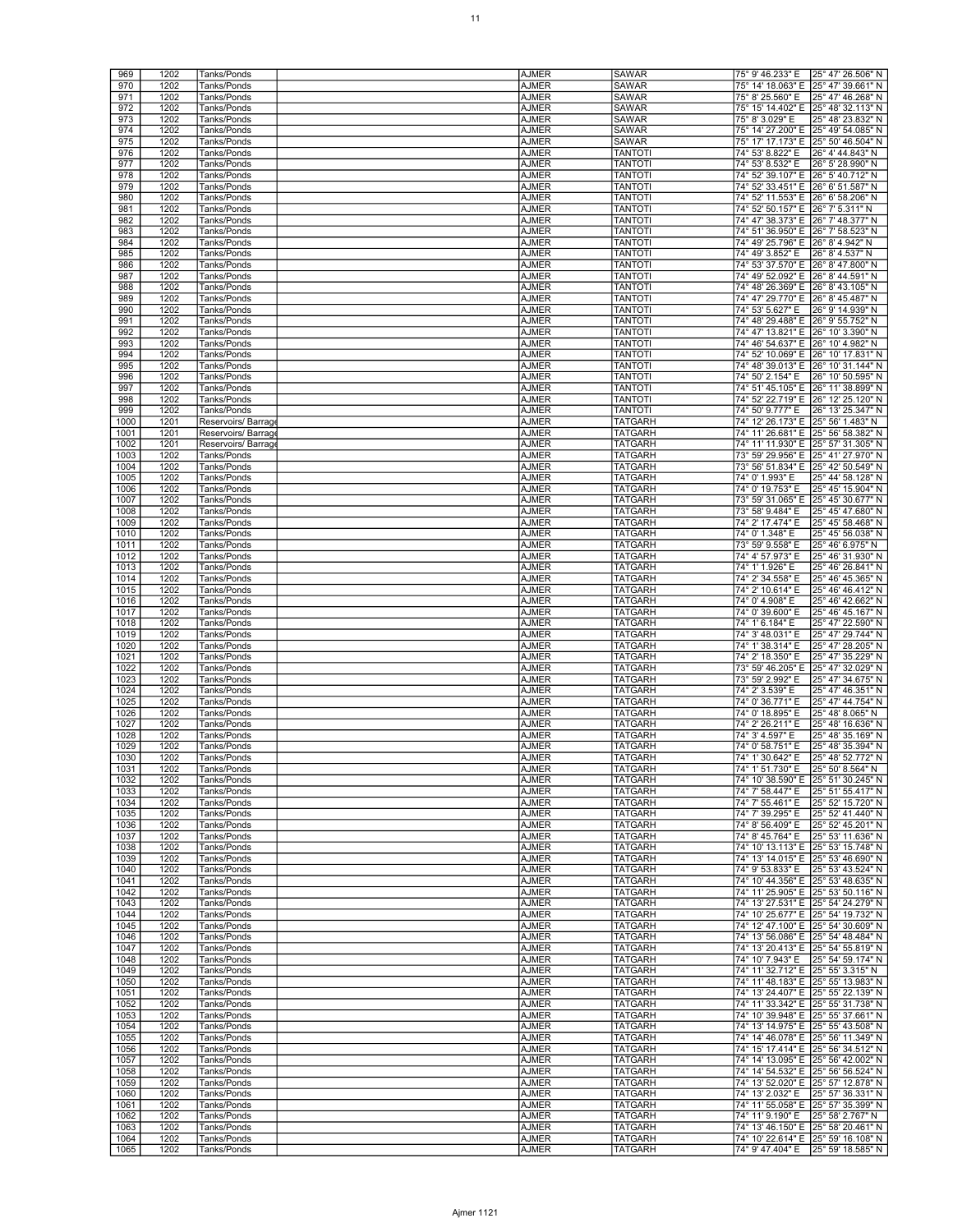| 969<br>970   | 1202         | Tanks/Ponds                | <b>AJMER</b>                 | <b>SAWAR</b>              | 75° 9' 46.233" E 25° 47' 26.506" N   |                                        |
|--------------|--------------|----------------------------|------------------------------|---------------------------|--------------------------------------|----------------------------------------|
|              | 1202         | Tanks/Ponds                | AJMER                        | <b>SAWAR</b>              | 75° 14' 18.063" E 25° 47' 39.661" N  |                                        |
| 971          | 1202         | Tanks/Ponds                | <b>AJMER</b>                 | <b>SAWAR</b>              | 75° 8' 25.560" E                     | 25° 47' 46.268" N                      |
| 972          | 1202         | Tanks/Ponds                | AJMER                        | <b>SAWAR</b>              | 75° 15' 14.402" E 25° 48' 32.113" N  |                                        |
| 973          | 1202         | Tanks/Ponds                | AJMER                        | <b>SAWAR</b>              | 75° 8' 3.029" E                      | 25° 48' 23.832" N                      |
| 974          | 1202         | Tanks/Ponds                | <b>AJMER</b>                 | <b>SAWAR</b>              | 75° 14' 27.200" E 25° 49' 54.085" N  |                                        |
| 975          | 1202         | Tanks/Ponds                | AJMER                        | <b>SAWAR</b>              |                                      | 75° 17' 17.173" E 25° 50' 46.504" N    |
| 976          | 1202         | Tanks/Ponds                | AJMER                        | <b>TANTOTI</b>            | 74° 53' 8.822" E                     | 26° 4' 44.843" N                       |
| 977          | 1202         | Tanks/Ponds                | AJMER                        | <b>TANTOTI</b>            | 74° 53' 8.532" E                     | 26° 5' 28.990" N                       |
| 978          | 1202         | Tanks/Ponds                | AJMER                        | <b>TANTOTI</b>            | 74° 52' 39.107" E                    | 26° 5' 40.712" N                       |
| 979          | 1202         | Tanks/Ponds                | <b>AJMER</b>                 | <b>TANTOTI</b>            | 74° 52′ 33.451″ E 26° 6′ 51.587″ N   |                                        |
| 980          | 1202         | Tanks/Ponds                | AJMER                        | <b>TANTOTI</b>            | 74° 52′ 11.553″ E 26° 6′ 58.206″ N   |                                        |
| 981          | 1202         | Tanks/Ponds                | AJMER                        | <b>TANTOTI</b>            | 74° 52′ 50.157″ E 26° 7′ 5.311″ N    |                                        |
| 982          | 1202         | Tanks/Ponds                | AJMER                        | <b>TANTOTI</b>            | 74° 47′ 38.373″ E 26° 7′ 48.377″ N   |                                        |
| 983          | 1202         | Tanks/Ponds                | <b>AJMER</b>                 | <b>TANTOTI</b>            | 74° 51' 36.950" E 26° 7' 58.523" N   |                                        |
| 984          | 1202         | Tanks/Ponds                | <b>AJMER</b>                 | <b>TANTOTI</b>            | 74° 49' 25.796" E 26° 8' 4.942" N    |                                        |
| 985          | 1202         | Tanks/Ponds                | AJMER                        | <b>TANTOTI</b>            | 74° 49' 3.852" E                     | 26° 8' 4.537" N                        |
| 986          | 1202         | Tanks/Ponds                | AJMER                        | <b>TANTOTI</b>            | 74° 53' 37.570" E 26° 8' 47.800" N   |                                        |
| 987          | 1202         | Tanks/Ponds                | AJMER                        | <b>TANTOTI</b>            | 74° 49′ 52.092″ E 26° 8′ 44.591″ N   |                                        |
| 988          | 1202         | Tanks/Ponds                | <b>AJMER</b>                 | <b>TANTOTI</b>            | 74° 48' 26.369" E 26° 8' 43.105" N   |                                        |
| 989          | 1202         | Tanks/Ponds                | <b>AJMER</b>                 | <b>TANTOTI</b>            | 74° 47' 29.770" E 26° 8' 45.487" N   |                                        |
| 990          | 1202         | Tanks/Ponds                | AJMER                        | <b>TANTOTI</b>            | 74° 53′ 5.627" E                     | 26° 9' 14.939" N                       |
| 991          | 1202         | Tanks/Ponds                | AJMER                        | <b>TANTOTI</b>            | 74° 48' 29.488" E 26° 9' 55.752" N   |                                        |
| 992          | 1202         | Tanks/Ponds                | AJMER                        | <b>TANTOTI</b>            | 74° 47' 13.821" E 26° 10' 3.390" N   |                                        |
| 993          | 1202         | Tanks/Ponds                | <b>AJMER</b>                 | <b>TANTOTI</b>            | 74° 46' 54.637" E 26° 10' 4.982" N   |                                        |
| 994          | 1202         | Tanks/Ponds                | AJMER                        | TANTOTI                   | 74° 52′ 10.069″ E 26° 10′ 17.831″ N  |                                        |
| 995          | 1202         | Tanks/Ponds                | AJMER                        | <b>TANTOTI</b>            | 74° 48' 39.013" E 26° 10' 31.144" N  |                                        |
| 996          | 1202         | Tanks/Ponds                | AJMER                        | <b>TANTOTI</b>            | 74° 50' 2.154" E                     | 26° 10' 50.595" N                      |
| 997          | 1202         | Tanks/Ponds                | AJMER                        | <b>TANTOTI</b>            | 74° 51' 45.105" E 26° 11' 38.899" N  |                                        |
| 998          | 1202         | Tanks/Ponds                | AJMER                        | <b>TANTOTI</b>            | 74° 52' 22.719" E                    | 26° 12' 25.120" N                      |
| 999          | 1202         | Tanks/Ponds                | <b>AJMER</b>                 | <b>TANTOTI</b>            | 74° 50' 9.777" E                     | 26° 13' 25.347" N                      |
| 1000         | 1201         | Reservoirs/ Barrag         | AJMER                        | TATGARH                   | 74° 12′ 26.173″ E 25° 56′ 1.483″ N   |                                        |
| 1001         | 1201         | Reservoirs/Barrage         | AJMER                        | TATGARH                   | 74° 11' 26.681" E 25° 56' 58.382" N  |                                        |
| 1002         | 1201         | Reservoirs/Barrage         | AJMER                        | TATGARH                   | 74° 11' 11.930" E  25° 57' 31.305" N |                                        |
| 1003         | 1202         | Tanks/Ponds                | AJMER                        | TATGARH                   | 73° 59' 29.956" E 25° 41' 27.970" N  |                                        |
| 1004         | 1202         | Tanks/Ponds                | <b>AJMER</b>                 | <b>TATGARH</b>            | 73° 56' 51.834" E 25° 42' 50.549" N  |                                        |
| 1005         | 1202         | Tanks/Ponds                | AJMER                        | TATGARH                   | 74° 0' 1.993" E                      | 25° 44' 58.128" N                      |
| 1006         | 1202         | Tanks/Ponds                | AJMER                        | TATGARH                   | 74° 0' 19.753" E                     | 25° 45' 15.904" N                      |
| 1007         | 1202         | Tanks/Ponds                | AJMER                        | TATGARH                   | 73° 59' 31.065" E 25° 45' 30.677" N  |                                        |
| 1008         | 1202         | Tanks/Ponds                | AJMER                        | TATGARH                   | 73° 58' 9.484" E                     | 25° 45' 47.680" N                      |
| 1009         | 1202         | Tanks/Ponds                | <b>AJMER</b>                 | <b>TATGARH</b>            | 74° 2' 17.474" E                     | 25° 45' 58.468" N                      |
| 1010         | 1202         | Tanks/Ponds                | AJMER                        | TATGARH                   | 74° 0' 1.348" E                      | 25° 45' 56.038" N                      |
| 1011         | 1202         | Tanks/Ponds                | AJMER                        | TATGARH                   | 73° 59' 9.558" E                     | 25° 46' 6.975" N                       |
| 1012         | 1202         | Tanks/Ponds                | AJMER                        | TATGARH                   | 74° 4' 57.973" E                     | 25° 46' 31.930" N                      |
| 1013         | 1202<br>1202 | Tanks/Ponds                | <b>AJMER</b><br><b>AJMER</b> | TATGARH<br><b>TATGARH</b> | 74° 1' 1.926" E<br>74° 2' 34.558" E  | 25° 46' 26.841" N                      |
| 1014         |              | Tanks/Ponds                |                              |                           |                                      | 25° 46' 45.365" N                      |
| 1015<br>1016 | 1202<br>1202 | Tanks/Ponds<br>Tanks/Ponds | AJMER<br>AJMER               | <b>TATGARH</b><br>TATGARH | 74° 2' 10.614" E<br>74° 0' 4.908" E  | 25° 46' 46.412" N<br>25° 46' 42.662" N |
| 1017         | 1202         | Tanks/Ponds                | AJMER                        | TATGARH                   | 74° 0' 39.600" E                     | 25° 46' 45.167" N                      |
| 1018         | 1202         | Tanks/Ponds                | <b>AJMER</b>                 | TATGARH                   | 74° 1' 6.184" E                      | 25° 47' 22.590" N                      |
| 1019         | 1202         | Tanks/Ponds                | <b>AJMER</b>                 | TATGARH                   | 74° 3' 48.031" E                     | 25° 47' 29.744" N                      |
| 1020         | 1202         | Tanks/Ponds                | AJMER                        | TATGARH                   | 74° 1' 38.314" E                     | 25° 47' 28.205" N                      |
| 1021         | 1202         | Tanks/Ponds                | AJMER                        | TATGARH                   | 74° 2' 18.350" E                     | 25° 47' 35.229" N                      |
| 1022         | 1202         | Tanks/Ponds                | AJMER                        | TATGARH                   | 73° 59' 46.205" E                    | 25° 47' 32.029" N                      |
| 1023         | 1202         | Tanks/Ponds                | <b>AJMER</b>                 | TATGARH                   | 73° 59' 2.992" E                     | 25° 47' 34.675" N                      |
|              | 1202         |                            | AJMER                        | TATGARH                   |                                      | 25° 47′ 46.351″ N                      |
| 1024         |              |                            |                              |                           |                                      |                                        |
|              |              | Tanks/Ponds<br>Tanks/Ponds |                              |                           | 74° 2' 3.539" E                      | 25° 47' 44.754" N                      |
| 1025<br>1026 | 1202<br>1202 | Tanks/Ponds                | AJMER<br>AJMER               | TATGARH<br>TATGARH        | 74° 0' 36.771" E<br>74° 0' 18.895" E | 25° 48' 8.065" N                       |
| 1027         | 1202         | Tanks/Ponds                | AJMER                        | TATGARH                   | 74° 2' 26.211" E                     | 25° 48' 16.636" N                      |
| 1028         | 1202         | Tanks/Ponds                | AJMER                        | TATGARH                   | 74° 3' 4.597" E                      | 25° 48' 35.169" N                      |
| 1029         | 1202         | Tanks/Ponds                | AJMER                        | TATGARH                   | 74° 0' 58.751" E                     | 25° 48' 35.394" N                      |
| 1030         | 1202         | Tanks/Ponds                | AJMER                        | <b>TATGARH</b>            |                                      | 74° 1' 30.642" E 25° 48' 52.772" N     |
| 1031         | 1202         | Tanks/Ponds                | AJMER                        | TATGARH                   | 74° 1' 51.730" E   25° 50' 8.564" N  |                                        |
| 1032         | 1202         | Tanks/Ponds                | AJMER                        | TATGARH                   | 74° 10' 38.590" E 25° 51' 30.245" N  |                                        |
| 1033         | 1202         | Tanks/Ponds                | <b>AJMER</b>                 | TATGARH                   | 74° 7' 58.447" E                     | 25° 51' 55.417" N                      |
| 1034         | 1202         | Tanks/Ponds                | <b>AJMER</b>                 | TATGARH                   | 74° 7' 55.461" E                     | 25° 52' 15.720" N                      |
| 1035         | 1202         | Tanks/Ponds                | <b>AJMER</b>                 | <b>TATGARH</b>            | 74° 7' 39.295" E                     | 25° 52' 41.440" N                      |
| 1036         | 1202         | Tanks/Ponds                | <b>AJMER</b>                 | <b>TATGARH</b>            | 74° 8' 56.409" E                     | 25° 52' 45.201" N                      |
| 1037         | 1202         | Tanks/Ponds                | AJMER                        | TATGARH                   | 74° 8' 45.764" E                     | 25° 53' 11.636" N                      |
| 1038         | 1202         | Tanks/Ponds                | AJMER                        | TATGARH                   | 74° 10' 13.113" E 25° 53' 15.748" N  |                                        |
| 1039         | 1202         | Tanks/Ponds                | AJMER                        | TATGARH                   | 74° 13' 14.015" E 25° 53' 46.690" N  |                                        |
| 1040         | 1202         | Tanks/Ponds                | <b>AJMER</b>                 | <b>TATGARH</b>            |                                      | 74° 9′ 53.833″ E 25° 53′ 43.524″ N     |
| 1041         | 1202         | Tanks/Ponds                | <b>AJMER</b>                 | <b>TATGARH</b>            | 74° 10' 44.356" E 25° 53' 48.635" N  |                                        |
| 1042         | 1202         | Tanks/Ponds                | AJMER                        | TATGARH                   | 74° 11' 25.905" E 25° 53' 50.116" N  |                                        |
| 1043         | 1202         | Tanks/Ponds                | <b>AJMER</b>                 | TATGARH                   | 74° 13' 27.531" E 25° 54' 24.279" N  |                                        |
| 1044         | 1202         | Tanks/Ponds                | <b>AJMER</b>                 | TATGARH                   | 74° 10' 25.677" E 25° 54' 19.732" N  |                                        |
| 1045         | 1202         | Tanks/Ponds                | AJMER                        | <b>TATGARH</b>            |                                      | 74° 12′ 47.100″ E 25° 54′ 30.609″ N    |
| 1046<br>1047 | 1202<br>1202 | Tanks/Ponds<br>Tanks/Ponds | AJMER<br>AJMER               | <b>TATGARH</b><br>TATGARH | 74° 13' 20.413" E 25° 54' 55.819" N  | 74° 13' 56.086" E 25° 54' 48.484" N    |
| 1048         | 1202         | Tanks/Ponds                | <b>AJMER</b>                 | TATGARH                   | 74° 10' 7.943" E                     |                                        |
| 1049         | 1202         | Tanks/Ponds                | AJMER                        | TATGARH                   | 74° 11' 32.712" E 25° 55' 3.315" N   | 25° 54' 59.174" N                      |
| 1050         | 1202         | Tanks/Ponds                | AJMER                        | <b>TATGARH</b>            | 74° 11' 48.183" E 25° 55' 13.983" N  |                                        |
| 1051         | 1202         | Tanks/Ponds                | AJMER                        | <b>TATGARH</b>            | 74° 13' 24.407" E 25° 55' 22.139" N  |                                        |
| 1052         | 1202         | Tanks/Ponds                | AJMER                        | TATGARH                   | 74° 11' 33.342" E 25° 55' 31.738" N  |                                        |
| 1053         | 1202         | Tanks/Ponds                | <b>AJMER</b>                 | TATGARH                   | 74° 10' 39.948" E 25° 55' 37.661" N  |                                        |
| 1054         | 1202         | Tanks/Ponds                | AJMER                        | TATGARH                   | 74° 13' 14.975" E 25° 55' 43.508" N  |                                        |
| 1055         | 1202         | Tanks/Ponds                | AJMER                        | <b>TATGARH</b>            | 74° 14' 46.078" E 25° 56' 11.349" N  |                                        |
| 1056         | 1202         | Tanks/Ponds                | AJMER                        | <b>TATGARH</b>            | 74° 15' 17.414" E 25° 56' 34.512" N  |                                        |
| 1057         | 1202         | Tanks/Ponds                | AJMER                        | TATGARH                   | 74° 14' 13.095" E 25° 56' 42.002" N  |                                        |
| 1058         | 1202         | Tanks/Ponds                | AJMER                        | TATGARH                   | 74° 14' 54.532" E 25° 56' 56.524" N  |                                        |
| 1059         | 1202         | Tanks/Ponds                | AJMER                        | TATGARH                   | 74° 13' 52.020" E 25° 57' 12.878" N  |                                        |
| 1060         | 1202         | Tanks/Ponds                | AJMER                        | <b>TATGARH</b>            | 74° 13' 2.032" E 25° 57' 36.331" N   |                                        |
| 1061         | 1202         | Tanks/Ponds                | AJMER                        | TATGARH                   | 74° 11' 55.058" E 25° 57' 35.399" N  |                                        |
| 1062         | 1202         | Tanks/Ponds                | AJMER                        | TATGARH                   | 74° 11' 9.190" E                     | 25° 58' 2.767" N                       |
| 1063         | 1202         | Tanks/Ponds                | AJMER                        | TATGARH                   | 74° 13' 46.150" E 25° 58' 20.461" N  |                                        |
| 1064<br>1065 | 1202<br>1202 | Tanks/Ponds<br>Tanks/Ponds | AJMER<br>AJMER               | TATGARH<br><b>TATGARH</b> | 74° 10' 22.614" E 25° 59' 16.108" N  | 74° 9′ 47.404″ E 25° 59′ 18.585″ N     |